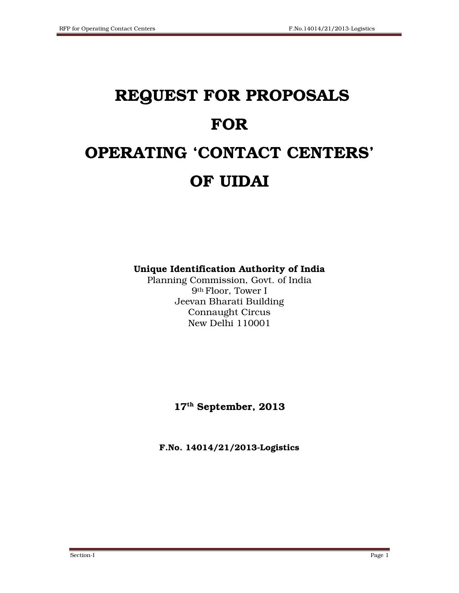# REQUEST FOR PROPOSALS FOR OPERATING 'CONTACT CENTERS' OF UIDAI

Unique Identification Authority of India

Planning Commission, Govt. of India 9th Floor, Tower I Jeevan Bharati Building Connaught Circus New Delhi 110001

17th September, 2013

F.No. 14014/21/2013-Logistics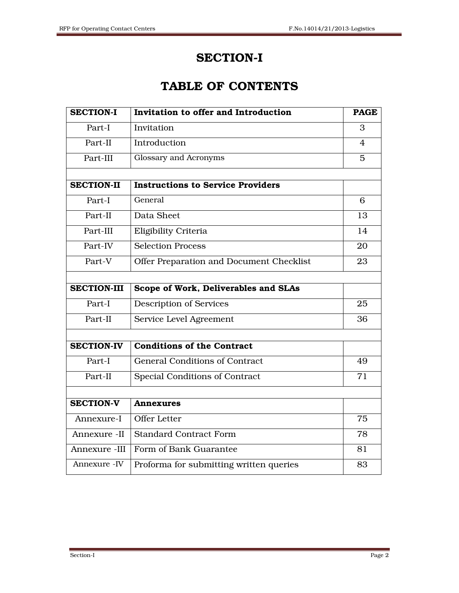# SECTION-I

# TABLE OF CONTENTS

| <b>SECTION-I</b>   | Invitation to offer and Introduction     | <b>PAGE</b> |
|--------------------|------------------------------------------|-------------|
| Part-I             | Invitation                               | 3           |
| Part-II            | Introduction                             | 4           |
| Part-III           | Glossary and Acronyms                    | 5           |
|                    |                                          |             |
| <b>SECTION-II</b>  | <b>Instructions to Service Providers</b> |             |
| Part-I             | General                                  | 6           |
| Part-II            | Data Sheet                               | 13          |
| Part-III           | Eligibility Criteria                     | 14          |
| Part-IV            | <b>Selection Process</b>                 | 20          |
| Part-V             | Offer Preparation and Document Checklist | 23          |
|                    |                                          |             |
| <b>SECTION-III</b> | Scope of Work, Deliverables and SLAs     |             |
| Part-I             | <b>Description of Services</b>           | 25          |
| Part-II            | Service Level Agreement                  | 36          |
|                    |                                          |             |
| <b>SECTION-IV</b>  | <b>Conditions of the Contract</b>        |             |
| Part-I             | <b>General Conditions of Contract</b>    | 49          |
| Part-II            | Special Conditions of Contract           | 71          |
|                    |                                          |             |
| <b>SECTION-V</b>   | <b>Annexures</b>                         |             |
| Annexure-I         | Offer Letter                             | 75          |
| Annexure -II       | <b>Standard Contract Form</b>            | 78          |
| Annexure -III      | Form of Bank Guarantee                   | 81          |
| Annexure - IV      | Proforma for submitting written queries  | 83          |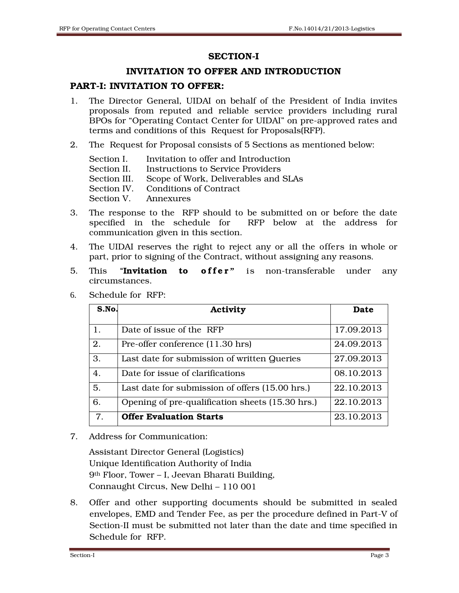#### SECTION-I

## INVITATION TO OFFER AND INTRODUCTION

## PART-I: INVITATION TO OFFER:

- 1. The Director General, UIDAI on behalf of the President of India invites proposals from reputed and reliable service providers including rural BPOs for "Operating Contact Center for UIDAI" on pre-approved rates and terms and conditions of this Request for Proposals(RFP).
- 2. The Request for Proposal consists of 5 Sections as mentioned below:

|                      | Section I. Invitation to offer and Introduction   |
|----------------------|---------------------------------------------------|
| Section II.          | Instructions to Service Providers                 |
|                      | Section III. Scope of Work, Deliverables and SLAs |
|                      | Section IV. Conditions of Contract                |
| Section V. Annexures |                                                   |

- 3. The response to the RFP should to be submitted on or before the date specified in the schedule for RFP below at the address for communication given in this section.
- 4. The UIDAI reserves the right to reject any or all the offers in whole or part, prior to signing of the Contract, without assigning any reasons.
- 5. This "**Invitation to offer**" is non-transferable under any circumstances.

| S.No. | Activity                                         | Date       |
|-------|--------------------------------------------------|------------|
|       |                                                  |            |
| 1.    | Date of issue of the RFP                         | 17.09.2013 |
| 2.    | Pre-offer conference (11.30 hrs)                 | 24.09.2013 |
| 3.    | Last date for submission of written Queries      | 27.09.2013 |
| 4.    | Date for issue of clarifications                 | 08.10.2013 |
| 5.    | Last date for submission of offers (15.00 hrs.)  | 22.10.2013 |
| 6.    | Opening of pre-qualification sheets (15.30 hrs.) | 22.10.2013 |
| 7.    | <b>Offer Evaluation Starts</b>                   | 23.10.2013 |

6. Schedule for RFP:

7. Address for Communication:

 Assistant Director General (Logistics) Unique Identification Authority of India 9th Floor, Tower – I, Jeevan Bharati Building, Connaught Circus, New Delhi – 110 001

8. Offer and other supporting documents should be submitted in sealed envelopes, EMD and Tender Fee, as per the procedure defined in Part-V of Section-II must be submitted not later than the date and time specified in Schedule for RFP.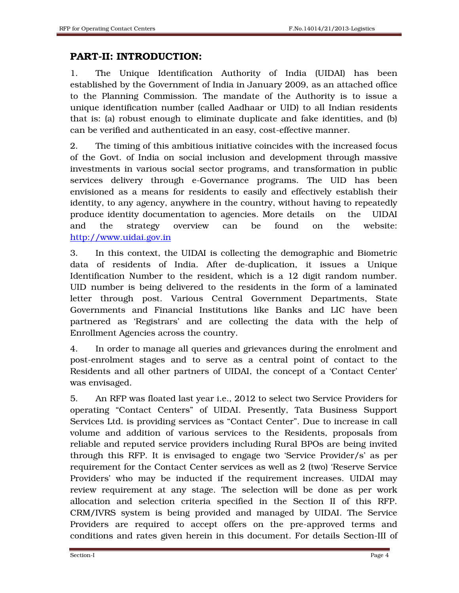# PART-II: INTRODUCTION:

1. The Unique Identification Authority of India (UIDAI) has been established by the Government of India in January 2009, as an attached office to the Planning Commission. The mandate of the Authority is to issue a unique identification number (called Aadhaar or UID) to all Indian residents that is: (a) robust enough to eliminate duplicate and fake identities, and (b) can be verified and authenticated in an easy, cost-effective manner.

2. The timing of this ambitious initiative coincides with the increased focus of the Govt. of India on social inclusion and development through massive investments in various social sector programs, and transformation in public services delivery through e-Governance programs. The UID has been envisioned as a means for residents to easily and effectively establish their identity, to any agency, anywhere in the country, without having to repeatedly produce identity documentation to agencies. More details on the UIDAI and the strategy overview can be found on the website: http://www.uidai.gov.in

3. In this context, the UIDAI is collecting the demographic and Biometric data of residents of India. After de-duplication, it issues a Unique Identification Number to the resident, which is a 12 digit random number. UID number is being delivered to the residents in the form of a laminated letter through post. Various Central Government Departments, State Governments and Financial Institutions like Banks and LIC have been partnered as 'Registrars' and are collecting the data with the help of Enrollment Agencies across the country.

4. In order to manage all queries and grievances during the enrolment and post-enrolment stages and to serve as a central point of contact to the Residents and all other partners of UIDAI, the concept of a 'Contact Center' was envisaged.

5. An RFP was floated last year i.e., 2012 to select two Service Providers for operating "Contact Centers" of UIDAI. Presently, Tata Business Support Services Ltd. is providing services as "Contact Center". Due to increase in call volume and addition of various services to the Residents, proposals from reliable and reputed service providers including Rural BPOs are being invited through this RFP. It is envisaged to engage two 'Service Provider/s' as per requirement for the Contact Center services as well as 2 (two) 'Reserve Service Providers' who may be inducted if the requirement increases. UIDAI may review requirement at any stage. The selection will be done as per work allocation and selection criteria specified in the Section II of this RFP. CRM/IVRS system is being provided and managed by UIDAI. The Service Providers are required to accept offers on the pre-approved terms and conditions and rates given herein in this document. For details Section-III of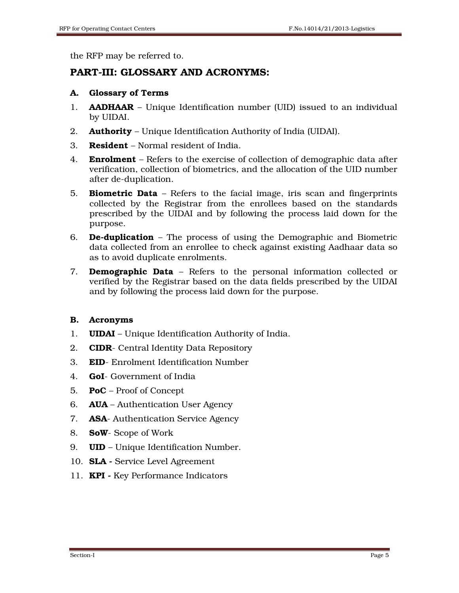the RFP may be referred to.

# PART-III: GLOSSARY AND ACRONYMS:

#### A. Glossary of Terms

- 1. **AADHAAR** Unique Identification number (UID) issued to an individual by UIDAI.
- 2. **Authority** Unique Identification Authority of India (UIDAI).
- 3. **Resident** Normal resident of India.
- 4. **Enrolment** Refers to the exercise of collection of demographic data after verification, collection of biometrics, and the allocation of the UID number after de-duplication.
- 5. Biometric Data Refers to the facial image, iris scan and fingerprints collected by the Registrar from the enrollees based on the standards prescribed by the UIDAI and by following the process laid down for the purpose.
- 6. **De-duplication** The process of using the Demographic and Biometric data collected from an enrollee to check against existing Aadhaar data so as to avoid duplicate enrolments.
- 7. **Demographic Data** Refers to the personal information collected or verified by the Registrar based on the data fields prescribed by the UIDAI and by following the process laid down for the purpose.

## B. Acronyms

- 1. UIDAI Unique Identification Authority of India.
- 2. **CIDR** Central Identity Data Repository
- 3. EID- Enrolment Identification Number
- 4. **GoI-** Government of India
- 5. **PoC** Proof of Concept
- 6. AUA Authentication User Agency
- 7. **ASA** Authentication Service Agency
- 8. SoW- Scope of Work
- 9. UID Unique Identification Number.
- 10. SLA Service Level Agreement
- 11. KPI Key Performance Indicators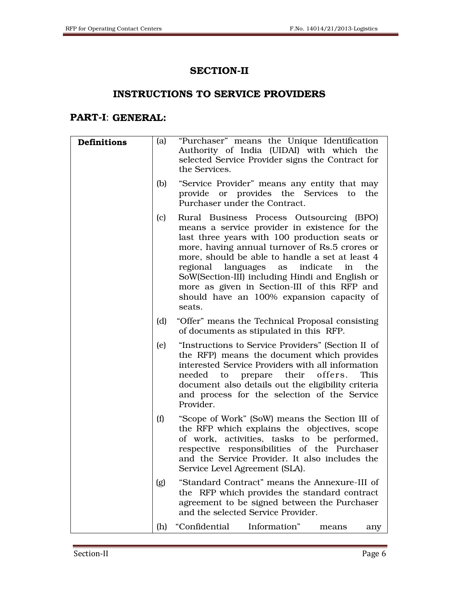# SECTION-II

# INSTRUCTIONS TO SERVICE PROVIDERS

# PART-I: GENERAL:

| Definitions | (a) | "Purchaser" means the Unique Identification<br>Authority of India (UIDAI) with which the<br>selected Service Provider signs the Contract for<br>the Services.                                                                                                                                                                                                                                                                                                  |
|-------------|-----|----------------------------------------------------------------------------------------------------------------------------------------------------------------------------------------------------------------------------------------------------------------------------------------------------------------------------------------------------------------------------------------------------------------------------------------------------------------|
|             | (b) | "Service Provider" means any entity that may<br>provide or provides the Services to<br>the<br>Purchaser under the Contract.                                                                                                                                                                                                                                                                                                                                    |
|             | (c) | Rural Business Process Outsourcing (BPO)<br>means a service provider in existence for the<br>last three years with 100 production seats or<br>more, having annual turnover of Rs.5 crores or<br>more, should be able to handle a set at least 4<br>regional languages<br>indicate<br>as<br>the<br>in<br>SoW(Section-III) including Hindi and English or<br>more as given in Section-III of this RFP and<br>should have an 100% expansion capacity of<br>seats. |
|             | (d) | "Offer" means the Technical Proposal consisting<br>of documents as stipulated in this RFP.                                                                                                                                                                                                                                                                                                                                                                     |
|             | (e) | "Instructions to Service Providers" (Section II of<br>the RFP) means the document which provides<br>interested Service Providers with all information<br>to prepare their offers.<br>This<br>needed<br>document also details out the eligibility criteria<br>and process for the selection of the Service<br>Provider.                                                                                                                                         |
|             | (f) | "Scope of Work" (SoW) means the Section III of<br>the RFP which explains the objectives, scope<br>of work, activities, tasks to be performed,<br>respective responsibilities of the Purchaser<br>and the Service Provider. It also includes the<br>Service Level Agreement (SLA).                                                                                                                                                                              |
|             | (g) | "Standard Contract" means the Annexure-III of<br>the RFP which provides the standard contract<br>agreement to be signed between the Purchaser<br>and the selected Service Provider.                                                                                                                                                                                                                                                                            |
|             | (h) | "Confidential<br>Information"<br>means<br>any                                                                                                                                                                                                                                                                                                                                                                                                                  |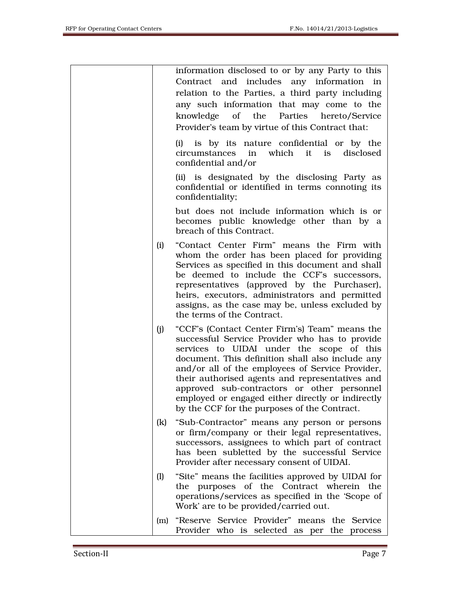|     | information disclosed to or by any Party to this<br>Contract and includes any information in<br>relation to the Parties, a third party including<br>any such information that may come to the<br>knowledge of the Parties hereto/Service<br>Provider's team by virtue of this Contract that:                                                                                                                                                                 |
|-----|--------------------------------------------------------------------------------------------------------------------------------------------------------------------------------------------------------------------------------------------------------------------------------------------------------------------------------------------------------------------------------------------------------------------------------------------------------------|
|     | is by its nature confidential or by the<br>(i)<br>circumstances in which it is disclosed<br>confidential and/or                                                                                                                                                                                                                                                                                                                                              |
|     | (ii) is designated by the disclosing Party as<br>confidential or identified in terms connoting its<br>confidentiality;                                                                                                                                                                                                                                                                                                                                       |
|     | but does not include information which is or<br>becomes public knowledge other than by a<br>breach of this Contract.                                                                                                                                                                                                                                                                                                                                         |
| (i) | "Contact Center Firm" means the Firm with<br>whom the order has been placed for providing<br>Services as specified in this document and shall<br>be deemed to include the CCF's successors,<br>representatives (approved by the Purchaser),<br>heirs, executors, administrators and permitted<br>assigns, as the case may be, unless excluded by<br>the terms of the Contract.                                                                               |
| (j) | "CCF's (Contact Center Firm's) Team" means the<br>successful Service Provider who has to provide<br>services to UIDAI under the scope of this<br>document. This definition shall also include any<br>and/or all of the employees of Service Provider,<br>their authorised agents and representatives and<br>approved sub-contractors or other personnel<br>employed or engaged either directly or indirectly<br>by the CCF for the purposes of the Contract. |
| (k) | "Sub-Contractor" means any person or persons<br>or firm/company or their legal representatives,<br>successors, assignees to which part of contract<br>has been subletted by the successful Service<br>Provider after necessary consent of UIDAI.                                                                                                                                                                                                             |
| (1) | "Site" means the facilities approved by UIDAI for<br>the purposes of the Contract wherein the<br>operations/services as specified in the 'Scope of<br>Work' are to be provided/carried out.                                                                                                                                                                                                                                                                  |
| (m) | "Reserve Service Provider" means the Service<br>Provider who is selected as per the process                                                                                                                                                                                                                                                                                                                                                                  |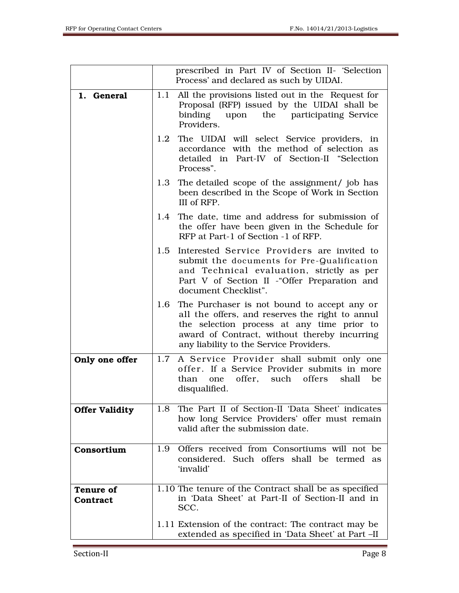|                              |     | prescribed in Part IV of Section II- 'Selection<br>Process' and declared as such by UIDAI.                                                                                                                                                  |
|------------------------------|-----|---------------------------------------------------------------------------------------------------------------------------------------------------------------------------------------------------------------------------------------------|
| 1. General                   | 1.1 | All the provisions listed out in the Request for<br>Proposal (RFP) issued by the UIDAI shall be<br>binding<br>upon the participating Service<br>Providers.                                                                                  |
|                              |     | 1.2 The UIDAI will select Service providers, in<br>accordance with the method of selection as<br>detailed in Part-IV of Section-II "Selection<br>Process".                                                                                  |
|                              |     | 1.3 The detailed scope of the assignment/ job has<br>been described in the Scope of Work in Section<br>III of RFP.                                                                                                                          |
|                              |     | 1.4 The date, time and address for submission of<br>the offer have been given in the Schedule for<br>RFP at Part-1 of Section -1 of RFP.                                                                                                    |
|                              | 1.5 | Interested Service Providers are invited to<br>submit the documents for Pre-Qualification<br>and Technical evaluation, strictly as per<br>Part V of Section II - "Offer Preparation and<br>document Checklist".                             |
|                              |     | 1.6 The Purchaser is not bound to accept any or<br>all the offers, and reserves the right to annul<br>the selection process at any time prior to<br>award of Contract, without thereby incurring<br>any liability to the Service Providers. |
| Only one offer               | 1.7 | A Service Provider shall submit only one<br>offer. If a Service Provider submits in more<br>offer, such offers<br>shall<br>than<br>be<br>one<br>disqualified.                                                                               |
| <b>Offer Validity</b>        | 1.8 | The Part II of Section-II 'Data Sheet' indicates<br>how long Service Providers' offer must remain<br>valid after the submission date.                                                                                                       |
| Consortium                   | 1.9 | Offers received from Consortiums will not be<br>considered. Such offers shall be termed as<br>'invalid'                                                                                                                                     |
| <b>Tenure of</b><br>Contract |     | 1.10 The tenure of the Contract shall be as specified<br>in 'Data Sheet' at Part-II of Section-II and in<br>SCC.                                                                                                                            |
|                              |     | 1.11 Extension of the contract: The contract may be<br>extended as specified in 'Data Sheet' at Part -II                                                                                                                                    |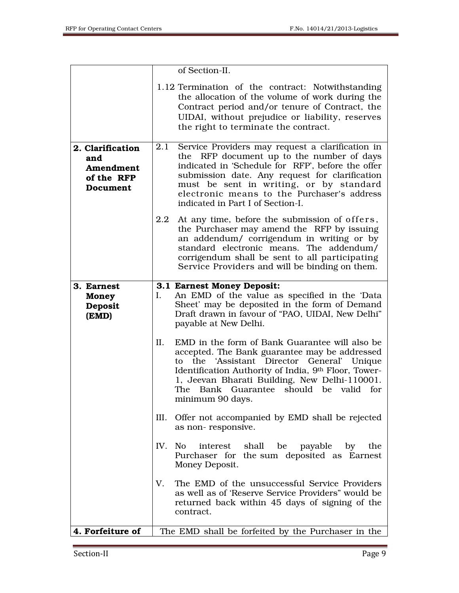|                                                                | of Section-II.                                                                                                                                                                                                                                                                                                                             |
|----------------------------------------------------------------|--------------------------------------------------------------------------------------------------------------------------------------------------------------------------------------------------------------------------------------------------------------------------------------------------------------------------------------------|
|                                                                | 1.12 Termination of the contract: Notwithstanding<br>the allocation of the volume of work during the<br>Contract period and/or tenure of Contract, the<br>UIDAI, without prejudice or liability, reserves<br>the right to terminate the contract.                                                                                          |
| 2. Clarification<br>and<br>Amendment<br>of the RFP<br>Document | Service Providers may request a clarification in<br>2.1<br>the RFP document up to the number of days<br>indicated in 'Schedule for RFP', before the offer<br>submission date. Any request for clarification<br>must be sent in writing, or by standard<br>electronic means to the Purchaser's address<br>indicated in Part I of Section-I. |
|                                                                | At any time, before the submission of offers,<br>2.2<br>the Purchaser may amend the RFP by issuing<br>an addendum/ corrigendum in writing or by<br>standard electronic means. The addendum/<br>corrigendum shall be sent to all participating<br>Service Providers and will be binding on them.                                            |
| 3. Earnest<br><b>Money</b><br>Deposit<br>(EMD)                 | 3.1 Earnest Money Deposit:<br>An EMD of the value as specified in the 'Data<br>I.<br>Sheet' may be deposited in the form of Demand<br>Draft drawn in favour of "PAO, UIDAI, New Delhi"<br>payable at New Delhi.                                                                                                                            |
|                                                                | EMD in the form of Bank Guarantee will also be<br>II.<br>accepted. The Bank guarantee may be addressed<br>the 'Assistant Director General' Unique<br>to<br>Identification Authority of India, 9th Floor, Tower-<br>1, Jeevan Bharati Building, New Delhi-110001.<br>Bank Guarantee should be valid for<br>The<br>minimum 90 days.          |
|                                                                | Offer not accompanied by EMD shall be rejected<br>III.<br>as non-responsive.                                                                                                                                                                                                                                                               |
|                                                                | shall be payable by<br>IV.<br>No.<br>interest<br>the<br>Purchaser for the sum deposited as Earnest<br>Money Deposit.                                                                                                                                                                                                                       |
|                                                                | V.<br>The EMD of the unsuccessful Service Providers<br>as well as of 'Reserve Service Providers" would be<br>returned back within 45 days of signing of the<br>contract.                                                                                                                                                                   |
| 4. Forfeiture of                                               | The EMD shall be forfeited by the Purchaser in the                                                                                                                                                                                                                                                                                         |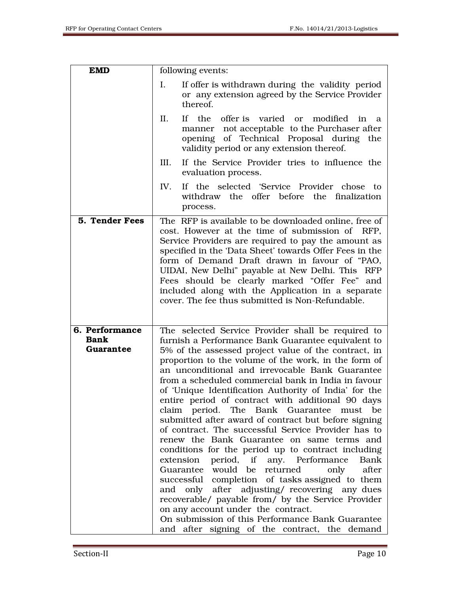r

| <b>EMD</b>                                 | following events:                                                                                                                                                                                                                                                                                                                                                                                                                                                                                                                                                                                                                                                                                                                                                                                                                                                                                                                                                                                                                                                                                                           |
|--------------------------------------------|-----------------------------------------------------------------------------------------------------------------------------------------------------------------------------------------------------------------------------------------------------------------------------------------------------------------------------------------------------------------------------------------------------------------------------------------------------------------------------------------------------------------------------------------------------------------------------------------------------------------------------------------------------------------------------------------------------------------------------------------------------------------------------------------------------------------------------------------------------------------------------------------------------------------------------------------------------------------------------------------------------------------------------------------------------------------------------------------------------------------------------|
|                                            | I.<br>If offer is withdrawn during the validity period<br>or any extension agreed by the Service Provider<br>thereof.                                                                                                                                                                                                                                                                                                                                                                                                                                                                                                                                                                                                                                                                                                                                                                                                                                                                                                                                                                                                       |
|                                            | II.<br>If<br>the<br>offer is varied or<br>modified<br>in<br>a<br>manner not acceptable to the Purchaser after<br>opening of Technical Proposal during<br>the<br>validity period or any extension thereof.                                                                                                                                                                                                                                                                                                                                                                                                                                                                                                                                                                                                                                                                                                                                                                                                                                                                                                                   |
|                                            | If the Service Provider tries to influence the<br>III.<br>evaluation process.                                                                                                                                                                                                                                                                                                                                                                                                                                                                                                                                                                                                                                                                                                                                                                                                                                                                                                                                                                                                                                               |
|                                            | IV.<br>If the selected 'Service Provider chose to<br>withdraw the offer before the finalization<br>process.                                                                                                                                                                                                                                                                                                                                                                                                                                                                                                                                                                                                                                                                                                                                                                                                                                                                                                                                                                                                                 |
| 5. Tender Fees                             | The RFP is available to be downloaded online, free of<br>cost. However at the time of submission of RFP,<br>Service Providers are required to pay the amount as<br>specified in the 'Data Sheet' towards Offer Fees in the<br>form of Demand Draft drawn in favour of "PAO,<br>UIDAI, New Delhi" payable at New Delhi. This RFP<br>Fees should be clearly marked "Offer Fee" and<br>included along with the Application in a separate<br>cover. The fee thus submitted is Non-Refundable.                                                                                                                                                                                                                                                                                                                                                                                                                                                                                                                                                                                                                                   |
| 6. Performance<br><b>Bank</b><br>Guarantee | The selected Service Provider shall be required to<br>furnish a Performance Bank Guarantee equivalent to<br>5% of the assessed project value of the contract, in<br>proportion to the volume of the work, in the form of<br>an unconditional and irrevocable Bank Guarantee<br>from a scheduled commercial bank in India in favour<br>of 'Unique Identification Authority of India' for the<br>entire period of contract with additional 90 days<br>claim period. The Bank Guarantee must<br>be<br>submitted after award of contract but before signing<br>of contract. The successful Service Provider has to<br>renew the Bank Guarantee on same terms and<br>conditions for the period up to contract including<br>extension<br>period, if any. Performance<br>Bank<br>Guarantee would be returned<br>after<br>only<br>successful completion of tasks assigned to them<br>and only after adjusting/ recovering any dues<br>recoverable/ payable from/ by the Service Provider<br>on any account under the contract.<br>On submission of this Performance Bank Guarantee<br>and after signing of the contract, the demand |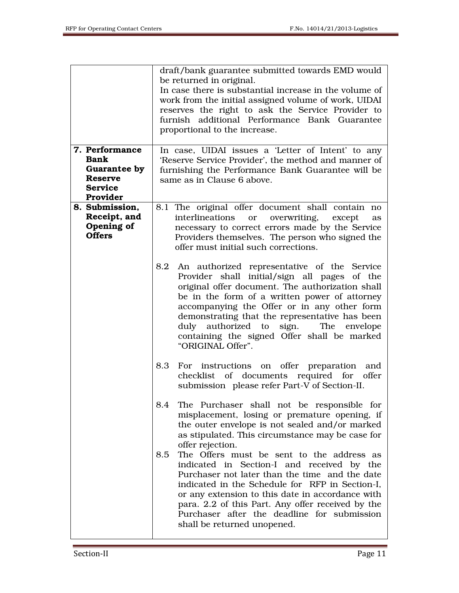|                                                                                               | draft/bank guarantee submitted towards EMD would                                                                                                                                                                                                                                                                                                                                                                         |
|-----------------------------------------------------------------------------------------------|--------------------------------------------------------------------------------------------------------------------------------------------------------------------------------------------------------------------------------------------------------------------------------------------------------------------------------------------------------------------------------------------------------------------------|
|                                                                                               | be returned in original.<br>In case there is substantial increase in the volume of<br>work from the initial assigned volume of work, UIDAI<br>reserves the right to ask the Service Provider to<br>furnish additional Performance Bank Guarantee<br>proportional to the increase.                                                                                                                                        |
| 7. Performance<br><b>Bank</b><br>Guarantee by<br><b>Reserve</b><br><b>Service</b><br>Provider | In case, UIDAI issues a 'Letter of Intent' to any<br>'Reserve Service Provider', the method and manner of<br>furnishing the Performance Bank Guarantee will be<br>same as in Clause 6 above.                                                                                                                                                                                                                             |
| 8. Submission,<br>Receipt, and<br>Opening of<br><b>Offers</b>                                 | 8.1 The original offer document shall contain no<br>overwriting, except<br>interlineations<br>or<br>as<br>necessary to correct errors made by the Service<br>Providers themselves. The person who signed the<br>offer must initial such corrections.                                                                                                                                                                     |
|                                                                                               | 8.2<br>An authorized representative of the Service<br>Provider shall initial/sign all pages of the<br>original offer document. The authorization shall<br>be in the form of a written power of attorney<br>accompanying the Offer or in any other form<br>demonstrating that the representative has been<br>duly authorized to sign.<br>The envelope<br>containing the signed Offer shall be marked<br>"ORIGINAL Offer". |
|                                                                                               | 8.3<br>For instructions on offer preparation and<br>checklist of documents required for offer<br>submission please refer Part-V of Section-II.                                                                                                                                                                                                                                                                           |
|                                                                                               | 8.4<br>The Purchaser shall not be responsible for<br>misplacement, losing or premature opening, if<br>the outer envelope is not sealed and/or marked<br>as stipulated. This circumstance may be case for<br>offer rejection.<br>The Offers must be sent to the address as<br>8.5<br>indicated in Section-I and received by the<br>Purchaser not later than the time and the date                                         |
|                                                                                               | indicated in the Schedule for RFP in Section-I,<br>or any extension to this date in accordance with<br>para. 2.2 of this Part. Any offer received by the<br>Purchaser after the deadline for submission<br>shall be returned unopened.                                                                                                                                                                                   |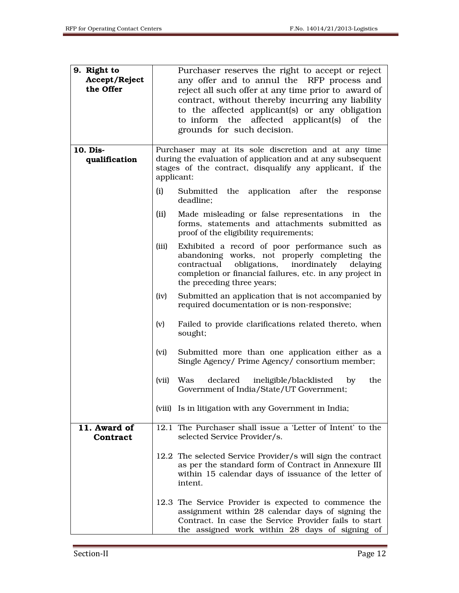| 9. Right to<br>Accept/Reject<br>the Offer |       | Purchaser reserves the right to accept or reject<br>any offer and to annul the RFP process and<br>reject all such offer at any time prior to award of<br>contract, without thereby incurring any liability<br>to the affected applicant(s) or any obligation<br>to inform the affected applicant(s) of the<br>grounds for such decision. |
|-------------------------------------------|-------|------------------------------------------------------------------------------------------------------------------------------------------------------------------------------------------------------------------------------------------------------------------------------------------------------------------------------------------|
| 10. Dis-<br>qualification                 |       | Purchaser may at its sole discretion and at any time<br>during the evaluation of application and at any subsequent<br>stages of the contract, disqualify any applicant, if the<br>applicant:                                                                                                                                             |
|                                           | (i)   | Submitted the application after the response<br>deadline;                                                                                                                                                                                                                                                                                |
|                                           | (ii)  | Made misleading or false representations in the<br>forms, statements and attachments submitted as<br>proof of the eligibility requirements;                                                                                                                                                                                              |
|                                           | (iii) | Exhibited a record of poor performance such as<br>abandoning works, not properly completing the<br>obligations,<br>contractual<br>inordinately<br>delaying<br>completion or financial failures, etc. in any project in<br>the preceding three years;                                                                                     |
|                                           | (iv)  | Submitted an application that is not accompanied by<br>required documentation or is non-responsive;                                                                                                                                                                                                                                      |
|                                           | (v)   | Failed to provide clarifications related thereto, when<br>sought;                                                                                                                                                                                                                                                                        |
|                                           | (vi)  | Submitted more than one application either as a<br>Single Agency/ Prime Agency/ consortium member;                                                                                                                                                                                                                                       |
|                                           | (vii) | declared<br>ineligible/blacklisted<br>Was<br>by<br>the<br>Government of India/State/UT Government;                                                                                                                                                                                                                                       |
|                                           |       | (viii) Is in litigation with any Government in India;                                                                                                                                                                                                                                                                                    |
| 11. Award of<br>Contract                  |       | 12.1 The Purchaser shall issue a 'Letter of Intent' to the<br>selected Service Provider/s.                                                                                                                                                                                                                                               |
|                                           |       | 12.2 The selected Service Provider/s will sign the contract<br>as per the standard form of Contract in Annexure III<br>within 15 calendar days of issuance of the letter of<br>intent.                                                                                                                                                   |
|                                           |       | 12.3 The Service Provider is expected to commence the<br>assignment within 28 calendar days of signing the<br>Contract. In case the Service Provider fails to start<br>the assigned work within 28 days of signing of                                                                                                                    |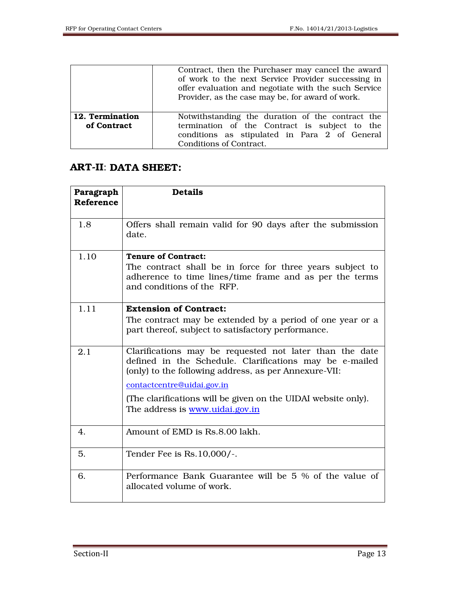|                                | Contract, then the Purchaser may cancel the award<br>of work to the next Service Provider successing in<br>offer evaluation and negotiate with the such Service<br>Provider, as the case may be, for award of work. |  |
|--------------------------------|---------------------------------------------------------------------------------------------------------------------------------------------------------------------------------------------------------------------|--|
| 12. Termination<br>of Contract | Notwithstanding the duration of the contract the<br>termination of the Contract is subject to the<br>conditions as stipulated in Para 2 of General<br>Conditions of Contract.                                       |  |

# ART-II: DATA SHEET:

| Paragraph<br><b>Reference</b> | <b>Details</b>                                                                                                                                                                                                                                                                                                |
|-------------------------------|---------------------------------------------------------------------------------------------------------------------------------------------------------------------------------------------------------------------------------------------------------------------------------------------------------------|
| 1.8                           | Offers shall remain valid for 90 days after the submission<br>date.                                                                                                                                                                                                                                           |
| 1.10                          | <b>Tenure of Contract:</b><br>The contract shall be in force for three years subject to<br>adherence to time lines/time frame and as per the terms<br>and conditions of the RFP.                                                                                                                              |
| 1.11                          | <b>Extension of Contract:</b><br>The contract may be extended by a period of one year or a<br>part thereof, subject to satisfactory performance.                                                                                                                                                              |
| 2.1                           | Clarifications may be requested not later than the date<br>defined in the Schedule. Clarifications may be e-mailed<br>(only) to the following address, as per Annexure-VII:<br>contactcentre@uidai.gov.in<br>(The clarifications will be given on the UIDAI website only).<br>The address is www.uidai.gov.in |
| 4.                            | Amount of EMD is Rs.8.00 lakh.                                                                                                                                                                                                                                                                                |
| 5.                            | Tender Fee is Rs. 10,000/-.                                                                                                                                                                                                                                                                                   |
| 6.                            | Performance Bank Guarantee will be 5 % of the value of<br>allocated volume of work.                                                                                                                                                                                                                           |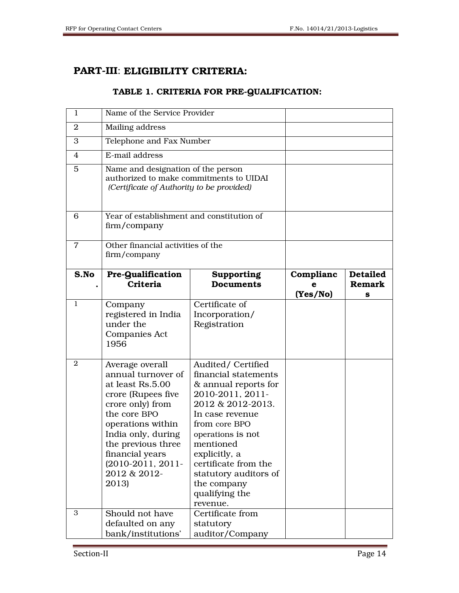# PART-III: ELIGIBILITY CRITERIA:

## TABLE 1. CRITERIA FOR PRE-QUALIFICATION:

| 1              | Name of the Service Provider                                                                                                                                                                                                                          |                                                                                                                                                                                                                                                                                                 |                            |                                                  |
|----------------|-------------------------------------------------------------------------------------------------------------------------------------------------------------------------------------------------------------------------------------------------------|-------------------------------------------------------------------------------------------------------------------------------------------------------------------------------------------------------------------------------------------------------------------------------------------------|----------------------------|--------------------------------------------------|
| 2              | Mailing address                                                                                                                                                                                                                                       |                                                                                                                                                                                                                                                                                                 |                            |                                                  |
| 3              | Telephone and Fax Number                                                                                                                                                                                                                              |                                                                                                                                                                                                                                                                                                 |                            |                                                  |
| $\overline{4}$ | E-mail address                                                                                                                                                                                                                                        |                                                                                                                                                                                                                                                                                                 |                            |                                                  |
| 5              | Name and designation of the person<br>authorized to make commitments to UIDAI<br>(Certificate of Authority to be provided)                                                                                                                            |                                                                                                                                                                                                                                                                                                 |                            |                                                  |
| 6              | Year of establishment and constitution of<br>firm/company                                                                                                                                                                                             |                                                                                                                                                                                                                                                                                                 |                            |                                                  |
| $\overline{7}$ | Other financial activities of the<br>firm/company                                                                                                                                                                                                     |                                                                                                                                                                                                                                                                                                 |                            |                                                  |
| S.No           | <b>Pre-Qualification</b><br>Criteria                                                                                                                                                                                                                  | Supporting<br><b>Documents</b>                                                                                                                                                                                                                                                                  | Complianc<br>е<br>(Yes/No) | <b>Detailed</b><br><b>Remark</b><br>$\mathbf{s}$ |
| 1              | Company<br>registered in India<br>under the<br><b>Companies Act</b><br>1956                                                                                                                                                                           | Certificate of<br>Incorporation/<br>Registration                                                                                                                                                                                                                                                |                            |                                                  |
| $\overline{2}$ | Average overall<br>annual turnover of<br>at least Rs.5.00<br>crore (Rupees five<br>crore only) from<br>the core BPO<br>operations within<br>India only, during<br>the previous three<br>financial years<br>(2010-2011, 2011-<br>2012 & 2012-<br>2013) | Audited/Certified<br>financial statements<br>& annual reports for<br>2010-2011, 2011-<br>2012 & 2012-2013.<br>In case revenue<br>from core BPO<br>operations is not<br>mentioned<br>explicitly, a<br>certificate from the<br>statutory auditors of<br>the company<br>qualifying the<br>revenue. |                            |                                                  |
| 3              | Should not have<br>defaulted on any<br>bank/institutions'                                                                                                                                                                                             | Certificate from<br>statutory<br>auditor/Company                                                                                                                                                                                                                                                |                            |                                                  |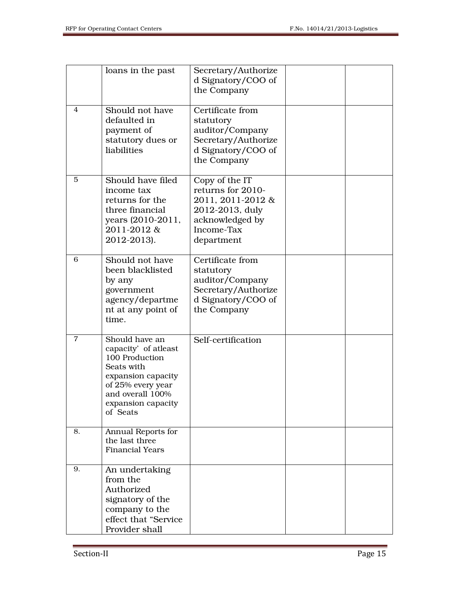|    | loans in the past                                                                                                                                                       | Secretary/Authorize<br>d Signatory/COO of<br>the Company                                                                   |  |
|----|-------------------------------------------------------------------------------------------------------------------------------------------------------------------------|----------------------------------------------------------------------------------------------------------------------------|--|
| 4  | Should not have<br>defaulted in<br>payment of<br>statutory dues or<br>liabilities                                                                                       | Certificate from<br>statutory<br>auditor/Company<br>Secretary/Authorize<br>d Signatory/COO of<br>the Company               |  |
| 5  | Should have filed<br>income tax<br>returns for the<br>three financial<br>years (2010-2011,<br>2011-2012&<br>2012-2013).                                                 | Copy of the IT<br>returns for 2010-<br>2011, 2011-2012 &<br>2012-2013, duly<br>acknowledged by<br>Income-Tax<br>department |  |
| 6  | Should not have<br>been blacklisted<br>by any<br>government<br>agency/departme<br>nt at any point of<br>time.                                                           | Certificate from<br>statutory<br>auditor/Company<br>Secretary/Authorize<br>d Signatory/COO of<br>the Company               |  |
| 7  | Should have an<br>capacity' of atleast<br>100 Production<br>Seats with<br>expansion capacity<br>of 25% every year<br>and overall 100%<br>expansion capacity<br>of Seats | Self-certification                                                                                                         |  |
| 8. | Annual Reports for<br>the last three<br><b>Financial Years</b>                                                                                                          |                                                                                                                            |  |
| 9. | An undertaking<br>from the<br>Authorized<br>signatory of the<br>company to the<br>effect that "Service<br>Provider shall                                                |                                                                                                                            |  |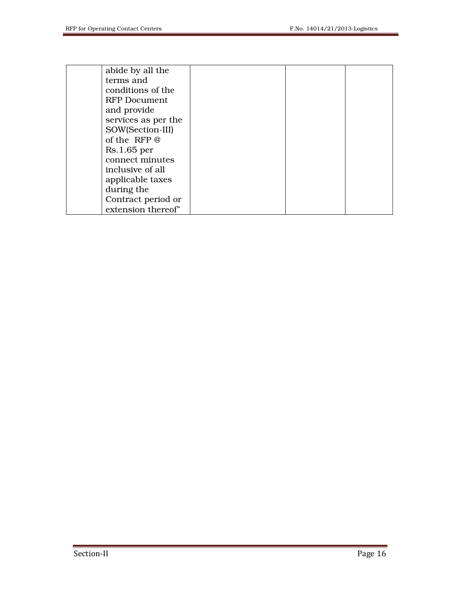| abide by all the    |  |  |
|---------------------|--|--|
|                     |  |  |
| terms and           |  |  |
| conditions of the   |  |  |
| RFP Document        |  |  |
| and provide         |  |  |
| services as per the |  |  |
| SOW(Section-III)    |  |  |
| of the RFP @        |  |  |
| Rs.1.65 per         |  |  |
| connect minutes     |  |  |
| inclusive of all    |  |  |
| applicable taxes    |  |  |
| during the          |  |  |
| Contract period or  |  |  |
| extension thereof"  |  |  |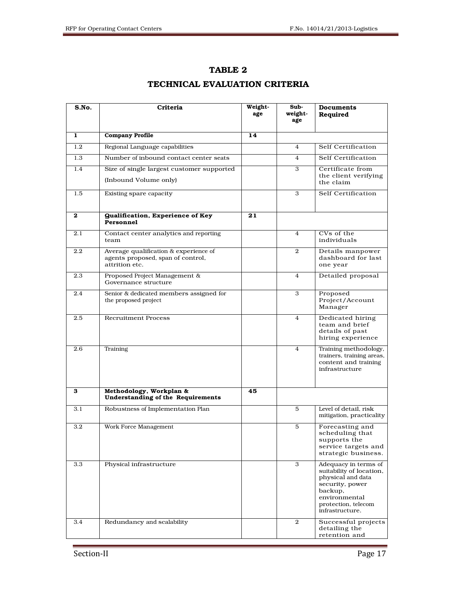| TABLE 2                       |  |
|-------------------------------|--|
| TECHNICAL EVALUATION CRITERIA |  |

| S.No.   | Criteria                                                                                     | Weight-<br>age | Sub-<br>weight-<br>age | Documents<br>Required                                                                                                                                          |
|---------|----------------------------------------------------------------------------------------------|----------------|------------------------|----------------------------------------------------------------------------------------------------------------------------------------------------------------|
| 1       | <b>Company Profile</b>                                                                       | 14             |                        |                                                                                                                                                                |
| $1.2\,$ | Regional Language capabilities                                                               |                | 4                      | Self Certification                                                                                                                                             |
| 1.3     | Number of inbound contact center seats                                                       |                | 4                      | Self Certification                                                                                                                                             |
| 1.4     | Size of single largest customer supported                                                    |                | 3                      | Certificate from                                                                                                                                               |
|         | (Inbound Volume only)                                                                        |                |                        | the client verifying<br>the claim                                                                                                                              |
| 1.5     | Existing spare capacity                                                                      |                | 3                      | Self Certification                                                                                                                                             |
| 2       | <b>Gualification, Experience of Key</b><br>Personnel                                         | 21             |                        |                                                                                                                                                                |
| 2.1     | Contact center analytics and reporting<br>team                                               |                | 4                      | CVs of the<br>individuals                                                                                                                                      |
| $2.2\,$ | Average qualification & experience of<br>agents proposed, span of control,<br>attrition etc. |                | $\overline{2}$         | Details manpower<br>dashboard for last<br>one year                                                                                                             |
| 2.3     | Proposed Project Management &<br>Governance structure                                        |                | 4                      | Detailed proposal                                                                                                                                              |
| 2.4     | Senior & dedicated members assigned for<br>the proposed project                              |                | 3                      | Proposed<br>Project/Account<br>Manager                                                                                                                         |
| 2.5     | <b>Recruitment Process</b>                                                                   |                | $\overline{4}$         | Dedicated hiring<br>team and brief<br>details of past<br>hiring experience                                                                                     |
| 2.6     | Training                                                                                     |                | 4                      | Training methodology,<br>trainers, training areas,<br>content and training<br>infrastructure                                                                   |
| з       | Methodology, Workplan &<br>Understanding of the Requirements                                 | 45             |                        |                                                                                                                                                                |
| 3.1     | Robustness of Implementation Plan                                                            |                | 5                      | Level of detail, risk<br>mitigation, practicality                                                                                                              |
| $3.2\,$ | Work Force Management                                                                        |                | 5                      | Forecasting and<br>scheduling that<br>supports the<br>service targets and<br>strategic business.                                                               |
| 3.3     | Physical infrastructure                                                                      |                | 3                      | Adequacy in terms of<br>suitability of location,<br>physical and data<br>security, power<br>backup,<br>environmental<br>protection, telecom<br>infrastructure. |
| 3.4     | Redundancy and scalability                                                                   |                | 2                      | Successful projects<br>detailing the<br>retention and                                                                                                          |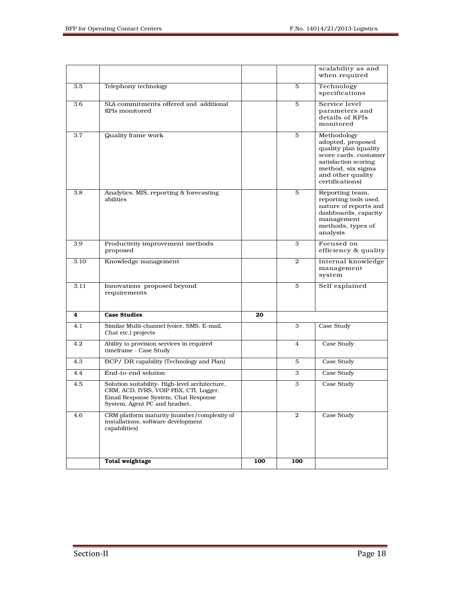|      |                                                                                                                                                                  |     |                | scalability as and<br>when required                                                                                                                                     |
|------|------------------------------------------------------------------------------------------------------------------------------------------------------------------|-----|----------------|-------------------------------------------------------------------------------------------------------------------------------------------------------------------------|
| 3.5  | Telephony technology                                                                                                                                             |     | 5              | Technology<br>specifications                                                                                                                                            |
| 3.6  | SLA commitments offered and additional<br>KPIs monitored                                                                                                         |     | 5              | Service level<br>parameters and<br>details of KPIs<br>monitored                                                                                                         |
| 3.7  | <b>Quality frame work</b>                                                                                                                                        |     | 5              | Methodology<br>adopted, proposed<br>quality plan (quality<br>score cards, customer<br>satisfaction scoring<br>method, six sigma<br>and other quality<br>certifications) |
| 3.8  | Analytics, MIS, reporting & forecasting<br>abilities                                                                                                             |     | 5              | Reporting team,<br>reporting tools used,<br>nature of reports and<br>dashboards, capacity<br>management<br>methods, types of<br>analysis                                |
| 3.9  | Productivity improvement methods<br>proposed                                                                                                                     |     | 3              | Focused on<br>efficiency & quality                                                                                                                                      |
| 3.10 | Knowledge management                                                                                                                                             |     | $\overline{2}$ | Internal knowledge<br>management<br>system                                                                                                                              |
| 3.11 | Innovations proposed beyond<br>requirements                                                                                                                      |     | 5              | Self explained                                                                                                                                                          |
| 4    | <b>Case Studies</b>                                                                                                                                              | 20  |                |                                                                                                                                                                         |
| 4.1  | Similar Multi-channel (voice, SMS, E-mail,<br>Chat etc.) projects                                                                                                |     | 3              | Case Study                                                                                                                                                              |
| 4.2  | Ability to provision services in required<br>timeframe - Case Study                                                                                              |     | $\overline{4}$ | Case Study                                                                                                                                                              |
| 4.3  | BCP/ DR capability (Technology and Plan)                                                                                                                         |     | 5              | Case Study                                                                                                                                                              |
| 4.4  | End-to-end solution                                                                                                                                              |     | 3              | Case Study                                                                                                                                                              |
| 4.5  | Solution suitability-High-level architecture,<br>CRM, ACD, IVRS, VOIP PBX, CTI, Logger,<br>Email Response System, Chat Response<br>System, Agent PC and headset. |     | 3              | Case Study                                                                                                                                                              |
| 4.6  | CRM platform maturity (number/complexity of<br>installations, software development<br>capabilities)                                                              |     | $\overline{2}$ | Case Study                                                                                                                                                              |
|      | <b>Total weightage</b>                                                                                                                                           | 100 | 100            |                                                                                                                                                                         |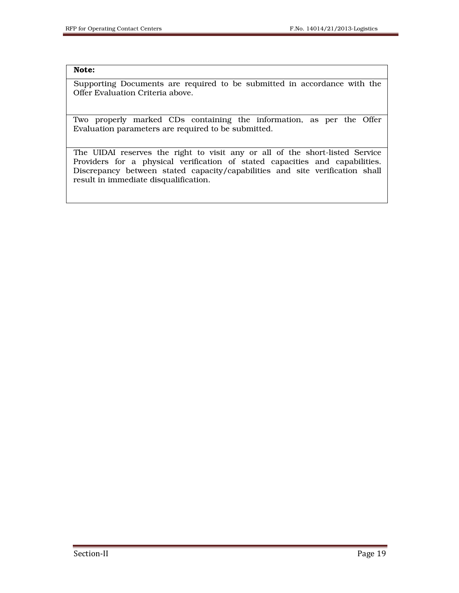#### Note:

Supporting Documents are required to be submitted in accordance with the Offer Evaluation Criteria above.

Two properly marked CDs containing the information, as per the Offer Evaluation parameters are required to be submitted.

The UIDAI reserves the right to visit any or all of the short-listed Service Providers for a physical verification of stated capacities and capabilities. Discrepancy between stated capacity/capabilities and site verification shall result in immediate disqualification.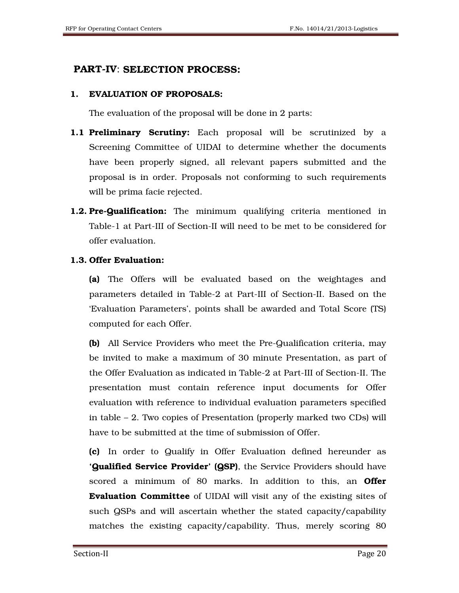# PART-IV: SELECTION PROCESS:

## 1. EVALUATION OF PROPOSALS:

The evaluation of the proposal will be done in 2 parts:

- **1.1 Preliminary Scrutiny:** Each proposal will be scrutinized by a Screening Committee of UIDAI to determine whether the documents have been properly signed, all relevant papers submitted and the proposal is in order. Proposals not conforming to such requirements will be prima facie rejected.
- **1.2. Pre-Qualification:** The minimum qualifying criteria mentioned in Table-1 at Part-III of Section-II will need to be met to be considered for offer evaluation.

## 1.3. Offer Evaluation:

 (a) The Offers will be evaluated based on the weightages and parameters detailed in Table-2 at Part-III of Section-II. Based on the 'Evaluation Parameters', points shall be awarded and Total Score (TS) computed for each Offer.

 (b) All Service Providers who meet the Pre-Qualification criteria, may be invited to make a maximum of 30 minute Presentation, as part of the Offer Evaluation as indicated in Table-2 at Part-III of Section-II. The presentation must contain reference input documents for Offer evaluation with reference to individual evaluation parameters specified in table – 2. Two copies of Presentation (properly marked two CDs) will have to be submitted at the time of submission of Offer.

 (c) In order to Qualify in Offer Evaluation defined hereunder as **'Qualified Service Provider' (QSP)**, the Service Providers should have scored a minimum of 80 marks. In addition to this, an **Offer** Evaluation Committee of UIDAI will visit any of the existing sites of such QSPs and will ascertain whether the stated capacity/capability matches the existing capacity/capability. Thus, merely scoring 80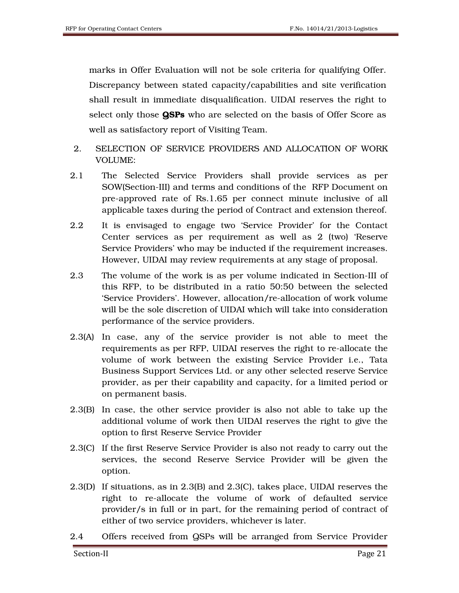marks in Offer Evaluation will not be sole criteria for qualifying Offer. Discrepancy between stated capacity/capabilities and site verification shall result in immediate disqualification. UIDAI reserves the right to select only those QSPs who are selected on the basis of Offer Score as well as satisfactory report of Visiting Team.

- 2. SELECTION OF SERVICE PROVIDERS AND ALLOCATION OF WORK VOLUME:
- 2.1 The Selected Service Providers shall provide services as per SOW(Section-III) and terms and conditions of the RFP Document on pre-approved rate of Rs.1.65 per connect minute inclusive of all applicable taxes during the period of Contract and extension thereof.
- 2.2 It is envisaged to engage two 'Service Provider' for the Contact Center services as per requirement as well as 2 (two) 'Reserve Service Providers' who may be inducted if the requirement increases. However, UIDAI may review requirements at any stage of proposal.
- 2.3 The volume of the work is as per volume indicated in Section-III of this RFP, to be distributed in a ratio 50:50 between the selected 'Service Providers'. However, allocation/re-allocation of work volume will be the sole discretion of UIDAI which will take into consideration performance of the service providers.
- 2.3(A) In case, any of the service provider is not able to meet the requirements as per RFP, UIDAI reserves the right to re-allocate the volume of work between the existing Service Provider i.e., Tata Business Support Services Ltd. or any other selected reserve Service provider, as per their capability and capacity, for a limited period or on permanent basis.
- 2.3(B) In case, the other service provider is also not able to take up the additional volume of work then UIDAI reserves the right to give the option to first Reserve Service Provider
- 2.3(C) If the first Reserve Service Provider is also not ready to carry out the services, the second Reserve Service Provider will be given the option.
- 2.3(D) If situations, as in 2.3(B) and 2.3(C), takes place, UIDAI reserves the right to re-allocate the volume of work of defaulted service provider/s in full or in part, for the remaining period of contract of either of two service providers, whichever is later.
- 2.4 Offers received from QSPs will be arranged from Service Provider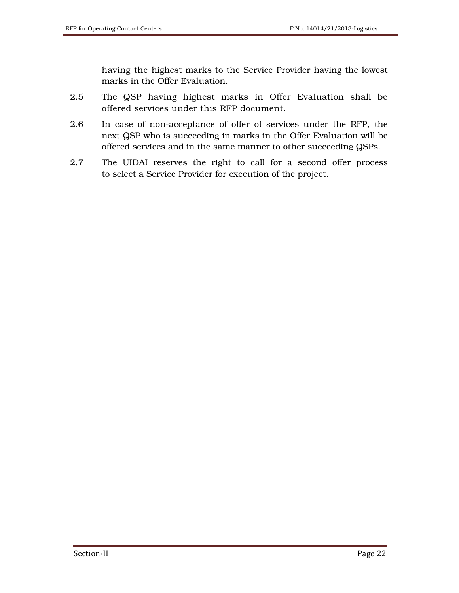having the highest marks to the Service Provider having the lowest marks in the Offer Evaluation.

- 2.5 The QSP having highest marks in Offer Evaluation shall be offered services under this RFP document.
- 2.6 In case of non-acceptance of offer of services under the RFP, the next QSP who is succeeding in marks in the Offer Evaluation will be offered services and in the same manner to other succeeding QSPs.
- 2.7 The UIDAI reserves the right to call for a second offer process to select a Service Provider for execution of the project.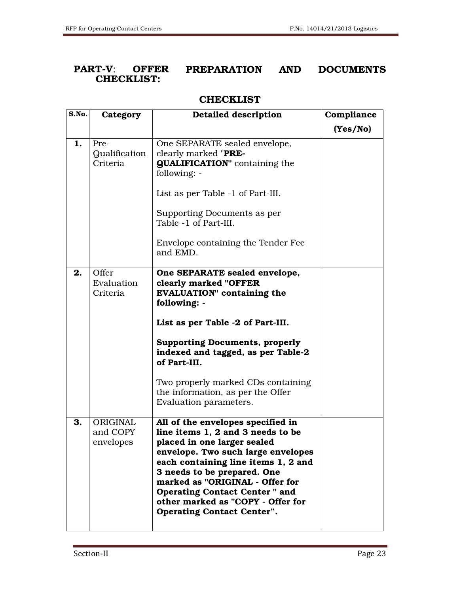## PART-V: OFFER PREPARATION AND DOCUMENTS CHECKLIST:

## **CHECKLIST**

| S.No. | Category                                 | Detailed description                                                                                                                                                                                                                                                                                                                                                    | Compliance |
|-------|------------------------------------------|-------------------------------------------------------------------------------------------------------------------------------------------------------------------------------------------------------------------------------------------------------------------------------------------------------------------------------------------------------------------------|------------|
|       |                                          |                                                                                                                                                                                                                                                                                                                                                                         | (Yes/No)   |
| 1.    | Pre-<br><b>Qualification</b><br>Criteria | One SEPARATE sealed envelope,<br>clearly marked "PRE-<br><b>QUALIFICATION"</b> containing the<br>following: -<br>List as per Table -1 of Part-III.<br>Supporting Documents as per<br>Table -1 of Part-III.<br>Envelope containing the Tender Fee<br>and EMD.                                                                                                            |            |
| 2.    | Offer<br>Evaluation<br>Criteria          | One SEPARATE sealed envelope,<br>clearly marked "OFFER<br><b>EVALUATION"</b> containing the<br>following: -<br>List as per Table -2 of Part-III.<br><b>Supporting Documents, properly</b><br>indexed and tagged, as per Table-2<br>of Part-III.<br>Two properly marked CDs containing<br>the information, as per the Offer<br>Evaluation parameters.                    |            |
| 3.    | ORIGINAL<br>and COPY<br>envelopes        | All of the envelopes specified in<br>line items 1, 2 and 3 needs to be<br>placed in one larger sealed<br>envelope. Two such large envelopes<br>each containing line items 1, 2 and<br>3 needs to be prepared. One<br>marked as "ORIGINAL - Offer for<br><b>Operating Contact Center " and</b><br>other marked as "COPY - Offer for<br><b>Operating Contact Center".</b> |            |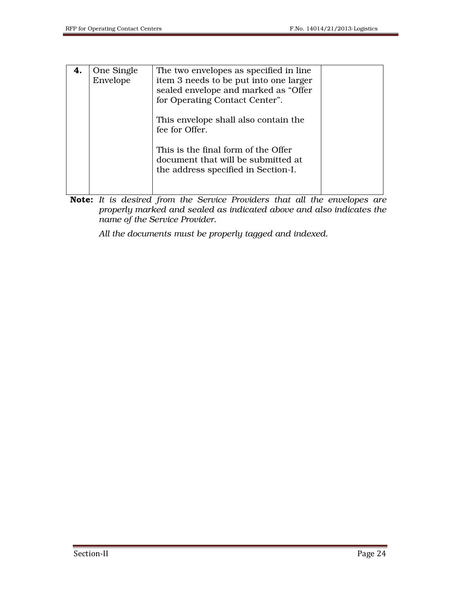| 4. | One Single<br>Envelope | The two envelopes as specified in line.<br>item 3 needs to be put into one larger<br>sealed envelope and marked as "Offer<br>for Operating Contact Center".<br>This envelope shall also contain the<br>fee for Offer. |  |
|----|------------------------|-----------------------------------------------------------------------------------------------------------------------------------------------------------------------------------------------------------------------|--|
|    |                        | This is the final form of the Offer<br>document that will be submitted at<br>the address specified in Section-I.                                                                                                      |  |

Note: *It is desired from the Service Providers that all the envelopes are properly marked and sealed as indicated above and also indicates the name of the Service Provider.* 

 *All the documents must be properly tagged and indexed.*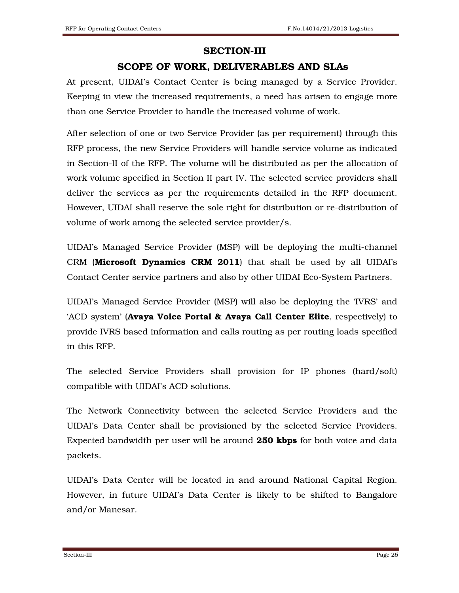#### SECTION-III

## SCOPE OF WORK, DELIVERABLES AND SLAs

At present, UIDAI's Contact Center is being managed by a Service Provider. Keeping in view the increased requirements, a need has arisen to engage more than one Service Provider to handle the increased volume of work.

After selection of one or two Service Provider (as per requirement) through this RFP process, the new Service Providers will handle service volume as indicated in Section-II of the RFP. The volume will be distributed as per the allocation of work volume specified in Section II part IV. The selected service providers shall deliver the services as per the requirements detailed in the RFP document. However, UIDAI shall reserve the sole right for distribution or re-distribution of volume of work among the selected service provider/s.

UIDAI's Managed Service Provider (MSP) will be deploying the multi-channel CRM (Microsoft Dynamics CRM 2011) that shall be used by all UIDAI's Contact Center service partners and also by other UIDAI Eco-System Partners.

UIDAI's Managed Service Provider (MSP) will also be deploying the 'IVRS' and 'ACD system' (Avaya Voice Portal & Avaya Call Center Elite, respectively) to provide IVRS based information and calls routing as per routing loads specified in this RFP.

The selected Service Providers shall provision for IP phones (hard/soft) compatible with UIDAI's ACD solutions.

The Network Connectivity between the selected Service Providers and the UIDAI's Data Center shall be provisioned by the selected Service Providers. Expected bandwidth per user will be around 250 kbps for both voice and data packets.

UIDAI's Data Center will be located in and around National Capital Region. However, in future UIDAI's Data Center is likely to be shifted to Bangalore and/or Manesar.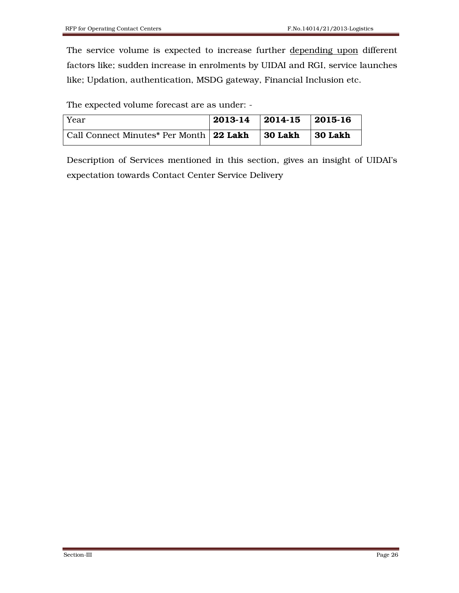The service volume is expected to increase further depending upon different factors like; sudden increase in enrolments by UIDAI and RGI, service launches like; Updation, authentication, MSDG gateway, Financial Inclusion etc.

The expected volume forecast are as under: -

| Year                                                        | $2013-14$ 2014-15 2015-16 |                 |
|-------------------------------------------------------------|---------------------------|-----------------|
| Call Connect Minutes <sup>*</sup> Per Month 22 Lakh 30 Lakh |                           | $\vert$ 30 Lakh |

Description of Services mentioned in this section, gives an insight of UIDAI's expectation towards Contact Center Service Delivery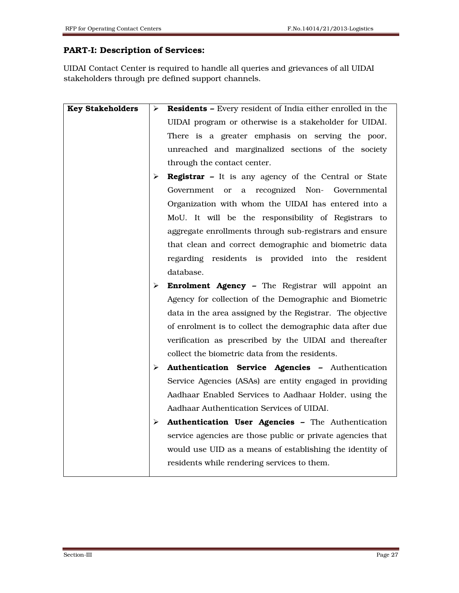# PART-I: Description of Services:

UIDAI Contact Center is required to handle all queries and grievances of all UIDAI stakeholders through pre defined support channels.

| <b>Key Stakeholders</b> | ➤ | <b>Residents - Every resident of India either enrolled in the</b> |
|-------------------------|---|-------------------------------------------------------------------|
|                         |   | UIDAI program or otherwise is a stakeholder for UIDAI.            |
|                         |   | There is a greater emphasis on serving the poor,                  |
|                         |   | unreached and marginalized sections of the society                |
|                         |   | through the contact center.                                       |
|                         | ⋗ | <b>Registrar</b> - It is any agency of the Central or State       |
|                         |   | a recognized Non- Governmental<br>Government<br><sub>or</sub>     |
|                         |   | Organization with whom the UIDAI has entered into a               |
|                         |   | MoU. It will be the responsibility of Registrars to               |
|                         |   | aggregate enrollments through sub-registrars and ensure           |
|                         |   | that clean and correct demographic and biometric data             |
|                         |   | regarding residents is provided into the resident                 |
|                         |   | database.                                                         |
|                         | ➤ | <b>Enrolment Agency -</b> The Registrar will appoint an           |
|                         |   | Agency for collection of the Demographic and Biometric            |
|                         |   | data in the area assigned by the Registrar. The objective         |
|                         |   | of enrolment is to collect the demographic data after due         |
|                         |   | verification as prescribed by the UIDAI and thereafter            |
|                         |   | collect the biometric data from the residents.                    |
|                         | ➤ | Authentication Service Agencies - Authentication                  |
|                         |   | Service Agencies (ASAs) are entity engaged in providing           |
|                         |   | Aadhaar Enabled Services to Aadhaar Holder, using the             |
|                         |   | Aadhaar Authentication Services of UIDAI.                         |
|                         | ➤ | Authentication User Agencies - The Authentication                 |
|                         |   | service agencies are those public or private agencies that        |
|                         |   | would use UID as a means of establishing the identity of          |
|                         |   | residents while rendering services to them.                       |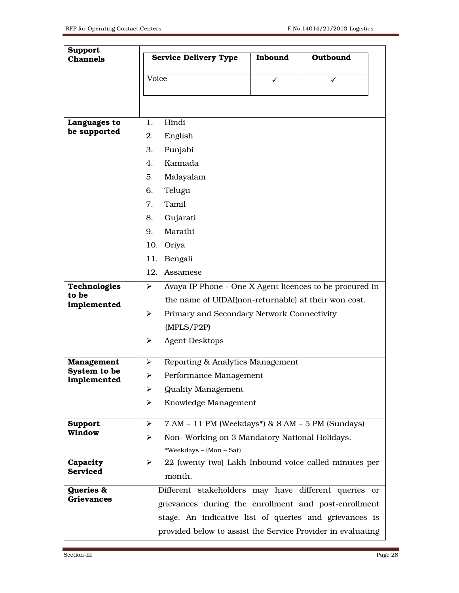| <b>Support</b><br><b>Channels</b> | <b>Service Delivery Type</b>                                                     | Inbound | Outbound |  |  |  |
|-----------------------------------|----------------------------------------------------------------------------------|---------|----------|--|--|--|
|                                   | Voice                                                                            | ✓       | ✓        |  |  |  |
|                                   |                                                                                  |         |          |  |  |  |
|                                   |                                                                                  |         |          |  |  |  |
| Languages to                      | Hindi<br>1.                                                                      |         |          |  |  |  |
| be supported                      | 2.<br>English                                                                    |         |          |  |  |  |
|                                   | 3.<br>Punjabi                                                                    |         |          |  |  |  |
|                                   | Kannada<br>4.                                                                    |         |          |  |  |  |
|                                   | Malayalam<br>5.                                                                  |         |          |  |  |  |
|                                   | Telugu<br>6.                                                                     |         |          |  |  |  |
|                                   | Tamil<br>7.                                                                      |         |          |  |  |  |
|                                   | Gujarati<br>8.                                                                   |         |          |  |  |  |
|                                   | Marathi<br>9.                                                                    |         |          |  |  |  |
|                                   | 10. Oriya                                                                        |         |          |  |  |  |
|                                   | Bengali<br>11.                                                                   |         |          |  |  |  |
|                                   | 12. Assamese                                                                     |         |          |  |  |  |
| Technologies<br>to be             | Avaya IP Phone - One X Agent licences to be procured in<br>$\blacktriangleright$ |         |          |  |  |  |
| implemented                       | the name of UIDAI(non-returnable) at their won cost.                             |         |          |  |  |  |
|                                   | ➤<br>Primary and Secondary Network Connectivity                                  |         |          |  |  |  |
|                                   |                                                                                  |         |          |  |  |  |
|                                   | <b>Agent Desktops</b><br>➤                                                       |         |          |  |  |  |
| <b>Management</b>                 | Reporting & Analytics Management<br>➤                                            |         |          |  |  |  |
| System to be<br>implemented       | Performance Management<br>➤                                                      |         |          |  |  |  |
|                                   | <b>Quality Management</b><br>≻                                                   |         |          |  |  |  |
|                                   | Knowledge Management<br>➤                                                        |         |          |  |  |  |
| <b>Support</b>                    | 7 AM - 11 PM (Weekdays*) & 8 AM - 5 PM (Sundays)<br>➤                            |         |          |  |  |  |
| <b>Window</b>                     | Non-Working on 3 Mandatory National Holidays.<br>➤                               |         |          |  |  |  |
|                                   | *Weekdays - (Mon - Sat)                                                          |         |          |  |  |  |
| Capacity                          | 22 (twenty two) Lakh Inbound voice called minutes per<br>➤                       |         |          |  |  |  |
| <b>Serviced</b>                   | month.                                                                           |         |          |  |  |  |
| <b>Queries &amp;</b>              | Different stakeholders may have different queries or                             |         |          |  |  |  |
| <b>Grievances</b>                 | grievances during the enrollment and post-enrollment                             |         |          |  |  |  |
|                                   | stage. An indicative list of queries and grievances is                           |         |          |  |  |  |
|                                   | provided below to assist the Service Provider in evaluating                      |         |          |  |  |  |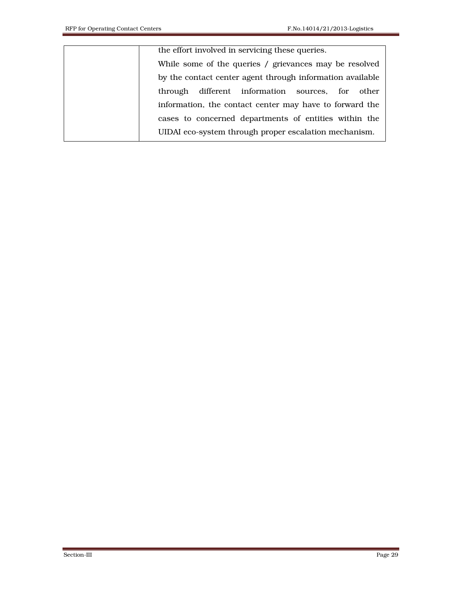the effort involved in servicing these queries.

While some of the queries / grievances may be resolved by the contact center agent through information available through different information sources, for other information, the contact center may have to forward the cases to concerned departments of entities within the UIDAI eco-system through proper escalation mechanism.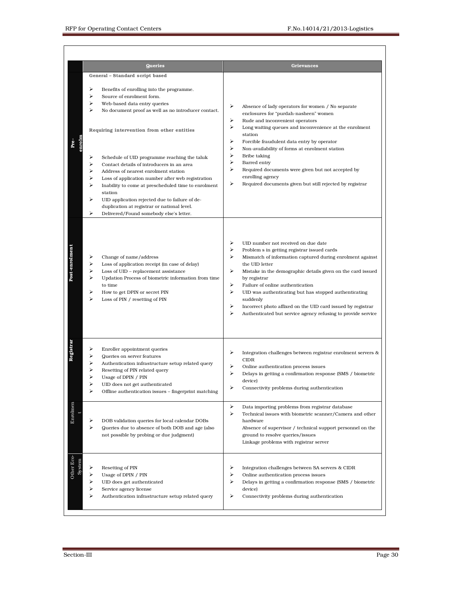|                | <b>Queries</b>                                                                                                                                                                                                                                                                                                                                                                                                                                                                                                                                                                                                                                                                                 | <b>Grievances</b>                                                                                                                                                                                                                                                                                                                                                                                                                                                                                                                |
|----------------|------------------------------------------------------------------------------------------------------------------------------------------------------------------------------------------------------------------------------------------------------------------------------------------------------------------------------------------------------------------------------------------------------------------------------------------------------------------------------------------------------------------------------------------------------------------------------------------------------------------------------------------------------------------------------------------------|----------------------------------------------------------------------------------------------------------------------------------------------------------------------------------------------------------------------------------------------------------------------------------------------------------------------------------------------------------------------------------------------------------------------------------------------------------------------------------------------------------------------------------|
| Pre-           | General - Standard script based<br>⋗<br>Benefits of enrolling into the programme.<br>⋗<br>Source of enrolment form.<br>⋗<br>Web-based data entry queries<br>⋗<br>No document proof as well as no introducer contact.<br>Requiring intervention from other entities<br>Schedule of UID programme reaching the taluk<br>⋗<br>Contact details of introducers in an area<br>Address of nearest enrolment station<br>Loss of application number after web registration<br>⋗<br>Inability to come at prescheduled time to enrolment<br>station<br>⋗<br>UID application rejected due to failure of de-<br>duplication at registrar or national level.<br>⋗<br>Delivered/Found somebody else's letter. | ⋗<br>Absence of lady operators for women / No separate<br>enclosures for "purdah-nasheen" women<br>⋗<br>Rude and inconvenient operators<br>➤<br>Long waiting queues and inconvenience at the enrolment<br>station<br>⋗<br>Forcible fraudulent data entry by operator<br>⋗<br>Non-availability of forms at enrolment station<br>⋗<br>Bribe taking<br>➤<br>Barred entry<br>⋗<br>Required documents were given but not accepted by<br>enrolling agency<br>⋗<br>Required documents given but still rejected by registrar             |
| Post-enrolment | Change of name/address<br>⋗<br>⋗<br>Loss of application receipt (in case of delay)<br>⋗<br>Loss of UID - replacement assistance<br>⋗<br>Updation Process of biometric information from time<br>to time<br>⋗<br>How to get DPIN or secret PIN<br>Loss of PIN / resetting of PIN                                                                                                                                                                                                                                                                                                                                                                                                                 | ⋗<br>UID number not received on due date<br>➤<br>Problem s in getting registrar issued cards<br>➤<br>Mismatch of information captured during enrolment against<br>the UID letter<br>⋗<br>Mistake in the demographic details given on the card issued<br>by registrar<br>⋗<br>Failure of online authentication<br>⋗<br>UID was authenticating but has stopped authenticating<br>suddenly<br>⋗<br>Incorrect photo affixed on the UID card issued by registrar<br>⋗<br>Authenticated but service agency refusing to provide service |
|                | ⋗<br>Enroller appointment queries<br>⋗<br>Queries on server features<br>Authentication infrastructure setup related query<br>Resetting of PIN related query<br>Usage of DPIN / PIN<br>➤<br>UID does not get authenticated<br>⋗<br>Offline authentication issues - fingerprint matching                                                                                                                                                                                                                                                                                                                                                                                                         | ⋗<br>Integration challenges between registrar enrolment servers &<br><b>CIDR</b><br>⋗<br>Online authentication process issues<br>⋗<br>Delays in getting a confirmation response (SMS / biometric<br>device)<br>⋗<br>Connectivity problems during authentication                                                                                                                                                                                                                                                                  |
| Enrolmen       | DOB validation queries for local calendar DOBs<br>⋗<br>⋗<br>Queries due to absence of both DOB and age (also<br>not possible by probing or due judgment)                                                                                                                                                                                                                                                                                                                                                                                                                                                                                                                                       | ⋗<br>Data importing problems from registrar database<br>➤<br>Technical issues with biometric scanner/Camera and other<br>hardware<br>Absence of supervisor / technical support personnel on the<br>ground to resolve queries/issues<br>Linkage problems with registrar server                                                                                                                                                                                                                                                    |
| Other Eco-     | ⋗<br>Resetting of PIN<br>⋗<br>Usage of DPIN / PIN<br>UID does get authenticated<br>⋗<br>⋗<br>Service agency license<br>⋗<br>Authentication infrastructure setup related query                                                                                                                                                                                                                                                                                                                                                                                                                                                                                                                  | ⋗<br>Integration challenges between SA servers & CIDR<br>⋗<br>Online authentication process issues<br>⋗<br>Delays in getting a confirmation response (SMS / biometric<br>device)<br>⋗<br>Connectivity problems during authentication                                                                                                                                                                                                                                                                                             |

I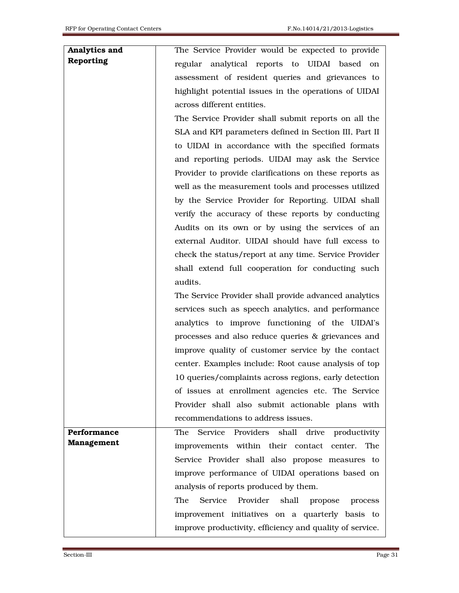#### Analytics and Reporting

The Service Provider would be expected to provide regular analytical reports to UIDAI based on assessment of resident queries and grievances to highlight potential issues in the operations of UIDAI across different entities.

The Service Provider shall submit reports on all the SLA and KPI parameters defined in Section III, Part II to UIDAI in accordance with the specified formats and reporting periods. UIDAI may ask the Service Provider to provide clarifications on these reports as well as the measurement tools and processes utilized by the Service Provider for Reporting. UIDAI shall verify the accuracy of these reports by conducting Audits on its own or by using the services of an external Auditor. UIDAI should have full excess to check the status/report at any time. Service Provider shall extend full cooperation for conducting such audits.

The Service Provider shall provide advanced analytics services such as speech analytics, and performance analytics to improve functioning of the UIDAI's processes and also reduce queries & grievances and improve quality of customer service by the contact center. Examples include: Root cause analysis of top 10 queries/complaints across regions, early detection of issues at enrollment agencies etc. The Service Provider shall also submit actionable plans with recommendations to address issues.

Performance Management The Service Providers shall drive productivity improvements within their contact center. The Service Provider shall also propose measures to improve performance of UIDAI operations based on analysis of reports produced by them. The Service Provider shall propose process

improvement initiatives on a quarterly basis to improve productivity, efficiency and quality of service.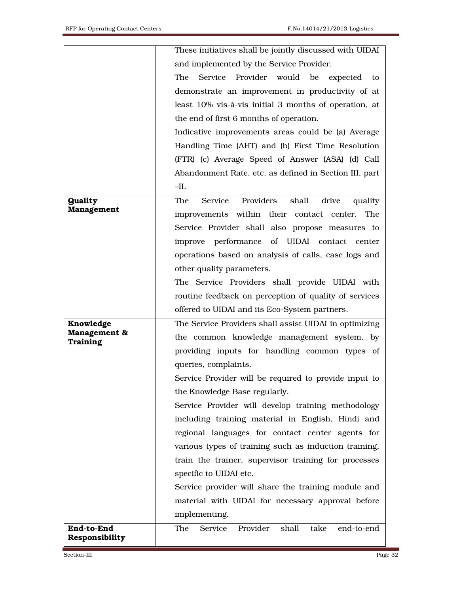|                                 | These initiatives shall be jointly discussed with UIDAI   |
|---------------------------------|-----------------------------------------------------------|
|                                 | and implemented by the Service Provider.                  |
|                                 | The Service Provider would be expected to                 |
|                                 | demonstrate an improvement in productivity of at          |
|                                 | least 10% vis-à-vis initial 3 months of operation, at     |
|                                 | the end of first 6 months of operation.                   |
|                                 | Indicative improvements areas could be (a) Average        |
|                                 | Handling Time (AHT) and (b) First Time Resolution         |
|                                 | (FTR) (c) Average Speed of Answer (ASA) (d) Call          |
|                                 | Abandonment Rate, etc. as defined in Section III, part    |
|                                 | $-II.$                                                    |
| <b>Quality</b>                  | Providers<br>shall<br>drive<br>Service<br>The<br>quality  |
| Management                      | improvements within their contact center.<br>The          |
|                                 | Service Provider shall also propose measures to           |
|                                 | improve performance of UIDAI contact center               |
|                                 | operations based on analysis of calls, case logs and      |
|                                 | other quality parameters.                                 |
|                                 | The Service Providers shall provide UIDAI with            |
|                                 | routine feedback on perception of quality of services     |
|                                 | offered to UIDAI and its Eco-System partners.             |
| Knowledge                       | The Service Providers shall assist UIDAI in optimizing    |
| Management &<br><b>Training</b> | the common knowledge management system, by                |
|                                 | providing inputs for handling common types of             |
|                                 | queries, complaints.                                      |
|                                 | Service Provider will be required to provide input to     |
|                                 | the Knowledge Base regularly.                             |
|                                 | Service Provider will develop training methodology        |
|                                 | including training material in English, Hindi and         |
|                                 | regional languages for contact center agents for          |
|                                 | various types of training such as induction training,     |
|                                 | train the trainer, supervisor training for processes      |
|                                 | specific to UIDAI etc.                                    |
|                                 | Service provider will share the training module and       |
|                                 | material with UIDAI for necessary approval before         |
|                                 | implementing.                                             |
| End-to-End                      | Provider<br>shall<br>take<br>The<br>Service<br>end-to-end |
| Responsibility                  |                                                           |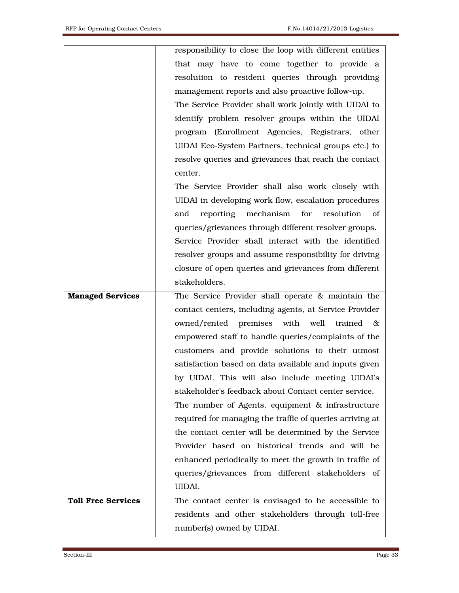|                           | responsibility to close the loop with different entities |
|---------------------------|----------------------------------------------------------|
|                           | that may have to come together to provide a              |
|                           | resolution to resident queries through providing         |
|                           | management reports and also proactive follow-up.         |
|                           | The Service Provider shall work jointly with UIDAI to    |
|                           | identify problem resolver groups within the UIDAI        |
|                           | program (Enrollment Agencies, Registrars, other          |
|                           | UIDAI Eco-System Partners, technical groups etc.) to     |
|                           | resolve queries and grievances that reach the contact    |
|                           | center.                                                  |
|                           | The Service Provider shall also work closely with        |
|                           | UIDAI in developing work flow, escalation procedures     |
|                           | reporting<br>mechanism<br>for<br>resolution<br>of<br>and |
|                           | queries/grievances through different resolver groups.    |
|                           | Service Provider shall interact with the identified      |
|                           | resolver groups and assume responsibility for driving    |
|                           | closure of open queries and grievances from different    |
|                           | stakeholders.                                            |
| <b>Managed Services</b>   | The Service Provider shall operate & maintain the        |
|                           | contact centers, including agents, at Service Provider   |
|                           | owned/rented premises with well<br>trained<br>$-\infty$  |
|                           | empowered staff to handle queries/complaints of the      |
|                           | customers and provide solutions to their utmost          |
|                           | satisfaction based on data available and inputs given    |
|                           | by UIDAI. This will also include meeting UIDAI's         |
|                           | stakeholder's feedback about Contact center service.     |
|                           | The number of Agents, equipment & infrastructure         |
|                           | required for managing the traffic of queries arriving at |
|                           |                                                          |
|                           | the contact center will be determined by the Service     |
|                           | Provider based on historical trends and will be          |
|                           | enhanced periodically to meet the growth in traffic of   |
|                           | queries/grievances from different stakeholders of        |
|                           | UIDAI.                                                   |
| <b>Toll Free Services</b> | The contact center is envisaged to be accessible to      |
|                           | residents and other stakeholders through toll-free       |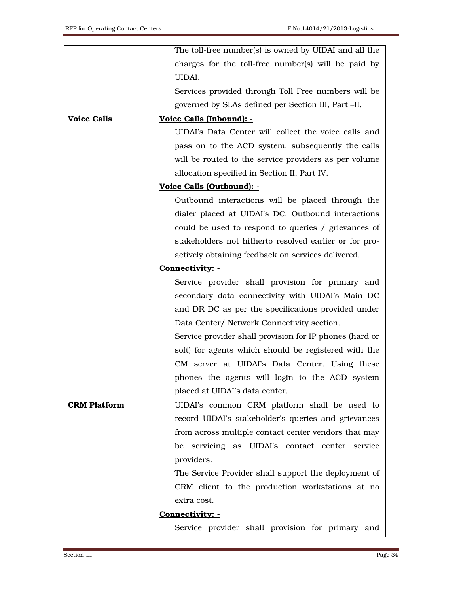|                     | The toll-free number(s) is owned by UIDAI and all the   |
|---------------------|---------------------------------------------------------|
|                     | charges for the toll-free number(s) will be paid by     |
|                     | UIDAI.                                                  |
|                     | Services provided through Toll Free numbers will be     |
|                     | governed by SLAs defined per Section III, Part -II.     |
| <b>Voice Calls</b>  | Voice Calls (Inbound): -                                |
|                     | UIDAI's Data Center will collect the voice calls and    |
|                     | pass on to the ACD system, subsequently the calls       |
|                     | will be routed to the service providers as per volume   |
|                     | allocation specified in Section II, Part IV.            |
|                     | Voice Calls (Outbound): -                               |
|                     | Outbound interactions will be placed through the        |
|                     | dialer placed at UIDAI's DC. Outbound interactions      |
|                     | could be used to respond to queries / grievances of     |
|                     | stakeholders not hitherto resolved earlier or for pro-  |
|                     | actively obtaining feedback on services delivered.      |
|                     | Connectivity: -                                         |
|                     | Service provider shall provision for primary and        |
|                     | secondary data connectivity with UIDAI's Main DC        |
|                     | and DR DC as per the specifications provided under      |
|                     | Data Center/ Network Connectivity section.              |
|                     |                                                         |
|                     | Service provider shall provision for IP phones (hard or |
|                     | soft) for agents which should be registered with the    |
|                     | CM server at UIDAI's Data Center. Using these           |
|                     | phones the agents will login to the ACD system          |
|                     | placed at UIDAI's data center.                          |
| <b>CRM Platform</b> | UIDAI's common CRM platform shall be used to            |
|                     | record UIDAI's stakeholder's queries and grievances     |
|                     | from across multiple contact center vendors that may    |
|                     | be servicing as UIDAI's contact center service          |
|                     | providers.                                              |
|                     | The Service Provider shall support the deployment of    |
|                     | CRM client to the production workstations at no         |
|                     | extra cost.                                             |
|                     | Connectivity: -                                         |
|                     | Service provider shall provision for primary and        |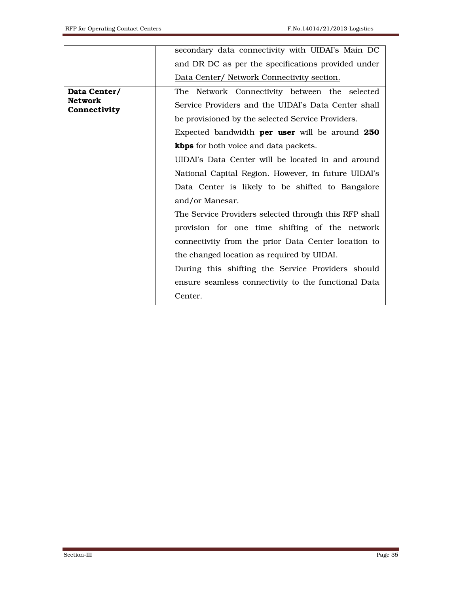|                                                | secondary data connectivity with UIDAI's Main DC      |
|------------------------------------------------|-------------------------------------------------------|
|                                                | and DR DC as per the specifications provided under    |
|                                                | Data Center/ Network Connectivity section.            |
| Data Center/<br><b>Network</b><br>Connectivity | The Network Connectivity between the selected         |
|                                                | Service Providers and the UIDAI's Data Center shall   |
|                                                | be provisioned by the selected Service Providers.     |
|                                                | Expected bandwidth <b>per user</b> will be around 250 |
|                                                | <b>kbps</b> for both voice and data packets.          |
|                                                | UIDAI's Data Center will be located in and around     |
|                                                | National Capital Region. However, in future UIDAI's   |
|                                                | Data Center is likely to be shifted to Bangalore      |
|                                                | and/or Manesar.                                       |
|                                                | The Service Providers selected through this RFP shall |
|                                                | provision for one time shifting of the network        |
|                                                | connectivity from the prior Data Center location to   |
|                                                | the changed location as required by UIDAI.            |
|                                                | During this shifting the Service Providers should     |
|                                                | ensure seamless connectivity to the functional Data   |
|                                                | Center.                                               |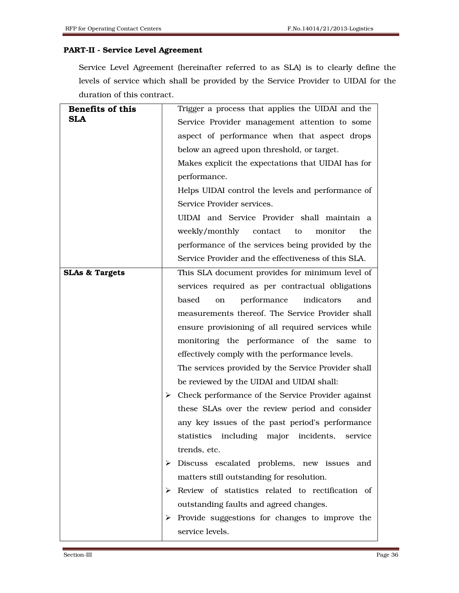## PART-II - Service Level Agreement

Service Level Agreement (hereinafter referred to as SLA) is to clearly define the levels of service which shall be provided by the Service Provider to UIDAI for the duration of this contract.

| <b>Benefits of this</b>   | Trigger a process that applies the UIDAI and the                   |
|---------------------------|--------------------------------------------------------------------|
| <b>SLA</b>                | Service Provider management attention to some                      |
|                           | aspect of performance when that aspect drops                       |
|                           | below an agreed upon threshold, or target.                         |
|                           | Makes explicit the expectations that UIDAI has for                 |
|                           | performance.                                                       |
|                           | Helps UIDAI control the levels and performance of                  |
|                           | Service Provider services.                                         |
|                           | UIDAI and Service Provider shall maintain a                        |
|                           | weekly/monthly<br>contact<br>the<br>to<br>monitor                  |
|                           | performance of the services being provided by the                  |
|                           | Service Provider and the effectiveness of this SLA.                |
| <b>SLAs &amp; Targets</b> | This SLA document provides for minimum level of                    |
|                           | services required as per contractual obligations                   |
|                           | performance<br>indicators<br>based<br>and<br>on                    |
|                           | measurements thereof. The Service Provider shall                   |
|                           | ensure provisioning of all required services while                 |
|                           | monitoring the performance of the same to                          |
|                           | effectively comply with the performance levels.                    |
|                           | The services provided by the Service Provider shall                |
|                           | be reviewed by the UIDAI and UIDAI shall:                          |
|                           | $\triangleright$ Check performance of the Service Provider against |
|                           | these SLAs over the review period and consider                     |
|                           | any key issues of the past period's performance                    |
|                           | statistics including major incidents,<br>service                   |
|                           | trends, etc.                                                       |
|                           | $\triangleright$ Discuss escalated problems, new issues<br>and     |
|                           | matters still outstanding for resolution.                          |
|                           | Review of statistics related to rectification of<br>➤              |
|                           | outstanding faults and agreed changes.                             |
|                           | $\triangleright$ Provide suggestions for changes to improve the    |
|                           | service levels.                                                    |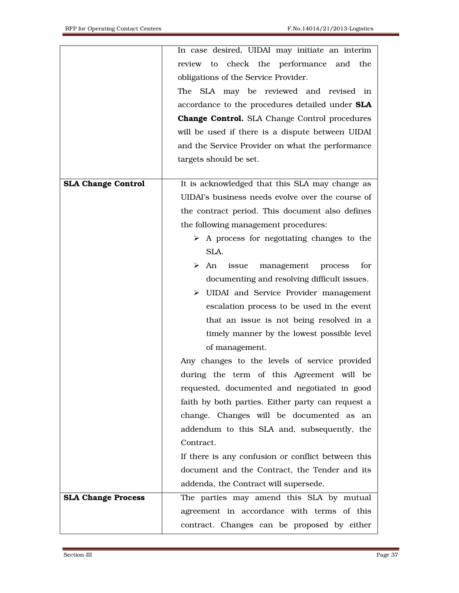|                           | In case desired, UIDAI may initiate an interim            |
|---------------------------|-----------------------------------------------------------|
|                           | review to check the performance<br>and<br>the             |
|                           | obligations of the Service Provider.                      |
|                           | The SLA may be reviewed and revised in                    |
|                           | accordance to the procedures detailed under SLA           |
|                           | <b>Change Control.</b> SLA Change Control procedures      |
|                           | will be used if there is a dispute between UIDAI          |
|                           | and the Service Provider on what the performance          |
|                           | targets should be set.                                    |
|                           |                                                           |
| <b>SLA Change Control</b> | It is acknowledged that this SLA may change as            |
|                           | UIDAI's business needs evolve over the course of          |
|                           | the contract period. This document also defines           |
|                           | the following management procedures:                      |
|                           | $\triangleright$ A process for negotiating changes to the |
|                           | SLA.                                                      |
|                           | for<br>issue<br>management<br>≻<br>An<br>process          |
|                           | documenting and resolving difficult issues.               |
|                           | $\triangleright$ UIDAI and Service Provider management    |
|                           | escalation process to be used in the event                |
|                           | that an issue is not being resolved in a                  |
|                           | timely manner by the lowest possible level                |
|                           | of management.                                            |
|                           | Any changes to the levels of service provided             |
|                           | during the term of this Agreement will be                 |
|                           | requested, documented and negotiated in good              |
|                           | faith by both parties. Either party can request a         |
|                           | change. Changes will be documented as an                  |
|                           | addendum to this SLA and, subsequently, the               |
|                           | Contract.                                                 |
|                           | If there is any confusion or conflict between this        |
|                           | document and the Contract, the Tender and its             |
|                           | addenda, the Contract will supersede.                     |
| <b>SLA Change Process</b> | The parties may amend this SLA by mutual                  |
|                           | agreement in accordance with terms of this                |
|                           | contract. Changes can be proposed by either               |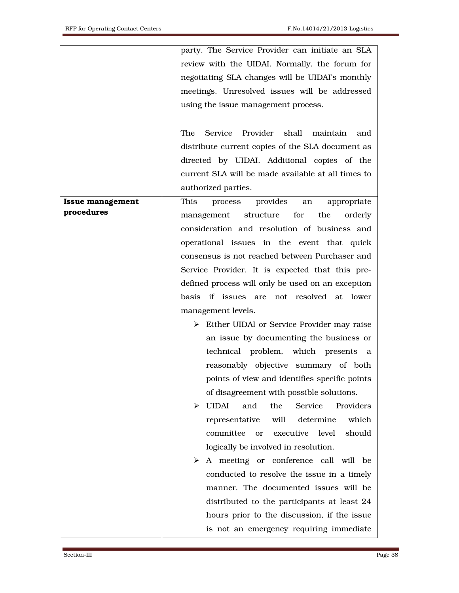|                         | party. The Service Provider can initiate an SLA             |
|-------------------------|-------------------------------------------------------------|
|                         | review with the UIDAI. Normally, the forum for              |
|                         | negotiating SLA changes will be UIDAI's monthly             |
|                         | meetings. Unresolved issues will be addressed               |
|                         | using the issue management process.                         |
|                         |                                                             |
|                         | Provider<br>The<br>Service<br>shall<br>maintain<br>and      |
|                         | distribute current copies of the SLA document as            |
|                         |                                                             |
|                         | directed by UIDAI. Additional copies of the                 |
|                         | current SLA will be made available at all times to          |
|                         | authorized parties.                                         |
| <b>Issue management</b> | provides<br>This<br>process<br>appropriate<br>an            |
| procedures              | for<br>management structure<br>the<br>orderly               |
|                         | consideration and resolution of business and                |
|                         | operational issues in the event that quick                  |
|                         | consensus is not reached between Purchaser and              |
|                         | Service Provider. It is expected that this pre-             |
|                         | defined process will only be used on an exception           |
|                         | basis if issues are not resolved at lower                   |
|                         | management levels.                                          |
|                         | $\triangleright$ Either UIDAI or Service Provider may raise |
|                         | an issue by documenting the business or                     |
|                         | technical problem, which presents a                         |
|                         | reasonably objective summary of both                        |
|                         | points of view and identifies specific points               |
|                         | of disagreement with possible solutions.                    |
|                         | UIDAI<br>the<br>Providers<br>and<br>Service<br>➤            |
|                         | which<br>determine<br>representative<br>will                |
|                         | committee<br>executive level<br>should<br><sub>or</sub>     |
|                         | logically be involved in resolution.                        |
|                         | A meeting or conference call will be<br>➤                   |
|                         | conducted to resolve the issue in a timely                  |
|                         | manner. The documented issues will be                       |
|                         |                                                             |
|                         | distributed to the participants at least 24                 |
|                         | hours prior to the discussion, if the issue                 |
|                         | is not an emergency requiring immediate                     |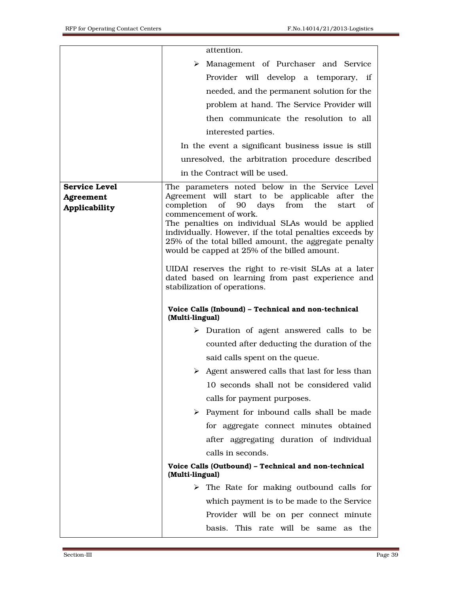|                      | attention.                                                                                                    |
|----------------------|---------------------------------------------------------------------------------------------------------------|
|                      | > Management of Purchaser and Service                                                                         |
|                      | Provider will develop a temporary, if                                                                         |
|                      | needed, and the permanent solution for the                                                                    |
|                      | problem at hand. The Service Provider will                                                                    |
|                      | then communicate the resolution to all                                                                        |
|                      | interested parties.                                                                                           |
|                      | In the event a significant business issue is still                                                            |
|                      | unresolved, the arbitration procedure described                                                               |
|                      | in the Contract will be used.                                                                                 |
| <b>Service Level</b> | The parameters noted below in the Service Level                                                               |
| Agreement            | Agreement will start to be applicable after the<br>completion of 90 days from the<br>start of                 |
| Applicability        | commencement of work.                                                                                         |
|                      | The penalties on individual SLAs would be applied<br>individually. However, if the total penalties exceeds by |
|                      | 25% of the total billed amount, the aggregate penalty                                                         |
|                      | would be capped at 25% of the billed amount.                                                                  |
|                      | UIDAI reserves the right to re-visit SLAs at a later                                                          |
|                      | dated based on learning from past experience and<br>stabilization of operations.                              |
|                      |                                                                                                               |
|                      |                                                                                                               |
|                      | Voice Calls (Inbound) - Technical and non-technical<br>(Multi-lingual)                                        |
|                      | $\triangleright$ Duration of agent answered calls to be                                                       |
|                      | counted after deducting the duration of the                                                                   |
|                      | said calls spent on the queue.                                                                                |
|                      | $\triangleright$ Agent answered calls that last for less than                                                 |
|                      | 10 seconds shall not be considered valid                                                                      |
|                      | calls for payment purposes.                                                                                   |
|                      | $\triangleright$ Payment for inbound calls shall be made                                                      |
|                      | for aggregate connect minutes obtained                                                                        |
|                      | after aggregating duration of individual                                                                      |
|                      | calls in seconds.                                                                                             |
|                      | Voice Calls (Outbound) - Technical and non-technical<br>(Multi-lingual)                                       |
|                      | $\triangleright$ The Rate for making outbound calls for                                                       |
|                      | which payment is to be made to the Service                                                                    |
|                      | Provider will be on per connect minute                                                                        |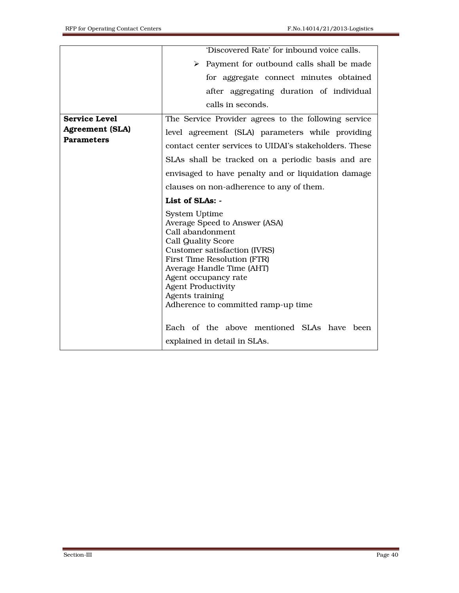|                        | 'Discovered Rate' for inbound voice calls.                                                                                                                                                                                                                                                                 |
|------------------------|------------------------------------------------------------------------------------------------------------------------------------------------------------------------------------------------------------------------------------------------------------------------------------------------------------|
|                        | > Payment for outbound calls shall be made                                                                                                                                                                                                                                                                 |
|                        | for aggregate connect minutes obtained                                                                                                                                                                                                                                                                     |
|                        | after aggregating duration of individual                                                                                                                                                                                                                                                                   |
|                        | calls in seconds.                                                                                                                                                                                                                                                                                          |
| <b>Service Level</b>   | The Service Provider agrees to the following service                                                                                                                                                                                                                                                       |
| <b>Agreement (SLA)</b> | level agreement (SLA) parameters while providing                                                                                                                                                                                                                                                           |
| <b>Parameters</b>      | contact center services to UIDAI's stakeholders. These                                                                                                                                                                                                                                                     |
|                        | SLAs shall be tracked on a periodic basis and are                                                                                                                                                                                                                                                          |
|                        | envisaged to have penalty and or liquidation damage                                                                                                                                                                                                                                                        |
|                        | clauses on non-adherence to any of them.                                                                                                                                                                                                                                                                   |
|                        | List of SLAs: -                                                                                                                                                                                                                                                                                            |
|                        | System Uptime<br>Average Speed to Answer (ASA)<br>Call abandonment<br><b>Call Quality Score</b><br>Customer satisfaction (IVRS)<br>First Time Resolution (FTR)<br>Average Handle Time (AHT)<br>Agent occupancy rate<br><b>Agent Productivity</b><br>Agents training<br>Adherence to committed ramp-up time |
|                        | Each of the above mentioned SLAs have been<br>explained in detail in SLAs.                                                                                                                                                                                                                                 |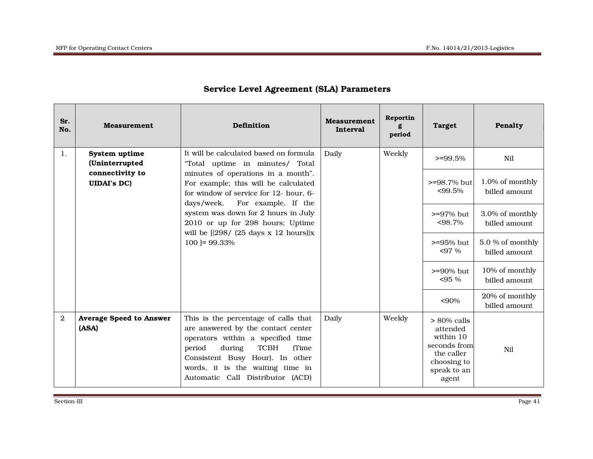| Sr.<br>No.     | <b>Measurement</b>                      | Definition                                                                                                                                                                                                                                                                   | <b>Measurement</b><br><b>Interval</b> | Reportin<br>period | <b>Target</b>                                                                                                | Penalty                           |
|----------------|-----------------------------------------|------------------------------------------------------------------------------------------------------------------------------------------------------------------------------------------------------------------------------------------------------------------------------|---------------------------------------|--------------------|--------------------------------------------------------------------------------------------------------------|-----------------------------------|
| 1.             | System uptime<br>(Uninterrupted         | It will be calculated based on formula<br>"Total uptime in minutes/ Total                                                                                                                                                                                                    | Daily                                 | Weekly             | $>=99.5%$                                                                                                    | Nil                               |
|                | connectivity to<br><b>UIDAI's DC)</b>   | minutes of operations in a month".<br>For example; this will be calculated<br>for window of service for 12- hour, 6-                                                                                                                                                         |                                       |                    | >=98.7% but<br>$< 99.5\%$                                                                                    | 1.0% of monthly<br>billed amount  |
|                |                                         | For example, If the<br>days/week.<br>system was down for 2 hours in July<br>2010 or up for 298 hours; Uptime<br>will be $[298/ (25 \text{ days} \times 12 \text{ hours})]x$                                                                                                  |                                       |                    | $> = 97\%$ but<br>$< 98.7\%$                                                                                 | 3.0% of monthly<br>billed amount  |
|                |                                         | $100$ = 99.33%                                                                                                                                                                                                                                                               |                                       |                    | $>= 95\%$ but<br>$< 97\%$                                                                                    | 5.0 % of monthly<br>billed amount |
|                |                                         |                                                                                                                                                                                                                                                                              |                                       |                    | $>= 90\%$ but<br>$< 95 \%$                                                                                   | 10% of monthly<br>billed amount   |
|                |                                         |                                                                                                                                                                                                                                                                              |                                       |                    | <90%                                                                                                         | 20% of monthly<br>billed amount   |
| $\mathfrak{D}$ | <b>Average Speed to Answer</b><br>(ASA) | This is the percentage of calls that<br>are answered by the contact center<br>operators within a specified time<br><b>TCBH</b><br>period<br>during<br><b>Time</b><br>Consistent Busy Hour). In other<br>words, it is the waiting time in<br>Automatic Call Distributor (ACD) | Daily                                 | Weekly             | $> 80\%$ calls<br>attended<br>within 10<br>seconds from<br>the caller<br>choosing to<br>speak to an<br>agent | N <sub>i</sub>                    |

## Service Level Agreement (SLA) Parameters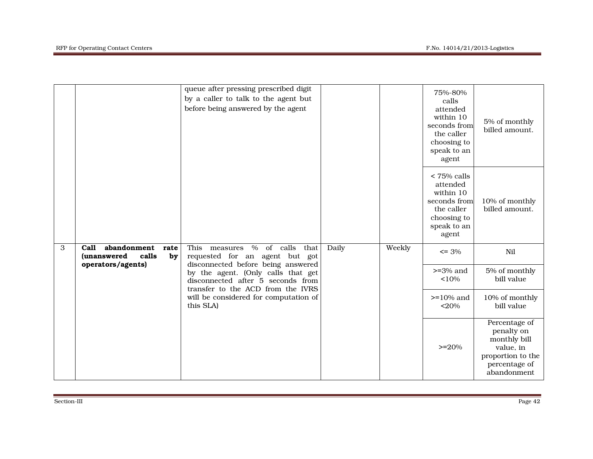|   |                                                                                                              | queue after pressing prescribed digit<br>by a caller to talk to the agent but<br>before being answered by the agent |       | 75%-80%<br>calls<br>attended<br>within 10<br>seconds from<br>the caller<br>choosing to<br>speak to an<br>agent | 5% of monthly<br>billed amount.                                                                             |                                                                                                               |
|---|--------------------------------------------------------------------------------------------------------------|---------------------------------------------------------------------------------------------------------------------|-------|----------------------------------------------------------------------------------------------------------------|-------------------------------------------------------------------------------------------------------------|---------------------------------------------------------------------------------------------------------------|
|   |                                                                                                              |                                                                                                                     |       |                                                                                                                | $<$ 75% calls<br>attended<br>within 10<br>seconds from<br>the caller<br>choosing to<br>speak to an<br>agent | 10% of monthly<br>billed amount.                                                                              |
| 3 | abandonment<br><b>Call</b><br>rate<br><i>(unanswered)</i><br>calls<br>by<br>operators/agents)                | This measures % of calls that<br>requested for an agent but got<br>disconnected before being answered               | Daily | Weekly                                                                                                         | $\leq$ 3%                                                                                                   | Nil                                                                                                           |
|   | by the agent. (Only calls that get<br>disconnected after 5 seconds from<br>transfer to the ACD from the IVRS |                                                                                                                     |       | $>=$ 3% and<br><10%                                                                                            | 5% of monthly<br>bill value                                                                                 |                                                                                                               |
|   |                                                                                                              | will be considered for computation of<br>this SLA)                                                                  |       |                                                                                                                | $>= 10\%$ and<br>$<$ 20%                                                                                    | 10% of monthly<br>bill value                                                                                  |
|   |                                                                                                              |                                                                                                                     |       |                                                                                                                | $>=20%$                                                                                                     | Percentage of<br>penalty on<br>monthly bill<br>value, in<br>proportion to the<br>percentage of<br>abandonment |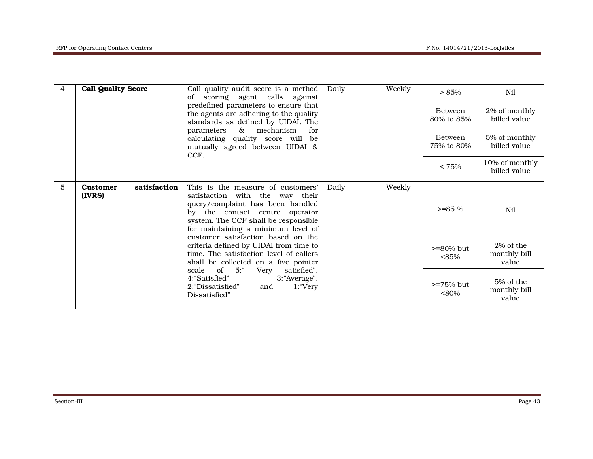| 4 | <b>Call Quality Score</b>                                                                                                 | Call quality audit score is a method<br>scoring agent calls against<br>of<br>predefined parameters to ensure that<br>the agents are adhering to the quality<br>standards as defined by UIDAI. The<br>parameters<br>$\&$<br>mechanism<br>for<br>calculating quality score will<br>be<br>mutually agreed between UIDAI &<br>CCF. | Daily           | Weekly                 | > 85%                              | Nil                                |
|---|---------------------------------------------------------------------------------------------------------------------------|--------------------------------------------------------------------------------------------------------------------------------------------------------------------------------------------------------------------------------------------------------------------------------------------------------------------------------|-----------------|------------------------|------------------------------------|------------------------------------|
|   |                                                                                                                           |                                                                                                                                                                                                                                                                                                                                |                 |                        | <b>Between</b><br>80% to 85%       | 2% of monthly<br>billed value      |
|   |                                                                                                                           |                                                                                                                                                                                                                                                                                                                                |                 |                        | <b>Between</b><br>75% to 80%       | 5% of monthly<br>billed value      |
|   |                                                                                                                           |                                                                                                                                                                                                                                                                                                                                |                 |                        | $< 75\%$                           | 10% of monthly<br>billed value     |
| 5 | satisfaction<br><b>Customer</b><br>(IVRS)                                                                                 | This is the measure of customers'<br>satisfaction with the way their<br>query/complaint has been handled<br>by the contact centre operator<br>system. The CCF shall be responsible<br>for maintaining a minimum level of<br>customer satisfaction based on the                                                                 | Weekly<br>Daily |                        | $>= 85\%$                          | Nil                                |
|   | criteria defined by UIDAI from time to<br>time. The satisfaction level of callers<br>shall be collected on a five pointer |                                                                                                                                                                                                                                                                                                                                |                 | $>= 80\%$ but<br>< 85% | 2% of the<br>monthly bill<br>value |                                    |
|   |                                                                                                                           | $\circ$ of<br>5:<br>Very<br>satisfied",<br>scale<br>4: "Satisfied"<br>3:"Average",<br>2: "Dissatisfied"<br>and<br>1: "Very<br>Dissatisfied"                                                                                                                                                                                    |                 |                        | $> = 75\%$ but<br>$< 80\%$         | 5% of the<br>monthly bill<br>value |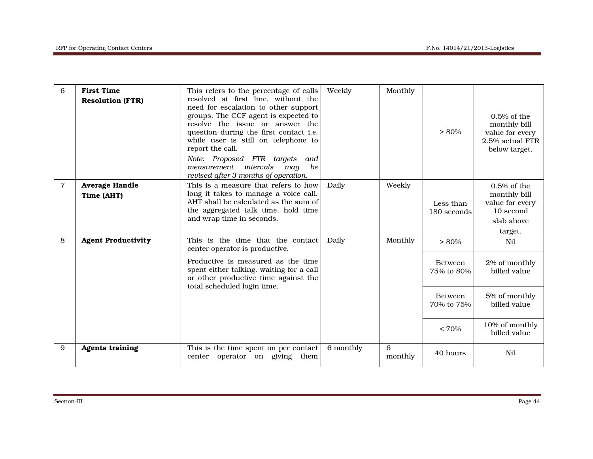| 6 | <b>First Time</b><br><b>Resolution (FTR)</b> | This refers to the percentage of calls<br>resolved at first line, without the<br>need for escalation to other support<br>groups. The CCF agent is expected to<br>resolve the issue or answer the<br>question during the first contact i.e.<br>while user is still on telephone to<br>report the call.<br>Note: Proposed FTR targets<br>and<br>intervals<br>measurement<br>may<br>be<br>revised after 3 months of operation. | Weekly    | Monthly      | $> 80\%$                     | $0.5\%$ of the<br>monthly bill<br>value for every<br>2.5% actual FTR<br>below target.   |
|---|----------------------------------------------|-----------------------------------------------------------------------------------------------------------------------------------------------------------------------------------------------------------------------------------------------------------------------------------------------------------------------------------------------------------------------------------------------------------------------------|-----------|--------------|------------------------------|-----------------------------------------------------------------------------------------|
| 7 | <b>Average Handle</b><br>Time (AHT)          | This is a measure that refers to how<br>long it takes to manage a voice call.<br>AHT shall be calculated as the sum of<br>the aggregated talk time, hold time<br>and wrap time in seconds.                                                                                                                                                                                                                                  | Daily     | Weekly       | Less than<br>180 seconds     | $0.5\%$ of the<br>monthly bill<br>value for every<br>10 second<br>slab above<br>target. |
| 8 | <b>Agent Productivity</b>                    | This is the time that the contact<br>center operator is productive.                                                                                                                                                                                                                                                                                                                                                         | Daily     | Monthly      | $> 80\%$                     | Nil                                                                                     |
|   |                                              | Productive is measured as the time<br>spent either talking, waiting for a call<br>or other productive time against the<br>total scheduled login time.                                                                                                                                                                                                                                                                       |           |              | <b>Between</b><br>75% to 80% | 2% of monthly<br>billed value                                                           |
|   |                                              |                                                                                                                                                                                                                                                                                                                                                                                                                             |           |              | <b>Between</b><br>70% to 75% | 5% of monthly<br>billed value                                                           |
|   |                                              |                                                                                                                                                                                                                                                                                                                                                                                                                             |           |              | $< 70\%$                     | 10% of monthly<br>billed value                                                          |
| 9 | <b>Agents training</b>                       | This is the time spent on per contact<br>operator on giving them<br>center                                                                                                                                                                                                                                                                                                                                                  | 6 monthly | 6<br>monthly | 40 hours                     | Nil                                                                                     |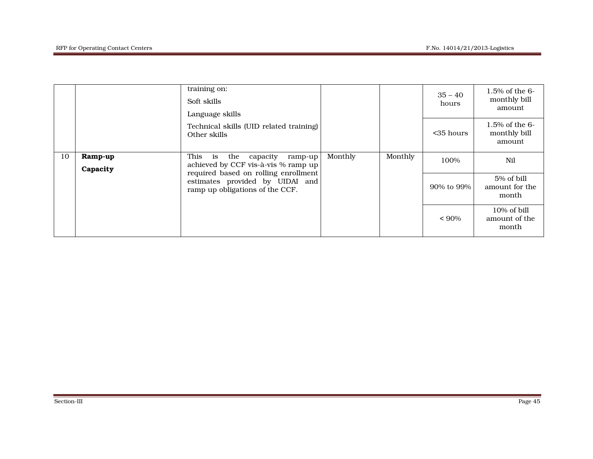|    |                     | training on:<br>Soft skills<br>Language skills                                                                      |         |         | $35 - 40$<br>hours | $1.5\%$ of the 6-<br>monthly bill<br>amount |
|----|---------------------|---------------------------------------------------------------------------------------------------------------------|---------|---------|--------------------|---------------------------------------------|
|    |                     | Technical skills (UID related training)<br>Other skills                                                             |         |         | $<$ 35 hours       | $1.5\%$ of the 6-<br>monthly bill<br>amount |
| 10 | Ramp-up<br>Capacity | This<br>is the capacity<br>$ramp-up$<br>achieved by CCF vis-à-vis % ramp up<br>required based on rolling enrollment | Monthly | Monthly | 100%               | Nil                                         |
|    |                     | estimates provided by UIDAI and<br>ramp up obligations of the CCF.                                                  |         |         | 90% to 99%         | 5% of bill<br>amount for the<br>month       |
|    |                     |                                                                                                                     |         |         | $< 90\%$           | 10% of bill<br>amount of the<br>month       |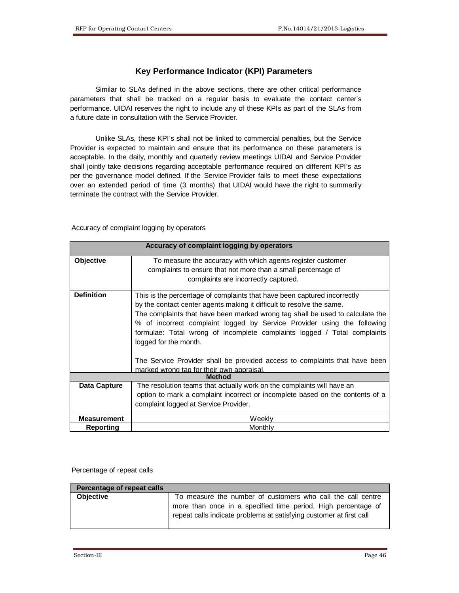#### **Key Performance Indicator (KPI) Parameters**

 Similar to SLAs defined in the above sections, there are other critical performance parameters that shall be tracked on a regular basis to evaluate the contact center's performance. UIDAI reserves the right to include any of these KPIs as part of the SLAs from a future date in consultation with the Service Provider.

 Unlike SLAs, these KPI's shall not be linked to commercial penalties, but the Service Provider is expected to maintain and ensure that its performance on these parameters is acceptable. In the daily, monthly and quarterly review meetings UIDAI and Service Provider shall jointly take decisions regarding acceptable performance required on different KPI's as per the governance model defined. If the Service Provider fails to meet these expectations over an extended period of time (3 months) that UIDAI would have the right to summarily terminate the contract with the Service Provider.

Accuracy of complaint logging by operators

|                    | Accuracy of complaint logging by operators                                                                                                                                                                                                                                                                                                                                                                                                                                                       |
|--------------------|--------------------------------------------------------------------------------------------------------------------------------------------------------------------------------------------------------------------------------------------------------------------------------------------------------------------------------------------------------------------------------------------------------------------------------------------------------------------------------------------------|
| Objective          | To measure the accuracy with which agents register customer<br>complaints to ensure that not more than a small percentage of<br>complaints are incorrectly captured.                                                                                                                                                                                                                                                                                                                             |
| <b>Definition</b>  | This is the percentage of complaints that have been captured incorrectly<br>by the contact center agents making it difficult to resolve the same.<br>The complaints that have been marked wrong tag shall be used to calculate the<br>% of incorrect complaint logged by Service Provider using the following<br>formulae: Total wrong of incomplete complaints logged / Total complaints<br>logged for the month.<br>The Service Provider shall be provided access to complaints that have been |
|                    | marked wrong tag for their own appraisal.                                                                                                                                                                                                                                                                                                                                                                                                                                                        |
|                    | <b>Method</b>                                                                                                                                                                                                                                                                                                                                                                                                                                                                                    |
| Data Capture       | The resolution teams that actually work on the complaints will have an<br>option to mark a complaint incorrect or incomplete based on the contents of a<br>complaint logged at Service Provider.                                                                                                                                                                                                                                                                                                 |
| <b>Measurement</b> | Weekly                                                                                                                                                                                                                                                                                                                                                                                                                                                                                           |
| Reporting          | Monthly                                                                                                                                                                                                                                                                                                                                                                                                                                                                                          |

#### Percentage of repeat calls

| Percentage of repeat calls |                                                                     |
|----------------------------|---------------------------------------------------------------------|
| <b>Objective</b>           | To measure the number of customers who call the call centre         |
|                            | more than once in a specified time period. High percentage of       |
|                            | repeat calls indicate problems at satisfying customer at first call |
|                            |                                                                     |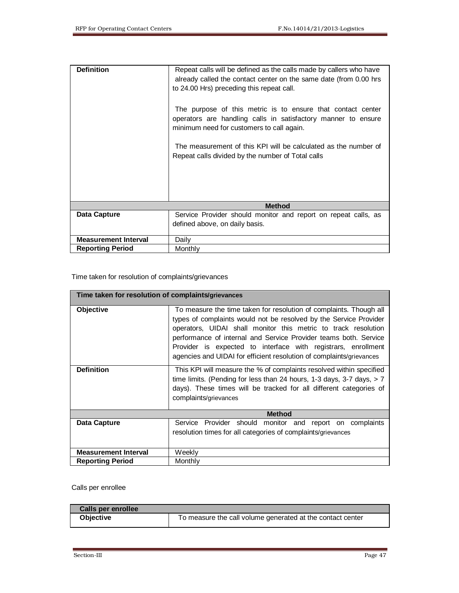| <b>Definition</b>           | Repeat calls will be defined as the calls made by callers who have<br>already called the contact center on the same date (from 0.00 hrs                                   |  |  |  |  |  |
|-----------------------------|---------------------------------------------------------------------------------------------------------------------------------------------------------------------------|--|--|--|--|--|
|                             | to 24.00 Hrs) preceding this repeat call.                                                                                                                                 |  |  |  |  |  |
|                             | The purpose of this metric is to ensure that contact center<br>operators are handling calls in satisfactory manner to ensure<br>minimum need for customers to call again. |  |  |  |  |  |
|                             | The measurement of this KPI will be calculated as the number of<br>Repeat calls divided by the number of Total calls                                                      |  |  |  |  |  |
|                             | <b>Method</b>                                                                                                                                                             |  |  |  |  |  |
| <b>Data Capture</b>         | Service Provider should monitor and report on repeat calls, as                                                                                                            |  |  |  |  |  |
|                             | defined above, on daily basis.                                                                                                                                            |  |  |  |  |  |
| <b>Measurement Interval</b> | Daily                                                                                                                                                                     |  |  |  |  |  |
| <b>Reporting Period</b>     | Monthly                                                                                                                                                                   |  |  |  |  |  |

Time taken for resolution of complaints/grievances

| Time taken for resolution of complaints/grievances |                                                                                                                                                                                                                                                                                                                                                                                                                        |  |
|----------------------------------------------------|------------------------------------------------------------------------------------------------------------------------------------------------------------------------------------------------------------------------------------------------------------------------------------------------------------------------------------------------------------------------------------------------------------------------|--|
| Objective                                          | To measure the time taken for resolution of complaints. Though all<br>types of complaints would not be resolved by the Service Provider<br>operators, UIDAI shall monitor this metric to track resolution<br>performance of internal and Service Provider teams both. Service<br>Provider is expected to interface with registrars, enrollment<br>agencies and UIDAI for efficient resolution of complaints/grievances |  |
| <b>Definition</b>                                  | This KPI will measure the % of complaints resolved within specified<br>time limits. (Pending for less than 24 hours, 1-3 days, 3-7 days, $> 7$<br>days). These times will be tracked for all different categories of<br>complaints/grievances                                                                                                                                                                          |  |
|                                                    | <b>Method</b>                                                                                                                                                                                                                                                                                                                                                                                                          |  |
| Data Capture                                       | Service Provider should monitor and report on complaints<br>resolution times for all categories of complaints/grievances                                                                                                                                                                                                                                                                                               |  |
| <b>Measurement Interval</b>                        | Weeklv                                                                                                                                                                                                                                                                                                                                                                                                                 |  |
| <b>Reporting Period</b>                            | Monthly                                                                                                                                                                                                                                                                                                                                                                                                                |  |

#### Calls per enrollee

| Calls per enrollee |                                                            |
|--------------------|------------------------------------------------------------|
| <b>Objective</b>   | To measure the call volume generated at the contact center |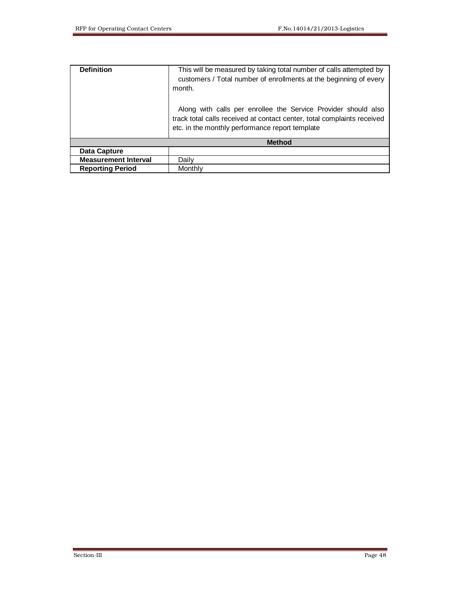| <b>Definition</b>           | This will be measured by taking total number of calls attempted by<br>customers / Total number of enrollments at the beginning of every<br>month.<br>Along with calls per enrollee the Service Provider should also<br>track total calls received at contact center, total complaints received<br>etc. in the monthly performance report template |
|-----------------------------|---------------------------------------------------------------------------------------------------------------------------------------------------------------------------------------------------------------------------------------------------------------------------------------------------------------------------------------------------|
|                             | <b>Method</b>                                                                                                                                                                                                                                                                                                                                     |
| Data Capture                |                                                                                                                                                                                                                                                                                                                                                   |
| <b>Measurement Interval</b> | Daily                                                                                                                                                                                                                                                                                                                                             |
| <b>Reporting Period</b>     | Monthly                                                                                                                                                                                                                                                                                                                                           |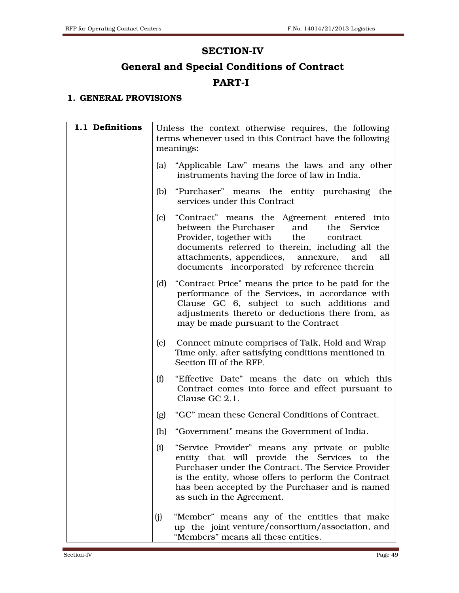## SECTION-IV

# General and Special Conditions of Contract PART-I

### 1. GENERAL PROVISIONS

| 1.1 Definitions |     | Unless the context otherwise requires, the following<br>terms whenever used in this Contract have the following                                                                                                                                                                                 |
|-----------------|-----|-------------------------------------------------------------------------------------------------------------------------------------------------------------------------------------------------------------------------------------------------------------------------------------------------|
|                 |     | meanings:                                                                                                                                                                                                                                                                                       |
|                 | (a) | "Applicable Law" means the laws and any other<br>instruments having the force of law in India.                                                                                                                                                                                                  |
|                 | (b) | "Purchaser" means the entity purchasing the<br>services under this Contract                                                                                                                                                                                                                     |
|                 | (c) | "Contract" means the Agreement entered into<br>between the Purchaser<br>and<br>the Service<br>Provider, together with the<br>contract<br>documents referred to therein, including all the<br>attachments, appendices,<br>annexure,<br>and<br>all<br>documents incorporated by reference therein |
|                 | (d) | "Contract Price" means the price to be paid for the<br>performance of the Services, in accordance with<br>Clause GC 6, subject to such additions and<br>adjustments thereto or deductions there from, as<br>may be made pursuant to the Contract                                                |
|                 | (e) | Connect minute comprises of Talk, Hold and Wrap<br>Time only, after satisfying conditions mentioned in<br>Section III of the RFP.                                                                                                                                                               |
|                 | (f) | "Effective Date" means the date on which this<br>Contract comes into force and effect pursuant to<br>Clause GC 2.1.                                                                                                                                                                             |
|                 | (g) | "GC" mean these General Conditions of Contract.                                                                                                                                                                                                                                                 |
|                 | (h) | "Government" means the Government of India.                                                                                                                                                                                                                                                     |
|                 | (i) | "Service Provider" means any private or public<br>entity that will provide the Services to the<br>Purchaser under the Contract. The Service Provider<br>is the entity, whose offers to perform the Contract<br>has been accepted by the Purchaser and is named<br>as such in the Agreement.     |
|                 | (j) | "Member" means any of the entities that make<br>up the joint venture/consortium/association, and<br>"Members" means all these entities.                                                                                                                                                         |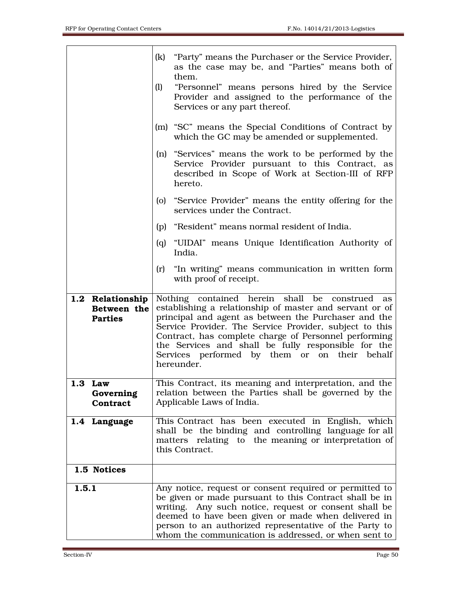|                                                   | (k)<br>"Party" means the Purchaser or the Service Provider,<br>as the case may be, and "Parties" means both of<br>them.<br>"Personnel" means persons hired by the Service<br>(1)<br>Provider and assigned to the performance of the<br>Services or any part thereof.                                                                                                                                        |
|---------------------------------------------------|-------------------------------------------------------------------------------------------------------------------------------------------------------------------------------------------------------------------------------------------------------------------------------------------------------------------------------------------------------------------------------------------------------------|
|                                                   | (m) "SC" means the Special Conditions of Contract by<br>which the GC may be amended or supplemented.                                                                                                                                                                                                                                                                                                        |
|                                                   | (n) "Services" means the work to be performed by the<br>Service Provider pursuant to this Contract, as<br>described in Scope of Work at Section-III of RFP<br>hereto.                                                                                                                                                                                                                                       |
|                                                   | (o) "Service Provider" means the entity offering for the<br>services under the Contract.                                                                                                                                                                                                                                                                                                                    |
|                                                   | (p) "Resident" means normal resident of India.                                                                                                                                                                                                                                                                                                                                                              |
|                                                   | (q) "UIDAI" means Unique Identification Authority of<br>India.                                                                                                                                                                                                                                                                                                                                              |
|                                                   | (r) "In writing" means communication in written form<br>with proof of receipt.                                                                                                                                                                                                                                                                                                                              |
| 1.2 Relationship<br>Between the<br><b>Parties</b> | Nothing contained herein shall be construed as<br>establishing a relationship of master and servant or of<br>principal and agent as between the Purchaser and the<br>Service Provider. The Service Provider, subject to this<br>Contract, has complete charge of Personnel performing<br>the Services and shall be fully responsible for the<br>Services performed by them or on their behalf<br>hereunder. |
| 1.3 Law<br>Governing<br>Contract                  | This Contract, its meaning and interpretation, and the<br>relation between the Parties shall be governed by the<br>Applicable Laws of India.                                                                                                                                                                                                                                                                |
| 1.4 Language                                      | This Contract has been executed in English, which<br>shall be the binding and controlling language for all<br>matters relating to the meaning or interpretation of<br>this Contract.                                                                                                                                                                                                                        |
| 1.5 Notices                                       |                                                                                                                                                                                                                                                                                                                                                                                                             |
| 1.5.1                                             | Any notice, request or consent required or permitted to<br>be given or made pursuant to this Contract shall be in<br>writing. Any such notice, request or consent shall be<br>deemed to have been given or made when delivered in<br>person to an authorized representative of the Party to<br>whom the communication is addressed, or when sent to                                                         |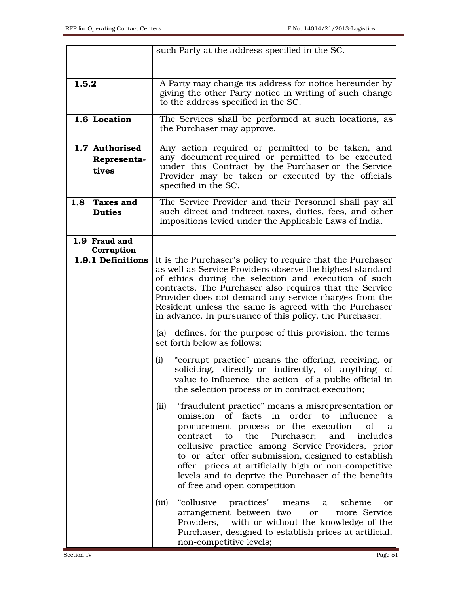| such Party at the address specified in the SC.                                                                 |                         |
|----------------------------------------------------------------------------------------------------------------|-------------------------|
|                                                                                                                |                         |
|                                                                                                                |                         |
| 1.5.2<br>A Party may change its address for notice hereunder by                                                |                         |
| giving the other Party notice in writing of such change<br>to the address specified in the SC.                 |                         |
|                                                                                                                |                         |
| 1.6 Location<br>The Services shall be performed at such locations, as                                          |                         |
| the Purchaser may approve.                                                                                     |                         |
| 1.7 Authorised<br>Any action required or permitted to be taken, and                                            |                         |
| any document required or permitted to be executed                                                              |                         |
| Representa-<br>under this Contract by the Purchaser or the Service                                             |                         |
| tives<br>Provider may be taken or executed by the officials                                                    |                         |
| specified in the SC.                                                                                           |                         |
| The Service Provider and their Personnel shall pay all<br><b>Taxes and</b><br>1.8                              |                         |
| such direct and indirect taxes, duties, fees, and other<br><b>Duties</b>                                       |                         |
| impositions levied under the Applicable Laws of India.                                                         |                         |
|                                                                                                                |                         |
| 1.9 Fraud and<br>Corruption                                                                                    |                         |
| It is the Purchaser's policy to require that the Purchaser<br>1.9.1 Definitions                                |                         |
| as well as Service Providers observe the highest standard                                                      |                         |
| of ethics during the selection and execution of such                                                           |                         |
| contracts. The Purchaser also requires that the Service                                                        |                         |
| Provider does not demand any service charges from the<br>Resident unless the same is agreed with the Purchaser |                         |
| in advance. In pursuance of this policy, the Purchaser:                                                        |                         |
|                                                                                                                |                         |
| (a) defines, for the purpose of this provision, the terms                                                      |                         |
| set forth below as follows:                                                                                    |                         |
| "corrupt practice" means the offering, receiving, or<br>(i)                                                    |                         |
| soliciting, directly or indirectly, of anything of                                                             |                         |
| value to influence the action of a public official in                                                          |                         |
| the selection process or in contract execution;                                                                |                         |
| "fraudulent practice" means a misrepresentation or<br>(ii)                                                     |                         |
| omission of facts in order to influence                                                                        | a                       |
| procurement process or the execution                                                                           | of<br>a                 |
| the<br>contract<br>Purchaser:<br>to<br>and                                                                     | includes                |
| collusive practice among Service Providers, prior                                                              |                         |
| to or after offer submission, designed to establish                                                            |                         |
| offer prices at artificially high or non-competitive                                                           |                         |
| levels and to deprive the Purchaser of the benefits<br>of free and open competition                            |                         |
|                                                                                                                |                         |
| "collusive<br>(iii)<br>practices" means a                                                                      | scheme<br><sub>or</sub> |
| arrangement between two<br><b>or</b>                                                                           | more Service            |
| Providers,<br>with or without the knowledge of the<br>Purchaser, designed to establish prices at artificial,   |                         |
| non-competitive levels;                                                                                        |                         |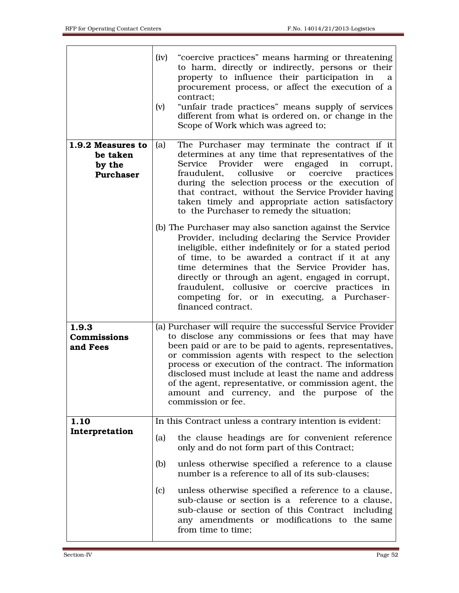|                                                             | (iv)<br>"coercive practices" means harming or threatening<br>to harm, directly or indirectly, persons or their<br>property to influence their participation in<br>a<br>procurement process, or affect the execution of a<br>contract:<br>"unfair trade practices" means supply of services<br>(v)<br>different from what is ordered on, or change in the<br>Scope of Work which was agreed to;                                                                                                                                  |
|-------------------------------------------------------------|---------------------------------------------------------------------------------------------------------------------------------------------------------------------------------------------------------------------------------------------------------------------------------------------------------------------------------------------------------------------------------------------------------------------------------------------------------------------------------------------------------------------------------|
| 1.9.2 Measures to<br>be taken<br>by the<br><b>Purchaser</b> | The Purchaser may terminate the contract if it<br>(a)<br>determines at any time that representatives of the<br>Service Provider<br>were engaged in<br>corrupt,<br>fraudulent, collusive<br>coercive<br>practices<br><sub>or</sub><br>during the selection process or the execution of<br>that contract, without the Service Provider having<br>taken timely and appropriate action satisfactory<br>to the Purchaser to remedy the situation;                                                                                    |
|                                                             | (b) The Purchaser may also sanction against the Service<br>Provider, including declaring the Service Provider<br>ineligible, either indefinitely or for a stated period<br>of time, to be awarded a contract if it at any<br>time determines that the Service Provider has,<br>directly or through an agent, engaged in corrupt,<br>fraudulent, collusive or coercive practices in<br>competing for, or in executing, a Purchaser-<br>financed contract.                                                                        |
| 1.9.3<br><b>Commissions</b><br>and Fees                     | (a) Purchaser will require the successful Service Provider<br>to disclose any commissions or fees that may have<br>been paid or are to be paid to agents, representatives,<br>or commission agents with respect to the selection<br>process or execution of the contract. The information<br>disclosed must include at least the name and address<br>of the agent, representative, or commission agent, the<br>amount and currency, and the purpose of the<br>commission or fee.                                                |
| 1.10<br>Interpretation                                      | In this Contract unless a contrary intention is evident:<br>the clause headings are for convenient reference<br>(a)<br>only and do not form part of this Contract;<br>unless otherwise specified a reference to a clause<br>(b)<br>number is a reference to all of its sub-clauses;<br>unless otherwise specified a reference to a clause,<br>(c)<br>sub-clause or section is a reference to a clause,<br>sub-clause or section of this Contract including<br>any amendments or modifications to the same<br>from time to time; |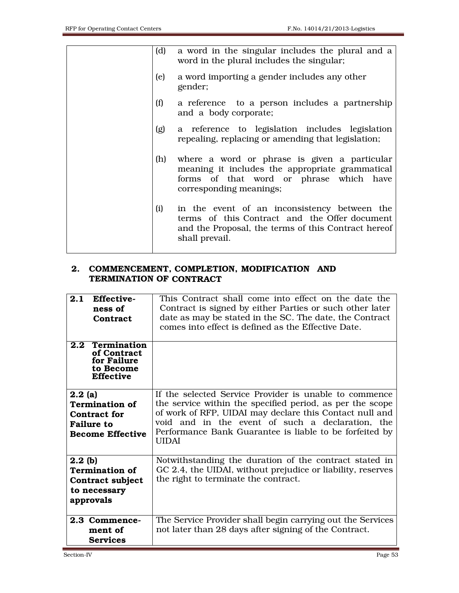| (d) | a word in the singular includes the plural and a<br>word in the plural includes the singular;                                                                             |
|-----|---------------------------------------------------------------------------------------------------------------------------------------------------------------------------|
| (e) | a word importing a gender includes any other<br>gender;                                                                                                                   |
| (f) | a reference to a person includes a partnership<br>and a body corporate;                                                                                                   |
| (g) | a reference to legislation includes legislation<br>repealing, replacing or amending that legislation;                                                                     |
|     | (h) where a word or phrase is given a particular<br>meaning it includes the appropriate grammatical<br>forms of that word or phrase which have<br>corresponding meanings; |
| (i) | in the event of an inconsistency between the<br>terms of this Contract and the Offer document<br>and the Proposal, the terms of this Contract hereof<br>shall prevail.    |

## 2. COMMENCEMENT, COMPLETION, MODIFICATION AND TERMINATION OF CONTRACT

| 2.1                             | Effective-<br>ness of<br>Contract                                                 | This Contract shall come into effect on the date the<br>Contract is signed by either Parties or such other later<br>date as may be stated in the SC. The date, the Contract<br>comes into effect is defined as the Effective Date.                                                                            |
|---------------------------------|-----------------------------------------------------------------------------------|---------------------------------------------------------------------------------------------------------------------------------------------------------------------------------------------------------------------------------------------------------------------------------------------------------------|
| 2.2                             | <b>Termination</b><br>of Contract<br>for Failure<br>to Become<br><b>Effective</b> |                                                                                                                                                                                                                                                                                                               |
| 2.2(a)<br><b>Failure to</b>     | <b>Termination of</b><br><b>Contract for</b><br><b>Become Effective</b>           | If the selected Service Provider is unable to commence<br>the service within the specified period, as per the scope<br>of work of RFP, UIDAI may declare this Contact null and<br>void and in the event of such a declaration, the<br>Performance Bank Guarantee is liable to be forfeited by<br><b>UIDAI</b> |
| 2.2 <sub>(b)</sub><br>approvals | <b>Termination of</b><br>Contract subject<br>to necessary                         | Notwithstanding the duration of the contract stated in<br>GC 2.4, the UIDAI, without prejudice or liability, reserves<br>the right to terminate the contract.                                                                                                                                                 |
|                                 | 2.3 Commence-<br>ment of<br><b>Services</b>                                       | The Service Provider shall begin carrying out the Services<br>not later than 28 days after signing of the Contract.                                                                                                                                                                                           |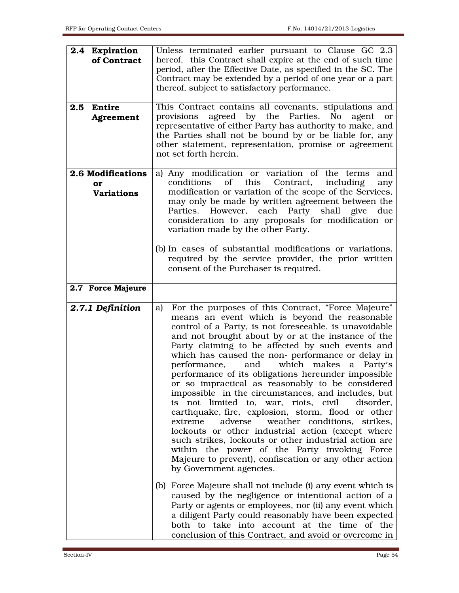| 2.4 Expiration<br>of Contract                | Unless terminated earlier pursuant to Clause GC 2.3<br>hereof, this Contract shall expire at the end of such time<br>period, after the Effective Date, as specified in the SC. The<br>Contract may be extended by a period of one year or a part<br>thereof, subject to satisfactory performance.                                                                                                                                                                                                                                                                                                                                                                                                                                                                                                                                                                                                                                                                            |
|----------------------------------------------|------------------------------------------------------------------------------------------------------------------------------------------------------------------------------------------------------------------------------------------------------------------------------------------------------------------------------------------------------------------------------------------------------------------------------------------------------------------------------------------------------------------------------------------------------------------------------------------------------------------------------------------------------------------------------------------------------------------------------------------------------------------------------------------------------------------------------------------------------------------------------------------------------------------------------------------------------------------------------|
| Entire<br>2.5<br>Agreement                   | This Contract contains all covenants, stipulations and<br>agreed by the Parties.<br>provisions<br>No<br>agent<br><b>or</b><br>representative of either Party has authority to make, and<br>the Parties shall not be bound by or be liable for, any<br>other statement, representation, promise or agreement<br>not set forth herein.                                                                                                                                                                                                                                                                                                                                                                                                                                                                                                                                                                                                                                         |
| 2.6 Modifications<br>or<br><b>Variations</b> | a) Any modification or variation of the terms<br>and<br>of this<br>conditions<br>Contract,<br>including<br>any<br>modification or variation of the scope of the Services,<br>may only be made by written agreement between the<br>Parties. However, each Party shall give<br>due<br>consideration to any proposals for modification or<br>variation made by the other Party.<br>(b) In cases of substantial modifications or variations,<br>required by the service provider, the prior written<br>consent of the Purchaser is required.                                                                                                                                                                                                                                                                                                                                                                                                                                     |
| 2.7 Force Majeure                            |                                                                                                                                                                                                                                                                                                                                                                                                                                                                                                                                                                                                                                                                                                                                                                                                                                                                                                                                                                              |
| 2.7.1 Definition                             | For the purposes of this Contract, "Force Majeure"<br>a)<br>means an event which is beyond the reasonable<br>control of a Party, is not foreseeable, is unavoidable<br>and not brought about by or at the instance of the<br>Party claiming to be affected by such events and<br>which has caused the non- performance or delay in<br>which makes<br>performance,<br>and<br>a<br>Party's<br>performance of its obligations hereunder impossible<br>or so impractical as reasonably to be considered<br>impossible in the circumstances, and includes, but<br>is not limited to, war, riots, civil<br>disorder,<br>earthquake, fire, explosion, storm, flood or other<br>extreme<br>adverse<br>weather conditions, strikes,<br>lockouts or other industrial action (except where<br>such strikes, lockouts or other industrial action are<br>within the power of the Party invoking Force<br>Majeure to prevent), confiscation or any other action<br>by Government agencies. |
|                                              | (b) Force Majeure shall not include (i) any event which is<br>caused by the negligence or intentional action of a<br>Party or agents or employees, nor (ii) any event which<br>a diligent Party could reasonably have been expected<br>both to take into account at the time of the<br>conclusion of this Contract, and avoid or overcome in                                                                                                                                                                                                                                                                                                                                                                                                                                                                                                                                                                                                                                 |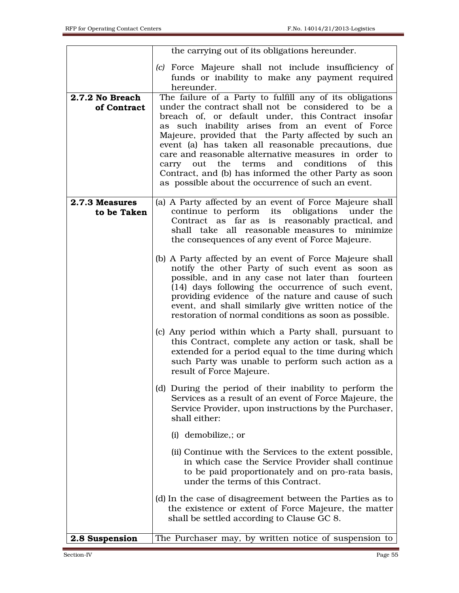|                                | the carrying out of its obligations hereunder.                                                                                                                                                                                                                                                                                                                                                                                                                                                                                                                                 |
|--------------------------------|--------------------------------------------------------------------------------------------------------------------------------------------------------------------------------------------------------------------------------------------------------------------------------------------------------------------------------------------------------------------------------------------------------------------------------------------------------------------------------------------------------------------------------------------------------------------------------|
|                                | (c) Force Majeure shall not include insufficiency of<br>funds or inability to make any payment required<br>hereunder.                                                                                                                                                                                                                                                                                                                                                                                                                                                          |
| 2.7.2 No Breach<br>of Contract | The failure of a Party to fulfill any of its obligations<br>under the contract shall not be considered to be a<br>breach of, or default under, this Contract insofar<br>as such inability arises from an event of Force<br>Majeure, provided that the Party affected by such an<br>event (a) has taken all reasonable precautions, due<br>care and reasonable alternative measures in order to<br>out the<br>and<br>conditions<br>of<br>this<br>terms<br>carry<br>Contract, and (b) has informed the other Party as soon<br>as possible about the occurrence of such an event. |
| 2.7.3 Measures<br>to be Taken  | (a) A Party affected by an event of Force Majeure shall<br>continue to perform its obligations under the<br>Contract as far as is reasonably practical, and<br>shall take all reasonable measures to minimize<br>the consequences of any event of Force Majeure.                                                                                                                                                                                                                                                                                                               |
|                                | (b) A Party affected by an event of Force Majeure shall<br>notify the other Party of such event as soon as<br>possible, and in any case not later than fourteen<br>(14) days following the occurrence of such event,<br>providing evidence of the nature and cause of such<br>event, and shall similarly give written notice of the<br>restoration of normal conditions as soon as possible.                                                                                                                                                                                   |
|                                | (c) Any period within which a Party shall, pursuant to<br>this Contract, complete any action or task, shall be<br>extended for a period equal to the time during which<br>such Party was unable to perform such action as a<br>result of Force Majeure.                                                                                                                                                                                                                                                                                                                        |
|                                | (d) During the period of their inability to perform the<br>Services as a result of an event of Force Majeure, the<br>Service Provider, upon instructions by the Purchaser,<br>shall either:                                                                                                                                                                                                                                                                                                                                                                                    |
|                                | (i) demobilize,; or                                                                                                                                                                                                                                                                                                                                                                                                                                                                                                                                                            |
|                                | (ii) Continue with the Services to the extent possible,<br>in which case the Service Provider shall continue<br>to be paid proportionately and on pro-rata basis,<br>under the terms of this Contract.                                                                                                                                                                                                                                                                                                                                                                         |
|                                | (d) In the case of disagreement between the Parties as to<br>the existence or extent of Force Majeure, the matter<br>shall be settled according to Clause GC 8.                                                                                                                                                                                                                                                                                                                                                                                                                |
| 2.8 Suspension                 | The Purchaser may, by written notice of suspension to                                                                                                                                                                                                                                                                                                                                                                                                                                                                                                                          |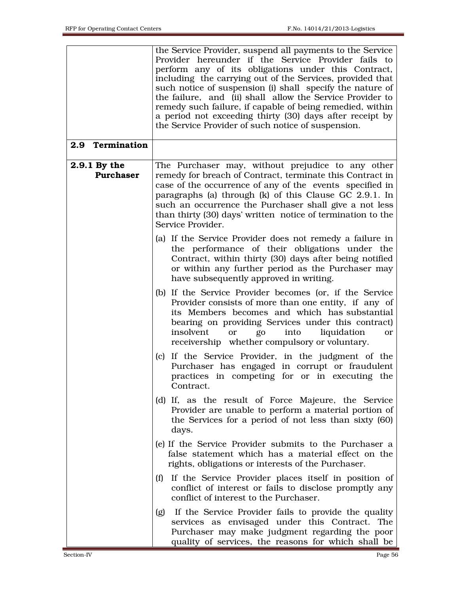|                                  | the Service Provider, suspend all payments to the Service<br>Provider hereunder if the Service Provider fails to<br>perform any of its obligations under this Contract,<br>including the carrying out of the Services, provided that<br>such notice of suspension (i) shall specify the nature of<br>the failure, and (ii) shall allow the Service Provider to<br>remedy such failure, if capable of being remedied, within<br>a period not exceeding thirty (30) days after receipt by<br>the Service Provider of such notice of suspension. |
|----------------------------------|-----------------------------------------------------------------------------------------------------------------------------------------------------------------------------------------------------------------------------------------------------------------------------------------------------------------------------------------------------------------------------------------------------------------------------------------------------------------------------------------------------------------------------------------------|
| Termination<br>2.9               |                                                                                                                                                                                                                                                                                                                                                                                                                                                                                                                                               |
| 2.9.1 By the<br><b>Purchaser</b> | The Purchaser may, without prejudice to any other<br>remedy for breach of Contract, terminate this Contract in<br>case of the occurrence of any of the events specified in<br>paragraphs (a) through (k) of this Clause GC 2.9.1. In<br>such an occurrence the Purchaser shall give a not less<br>than thirty (30) days' written notice of termination to the<br>Service Provider.                                                                                                                                                            |
|                                  | (a) If the Service Provider does not remedy a failure in<br>the performance of their obligations under the<br>Contract, within thirty (30) days after being notified<br>or within any further period as the Purchaser may<br>have subsequently approved in writing.                                                                                                                                                                                                                                                                           |
|                                  | (b) If the Service Provider becomes (or, if the Service<br>Provider consists of more than one entity, if any of<br>its Members becomes and which has substantial<br>bearing on providing Services under this contract)<br>insolvent<br>into<br>liquidation<br>go<br>or<br>or<br>receivership whether compulsory or voluntary.                                                                                                                                                                                                                 |
|                                  | (c) If the Service Provider, in the judgment of the<br>Purchaser has engaged in corrupt or fraudulent<br>practices in competing for or in executing the<br>Contract.                                                                                                                                                                                                                                                                                                                                                                          |
|                                  | (d) If, as the result of Force Majeure, the Service<br>Provider are unable to perform a material portion of<br>the Services for a period of not less than sixty (60)<br>days.                                                                                                                                                                                                                                                                                                                                                                 |
|                                  | (e) If the Service Provider submits to the Purchaser a<br>false statement which has a material effect on the<br>rights, obligations or interests of the Purchaser.                                                                                                                                                                                                                                                                                                                                                                            |
|                                  | If the Service Provider places itself in position of<br>(f)<br>conflict of interest or fails to disclose promptly any<br>conflict of interest to the Purchaser.                                                                                                                                                                                                                                                                                                                                                                               |
|                                  | If the Service Provider fails to provide the quality<br>(g)<br>services as envisaged under this Contract. The<br>Purchaser may make judgment regarding the poor<br>quality of services, the reasons for which shall be                                                                                                                                                                                                                                                                                                                        |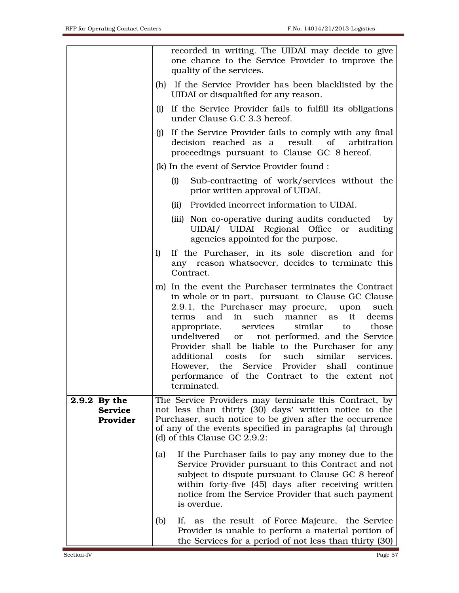|                                            | recorded in writing. The UIDAI may decide to give<br>one chance to the Service Provider to improve the<br>quality of the services.                                                                                                                                                                                                                                                                                                                                                                                                                                                |
|--------------------------------------------|-----------------------------------------------------------------------------------------------------------------------------------------------------------------------------------------------------------------------------------------------------------------------------------------------------------------------------------------------------------------------------------------------------------------------------------------------------------------------------------------------------------------------------------------------------------------------------------|
|                                            | (h) If the Service Provider has been blacklisted by the<br>UIDAI or disqualified for any reason.                                                                                                                                                                                                                                                                                                                                                                                                                                                                                  |
|                                            | (i) If the Service Provider fails to fulfill its obligations<br>under Clause G.C 3.3 hereof.                                                                                                                                                                                                                                                                                                                                                                                                                                                                                      |
|                                            | If the Service Provider fails to comply with any final<br>(j)<br>decision reached as a<br>result of<br>arbitration<br>proceedings pursuant to Clause GC 8 hereof.                                                                                                                                                                                                                                                                                                                                                                                                                 |
|                                            | (k) In the event of Service Provider found :                                                                                                                                                                                                                                                                                                                                                                                                                                                                                                                                      |
|                                            | Sub-contracting of work/services without the<br>(i)<br>prior written approval of UIDAI.                                                                                                                                                                                                                                                                                                                                                                                                                                                                                           |
|                                            | (ii) Provided incorrect information to UIDAI.                                                                                                                                                                                                                                                                                                                                                                                                                                                                                                                                     |
|                                            | (iii) Non co-operative during audits conducted<br>$-$ by<br>UIDAI/ UIDAI Regional Office or<br>auditing<br>agencies appointed for the purpose.                                                                                                                                                                                                                                                                                                                                                                                                                                    |
|                                            | If the Purchaser, in its sole discretion and for<br>1)<br>any reason whatsoever, decides to terminate this<br>Contract.                                                                                                                                                                                                                                                                                                                                                                                                                                                           |
|                                            | m) In the event the Purchaser terminates the Contract<br>in whole or in part, pursuant to Clause GC Clause<br>2.9.1, the Purchaser may procure,<br>upon<br>such<br>and<br>such<br>it<br>in<br>manner as<br>terms<br>deems<br>services<br>similar<br>those<br>appropriate,<br>to<br>not performed, and the Service<br>undelivered<br><sub>or</sub><br>Provider shall be liable to the Purchaser for any<br>for such<br>costs<br>similar<br>additional<br>services.<br>However, the Service Provider shall continue<br>performance of the Contract to the extent not<br>terminated. |
| 2.9.2 By the<br><b>Service</b><br>Provider | The Service Providers may terminate this Contract, by<br>not less than thirty (30) days' written notice to the<br>Purchaser, such notice to be given after the occurrence<br>of any of the events specified in paragraphs (a) through<br>(d) of this Clause GC 2.9.2:                                                                                                                                                                                                                                                                                                             |
|                                            | If the Purchaser fails to pay any money due to the<br>(a)<br>Service Provider pursuant to this Contract and not<br>subject to dispute pursuant to Clause GC 8 hereof<br>within forty-five (45) days after receiving written<br>notice from the Service Provider that such payment<br>is overdue.                                                                                                                                                                                                                                                                                  |
|                                            | (b)<br>If, as the result of Force Majeure, the Service<br>Provider is unable to perform a material portion of<br>the Services for a period of not less than thirty $(30)$                                                                                                                                                                                                                                                                                                                                                                                                         |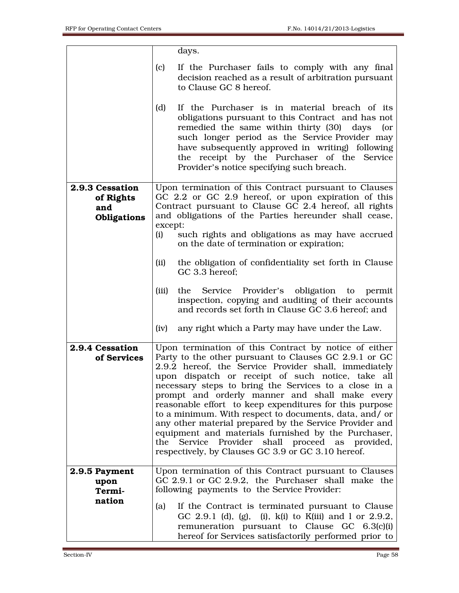|                                                    | days.                                                                                                                                                                                                                                                                                                                                                                                                                                                                                                                                                                                                                                                                                   |
|----------------------------------------------------|-----------------------------------------------------------------------------------------------------------------------------------------------------------------------------------------------------------------------------------------------------------------------------------------------------------------------------------------------------------------------------------------------------------------------------------------------------------------------------------------------------------------------------------------------------------------------------------------------------------------------------------------------------------------------------------------|
|                                                    | (c)<br>If the Purchaser fails to comply with any final<br>decision reached as a result of arbitration pursuant<br>to Clause GC 8 hereof.                                                                                                                                                                                                                                                                                                                                                                                                                                                                                                                                                |
|                                                    | (d)<br>If the Purchaser is in material breach of its<br>obligations pursuant to this Contract and has not<br>remedied the same within thirty (30)<br>days<br>(or<br>such longer period as the Service Provider may<br>have subsequently approved in writing) following<br>the receipt by the Purchaser of the Service<br>Provider's notice specifying such breach.                                                                                                                                                                                                                                                                                                                      |
| 2.9.3 Cessation<br>of Rights<br>and<br>Obligations | Upon termination of this Contract pursuant to Clauses<br>GC 2.2 or GC 2.9 hereof, or upon expiration of this<br>Contract pursuant to Clause GC 2.4 hereof, all rights<br>and obligations of the Parties hereunder shall cease,<br>except:<br>(i)<br>such rights and obligations as may have accrued<br>on the date of termination or expiration;                                                                                                                                                                                                                                                                                                                                        |
|                                                    | (ii)<br>the obligation of confidentiality set forth in Clause<br>GC 3.3 hereof;<br>Provider's obligation to permit<br>(iii)<br>the<br>Service<br>inspection, copying and auditing of their accounts<br>and records set forth in Clause GC 3.6 hereof; and<br>(iv)<br>any right which a Party may have under the Law.                                                                                                                                                                                                                                                                                                                                                                    |
| 2.9.4 Cessation<br>of Services                     | Upon termination of this Contract by notice of either<br>Party to the other pursuant to Clauses GC 2.9.1 or GC<br>2.9.2 hereof, the Service Provider shall, immediately<br>upon dispatch or receipt of such notice, take all<br>necessary steps to bring the Services to a close in a<br>prompt and orderly manner and shall make every<br>reasonable effort to keep expenditures for this purpose<br>to a minimum. With respect to documents, data, and/ or<br>any other material prepared by the Service Provider and<br>equipment and materials furnished by the Purchaser,<br>the Service Provider shall proceed as provided,<br>respectively, by Clauses GC 3.9 or GC 3.10 hereof. |
| 2.9.5 Payment<br>upon<br>Termi-<br>nation          | Upon termination of this Contract pursuant to Clauses<br>GC 2.9.1 or GC 2.9.2, the Purchaser shall make the<br>following payments to the Service Provider:<br>(a)<br>If the Contract is terminated pursuant to Clause<br>GC 2.9.1 (d), (g), (i), $k(i)$ to K(iii) and 1 or 2.9.2,<br>remuneration pursuant to Clause GC 6.3(c)(i)<br>hereof for Services satisfactorily performed prior to                                                                                                                                                                                                                                                                                              |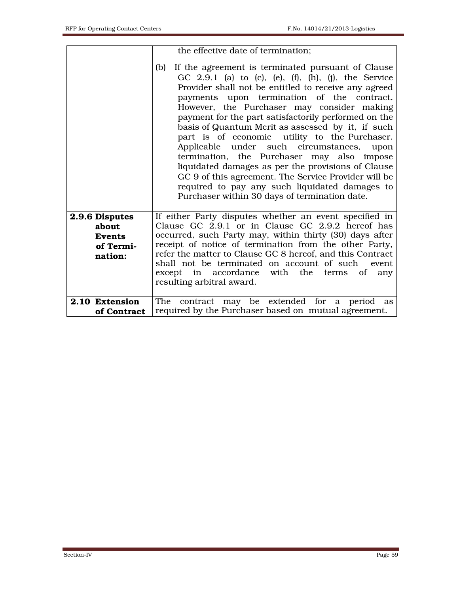|                                                                  | the effective date of termination;                                                                                                                                                                                                                                                                                                                                                                                                                                                                                                                                                                                                                                                                                                                      |
|------------------------------------------------------------------|---------------------------------------------------------------------------------------------------------------------------------------------------------------------------------------------------------------------------------------------------------------------------------------------------------------------------------------------------------------------------------------------------------------------------------------------------------------------------------------------------------------------------------------------------------------------------------------------------------------------------------------------------------------------------------------------------------------------------------------------------------|
|                                                                  | If the agreement is terminated pursuant of Clause<br>(b)<br>GC 2.9.1 (a) to (c), (e), $(f)$ , $(h)$ , $(j)$ , the Service<br>Provider shall not be entitled to receive any agreed<br>payments upon termination of the contract.<br>However, the Purchaser may consider making<br>payment for the part satisfactorily performed on the<br>basis of Quantum Merit as assessed by it, if such<br>part is of economic utility to the Purchaser.<br>Applicable under such circumstances, upon<br>termination, the Purchaser may also impose<br>liquidated damages as per the provisions of Clause<br>GC 9 of this agreement. The Service Provider will be<br>required to pay any such liquidated damages to<br>Purchaser within 30 days of termination date. |
| 2.9.6 Disputes<br>about<br><b>Events</b><br>of Termi-<br>nation: | If either Party disputes whether an event specified in<br>Clause GC 2.9.1 or in Clause GC 2.9.2 hereof has<br>occurred, such Party may, within thirty (30) days after<br>receipt of notice of termination from the other Party,<br>refer the matter to Clause GC 8 hereof, and this Contract<br>shall not be terminated on account of such event<br>in accordance<br>with the<br>except<br>of<br>terms<br>any<br>resulting arbitral award.                                                                                                                                                                                                                                                                                                              |
| 2.10 Extension<br>of Contract                                    | The contract may be extended for a period as<br>required by the Purchaser based on mutual agreement.                                                                                                                                                                                                                                                                                                                                                                                                                                                                                                                                                                                                                                                    |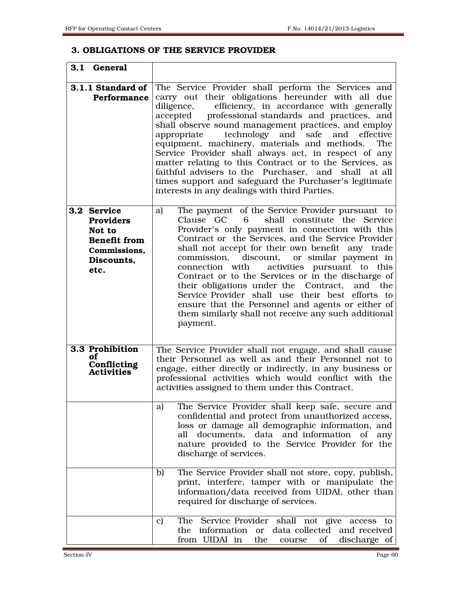#### 3. OBLIGATIONS OF THE SERVICE PROVIDER

| 3.1 General                                                                                            |                                                                                                                                                                                                                                                                                                                                                                                                                                                                                                                                                                                                                                                                                          |
|--------------------------------------------------------------------------------------------------------|------------------------------------------------------------------------------------------------------------------------------------------------------------------------------------------------------------------------------------------------------------------------------------------------------------------------------------------------------------------------------------------------------------------------------------------------------------------------------------------------------------------------------------------------------------------------------------------------------------------------------------------------------------------------------------------|
| 3.1.1 Standard of<br><b>Performance</b>                                                                | The Service Provider shall perform the Services and<br>carry out their obligations hereunder with all due<br>diligence,<br>efficiency, in accordance with generally<br>professional standards and practices, and<br>accepted<br>shall observe sound management practices, and employ<br>technology and safe<br>and effective<br>appropriate<br>equipment, machinery, materials and methods.<br>The<br>Service Provider shall always act, in respect of any<br>matter relating to this Contract or to the Services, as<br>faithful advisers to the Purchaser, and shall at all<br>times support and safeguard the Purchaser's legitimate<br>interests in any dealings with third Parties. |
| 3.2 Service<br><b>Providers</b><br>Not to<br><b>Benefit from</b><br>Commissions,<br>Discounts.<br>etc. | The payment of the Service Provider pursuant to<br>a)<br>shall constitute the Service<br>Clause GC<br>6<br>Provider's only payment in connection with this<br>Contract or the Services, and the Service Provider<br>shall not accept for their own benefit any trade<br>discount, or similar payment in<br>commission.<br>activities pursuant to this<br>connection with<br>Contract or to the Services or in the discharge of<br>their obligations under the Contract,<br>and the<br>Service Provider shall use their best efforts to<br>ensure that the Personnel and agents or either of<br>them similarly shall not receive any such additional<br>payment.                          |
| 3.3 Prohibition<br>оf<br><b>Conflicting</b><br><b>Activities</b>                                       | The Service Provider shall not engage, and shall cause<br>their Personnel as well as and their Personnel not to<br>engage, either directly or indirectly, in any business or<br>professional activities which would conflict with the<br>activities assigned to them under this Contract.                                                                                                                                                                                                                                                                                                                                                                                                |
|                                                                                                        | The Service Provider shall keep safe, secure and<br>a)<br>confidential and protect from unauthorized access,<br>loss or damage all demographic information, and<br>documents, data and information<br>all<br>of<br>any<br>nature provided to the Service Provider for the<br>discharge of services.                                                                                                                                                                                                                                                                                                                                                                                      |
|                                                                                                        | The Service Provider shall not store, copy, publish,<br>b)<br>print, interfere, tamper with or manipulate the<br>information/data received from UIDAI, other than<br>required for discharge of services.                                                                                                                                                                                                                                                                                                                                                                                                                                                                                 |
|                                                                                                        | The Service Provider shall not give access to<br>c)<br>the information or data collected and received<br>from UIDAI in<br>the<br>of<br>discharge of<br>course                                                                                                                                                                                                                                                                                                                                                                                                                                                                                                                            |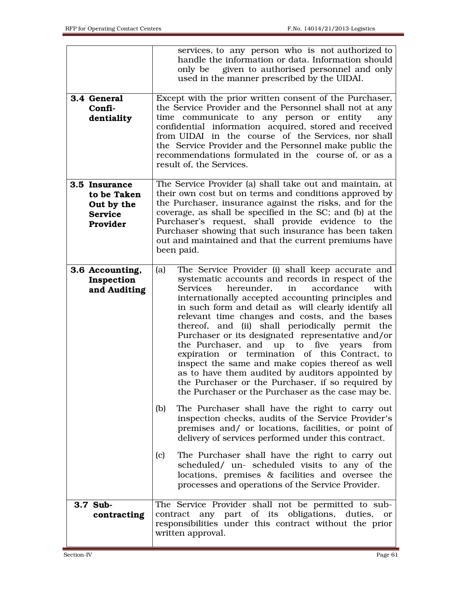| 3.4 General<br>Confi-<br>dentiality                                      | services, to any person who is not authorized to<br>handle the information or data. Information should<br>given to authorised personnel and only<br>only be<br>used in the manner prescribed by the UIDAI.<br>Except with the prior written consent of the Purchaser,<br>the Service Provider and the Personnel shall not at any<br>time communicate to any person or entity<br>any<br>confidential information acquired, stored and received<br>from UIDAI in the course of the Services, nor shall<br>the Service Provider and the Personnel make public the<br>recommendations formulated in the course of, or as a<br>result of, the Services.                                                                                                                                                                                                                                                                                                                                                                                                                                                                                                                                                                             |
|--------------------------------------------------------------------------|--------------------------------------------------------------------------------------------------------------------------------------------------------------------------------------------------------------------------------------------------------------------------------------------------------------------------------------------------------------------------------------------------------------------------------------------------------------------------------------------------------------------------------------------------------------------------------------------------------------------------------------------------------------------------------------------------------------------------------------------------------------------------------------------------------------------------------------------------------------------------------------------------------------------------------------------------------------------------------------------------------------------------------------------------------------------------------------------------------------------------------------------------------------------------------------------------------------------------------|
| 3.5 Insurance<br>to be Taken<br>Out by the<br><b>Service</b><br>Provider | The Service Provider (a) shall take out and maintain, at<br>their own cost but on terms and conditions approved by<br>the Purchaser, insurance against the risks, and for the<br>coverage, as shall be specified in the SC; and (b) at the<br>Purchaser's request, shall provide evidence to the<br>Purchaser showing that such insurance has been taken<br>out and maintained and that the current premiums have<br>been paid.                                                                                                                                                                                                                                                                                                                                                                                                                                                                                                                                                                                                                                                                                                                                                                                                |
| 3.6 Accounting,<br>Inspection<br>and Auditing                            | The Service Provider (i) shall keep accurate and<br>(a)<br>systematic accounts and records in respect of the<br>hereunder.<br>in<br>accordance<br>with<br><b>Services</b><br>internationally accepted accounting principles and<br>in such form and detail as will clearly identify all<br>relevant time changes and costs, and the bases<br>thereof, and (ii) shall periodically permit the<br>Purchaser or its designated representative and/or<br>the Purchaser, and up to<br>five<br>years<br>from<br>expiration or termination of this Contract, to<br>inspect the same and make copies thereof as well<br>as to have them audited by auditors appointed by<br>the Purchaser or the Purchaser, if so required by<br>the Purchaser or the Purchaser as the case may be.<br>The Purchaser shall have the right to carry out<br>(b)<br>inspection checks, audits of the Service Provider's<br>premises and/ or locations, facilities, or point of<br>delivery of services performed under this contract.<br>The Purchaser shall have the right to carry out<br>(c)<br>scheduled/ un- scheduled visits to any of the<br>locations, premises & facilities and oversee the<br>processes and operations of the Service Provider. |
| 3.7 Sub-<br>contracting                                                  | The Service Provider shall not be permitted to sub-<br>contract any part of its obligations, duties,<br>or<br>responsibilities under this contract without the prior<br>written approval.                                                                                                                                                                                                                                                                                                                                                                                                                                                                                                                                                                                                                                                                                                                                                                                                                                                                                                                                                                                                                                      |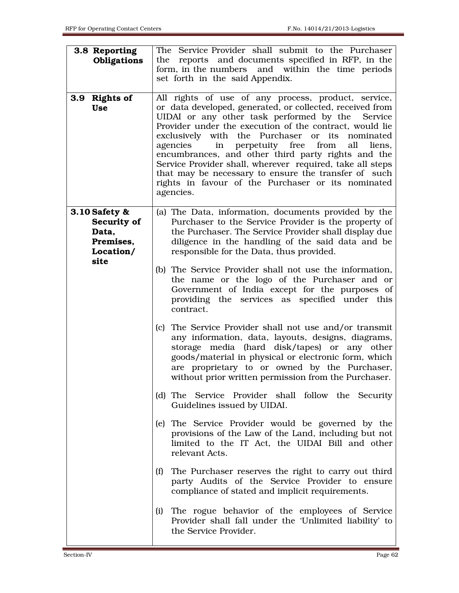| 3.8 Reporting<br>Obligations                                            | The Service Provider shall submit to the Purchaser<br>reports and documents specified in RFP, in the<br>the<br>form, in the numbers and within the time periods<br>set forth in the said Appendix.                                                                                                                                                                                                                                                                                                                                                                                          |
|-------------------------------------------------------------------------|---------------------------------------------------------------------------------------------------------------------------------------------------------------------------------------------------------------------------------------------------------------------------------------------------------------------------------------------------------------------------------------------------------------------------------------------------------------------------------------------------------------------------------------------------------------------------------------------|
| 3.9 Rights of<br><b>Use</b>                                             | All rights of use of any process, product, service,<br>or data developed, generated, or collected, received from<br>UIDAI or any other task performed by the Service<br>Provider under the execution of the contract, would lie<br>exclusively with the Purchaser or its<br>nominated<br>agencies<br>in perpetuity free from<br>all<br>liens,<br>encumbrances, and other third party rights and the<br>Service Provider shall, wherever required, take all steps<br>that may be necessary to ensure the transfer of such<br>rights in favour of the Purchaser or its nominated<br>agencies. |
| 3.10 Safety &<br>Security of<br>Data,<br>Premises,<br>Location/<br>site | (a) The Data, information, documents provided by the<br>Purchaser to the Service Provider is the property of<br>the Purchaser. The Service Provider shall display due<br>diligence in the handling of the said data and be<br>responsible for the Data, thus provided.                                                                                                                                                                                                                                                                                                                      |
|                                                                         | (b) The Service Provider shall not use the information,<br>the name or the logo of the Purchaser and or<br>Government of India except for the purposes of<br>providing the services as specified under this<br>contract.                                                                                                                                                                                                                                                                                                                                                                    |
|                                                                         | (c) The Service Provider shall not use and/or transmit<br>any information, data, layouts, designs, diagrams,<br>storage media (hard disk/tapes) or any other<br>goods/material in physical or electronic form, which<br>are proprietary to or owned by the Purchaser,<br>without prior written permission from the Purchaser.                                                                                                                                                                                                                                                               |
|                                                                         | (d) The Service Provider shall follow the Security<br>Guidelines issued by UIDAI.                                                                                                                                                                                                                                                                                                                                                                                                                                                                                                           |
|                                                                         | (e) The Service Provider would be governed by the<br>provisions of the Law of the Land, including but not<br>limited to the IT Act, the UIDAI Bill and other<br>relevant Acts.                                                                                                                                                                                                                                                                                                                                                                                                              |
|                                                                         | (f)<br>The Purchaser reserves the right to carry out third<br>party Audits of the Service Provider to ensure<br>compliance of stated and implicit requirements.                                                                                                                                                                                                                                                                                                                                                                                                                             |
|                                                                         | The rogue behavior of the employees of Service<br>(i)<br>Provider shall fall under the 'Unlimited liability' to<br>the Service Provider.                                                                                                                                                                                                                                                                                                                                                                                                                                                    |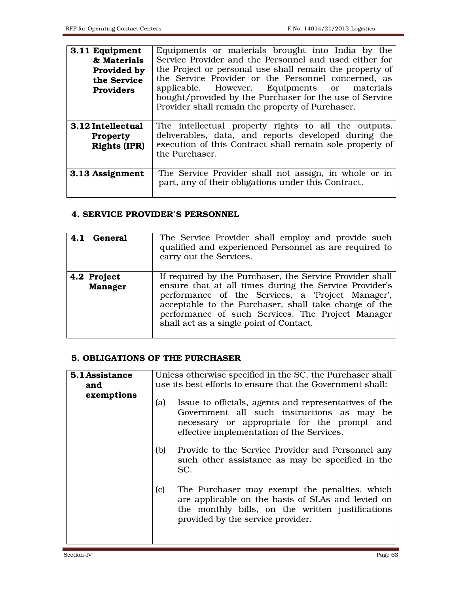| 3.11 Equipment<br>& Materials<br>Provided by<br>the Service<br><b>Providers</b> | Equipments or materials brought into India by the<br>Service Provider and the Personnel and used either for<br>the Project or personal use shall remain the property of<br>the Service Provider or the Personnel concerned, as<br>applicable. However, Equipments or materials<br>bought/provided by the Purchaser for the use of Service<br>Provider shall remain the property of Purchaser. |
|---------------------------------------------------------------------------------|-----------------------------------------------------------------------------------------------------------------------------------------------------------------------------------------------------------------------------------------------------------------------------------------------------------------------------------------------------------------------------------------------|
| 3.12 Intellectual<br><b>Property</b><br><b>Rights (IPR)</b>                     | The intellectual property rights to all the outputs,<br>deliverables, data, and reports developed during the<br>execution of this Contract shall remain sole property of<br>the Purchaser.                                                                                                                                                                                                    |
| 3.13 Assignment                                                                 | The Service Provider shall not assign, in whole or in<br>part, any of their obligations under this Contract.                                                                                                                                                                                                                                                                                  |

#### 4. SERVICE PROVIDER'S PERSONNEL

| 4.1 General                   | The Service Provider shall employ and provide such<br>qualified and experienced Personnel as are required to<br>carry out the Services.                                                                                                                                                                                          |
|-------------------------------|----------------------------------------------------------------------------------------------------------------------------------------------------------------------------------------------------------------------------------------------------------------------------------------------------------------------------------|
| 4.2 Project<br><b>Manager</b> | If required by the Purchaser, the Service Provider shall<br>ensure that at all times during the Service Provider's<br>performance of the Services, a 'Project Manager',<br>acceptable to the Purchaser, shall take charge of the<br>performance of such Services. The Project Manager<br>shall act as a single point of Contact. |

#### 5. OBLIGATIONS OF THE PURCHASER

| 5.1 Assistance<br>and | Unless otherwise specified in the SC, the Purchaser shall<br>use its best efforts to ensure that the Government shall: |                                                                                                                                                                                                 |
|-----------------------|------------------------------------------------------------------------------------------------------------------------|-------------------------------------------------------------------------------------------------------------------------------------------------------------------------------------------------|
| exemptions            | (a)                                                                                                                    | Issue to officials, agents and representatives of the<br>Government all such instructions as may be<br>necessary or appropriate for the prompt and<br>effective implementation of the Services. |
|                       | (b)                                                                                                                    | Provide to the Service Provider and Personnel any<br>such other assistance as may be specified in the<br>SC.                                                                                    |
|                       | (c)                                                                                                                    | The Purchaser may exempt the penalties, which<br>are applicable on the basis of SLAs and levied on<br>the monthly bills, on the written justifications<br>provided by the service provider.     |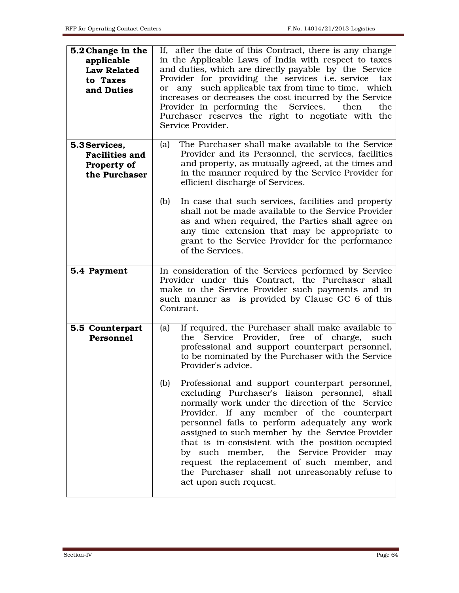| 5.2 Change in the<br>applicable<br><b>Law Related</b><br>to Taxes<br>and Duties | If, after the date of this Contract, there is any change<br>in the Applicable Laws of India with respect to taxes<br>and duties, which are directly payable by the Service<br>Provider for providing the services <i>i.e.</i> service<br>tax<br>any such applicable tax from time to time, which<br><sub>or</sub><br>increases or decreases the cost incurred by the Service<br>Provider in performing the Services,<br>then<br>the<br>Purchaser reserves the right to negotiate with the<br>Service Provider.                                |
|---------------------------------------------------------------------------------|-----------------------------------------------------------------------------------------------------------------------------------------------------------------------------------------------------------------------------------------------------------------------------------------------------------------------------------------------------------------------------------------------------------------------------------------------------------------------------------------------------------------------------------------------|
| 5.3 Services,<br><b>Facilities and</b><br>Property of<br>the Purchaser          | The Purchaser shall make available to the Service<br>(a)<br>Provider and its Personnel, the services, facilities<br>and property, as mutually agreed, at the times and<br>in the manner required by the Service Provider for<br>efficient discharge of Services.                                                                                                                                                                                                                                                                              |
|                                                                                 | (b)<br>In case that such services, facilities and property<br>shall not be made available to the Service Provider<br>as and when required, the Parties shall agree on<br>any time extension that may be appropriate to<br>grant to the Service Provider for the performance<br>of the Services.                                                                                                                                                                                                                                               |
| 5.4 Payment                                                                     | In consideration of the Services performed by Service<br>Provider under this Contract, the Purchaser shall<br>make to the Service Provider such payments and in<br>such manner as is provided by Clause GC 6 of this<br>Contract.                                                                                                                                                                                                                                                                                                             |
| 5.5 Counterpart<br><b>Personnel</b>                                             | If required, the Purchaser shall make available to<br>(a)<br>Provider, free of charge, such<br>the<br>Service<br>professional and support counterpart personnel,<br>to be nominated by the Purchaser with the Service<br>Provider's advice.                                                                                                                                                                                                                                                                                                   |
|                                                                                 | Professional and support counterpart personnel,<br>(b)<br>excluding Purchaser's liaison personnel, shall<br>normally work under the direction of the Service<br>Provider. If any member of the counterpart<br>personnel fails to perform adequately any work<br>assigned to such member by the Service Provider<br>that is in-consistent with the position occupied<br>by such member, the Service Provider<br>may<br>request the replacement of such member, and<br>the Purchaser shall not unreasonably refuse to<br>act upon such request. |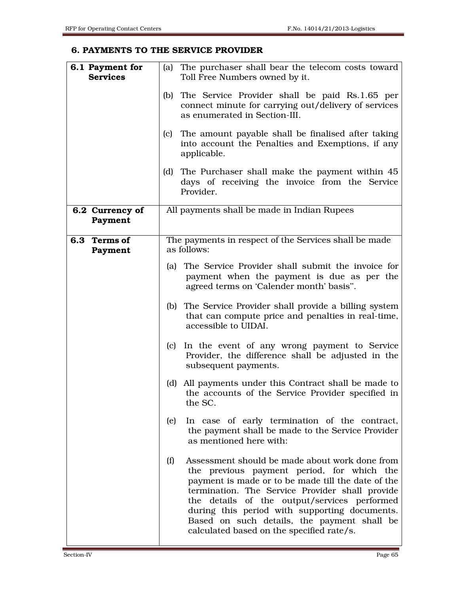#### 6. PAYMENTS TO THE SERVICE PROVIDER

| 6.1 Payment for<br><b>Services</b> | (a) The purchaser shall bear the telecom costs toward<br>Toll Free Numbers owned by it.                                                                                                                                                                                                                                                                                                                   |
|------------------------------------|-----------------------------------------------------------------------------------------------------------------------------------------------------------------------------------------------------------------------------------------------------------------------------------------------------------------------------------------------------------------------------------------------------------|
|                                    | The Service Provider shall be paid Rs.1.65 per<br>(b)<br>connect minute for carrying out/delivery of services<br>as enumerated in Section-III.                                                                                                                                                                                                                                                            |
|                                    | The amount payable shall be finalised after taking<br>(c)<br>into account the Penalties and Exemptions, if any<br>applicable.                                                                                                                                                                                                                                                                             |
|                                    | The Purchaser shall make the payment within 45<br>(d)<br>days of receiving the invoice from the Service<br>Provider.                                                                                                                                                                                                                                                                                      |
| 6.2 Currency of<br>Payment         | All payments shall be made in Indian Rupees                                                                                                                                                                                                                                                                                                                                                               |
| 6.3<br><b>Terms of</b><br>Payment  | The payments in respect of the Services shall be made<br>as follows:                                                                                                                                                                                                                                                                                                                                      |
|                                    | The Service Provider shall submit the invoice for<br>(a)<br>payment when the payment is due as per the<br>agreed terms on 'Calender month' basis".                                                                                                                                                                                                                                                        |
|                                    | (b) The Service Provider shall provide a billing system<br>that can compute price and penalties in real-time,<br>accessible to UIDAI.                                                                                                                                                                                                                                                                     |
|                                    | In the event of any wrong payment to Service<br>(c)<br>Provider, the difference shall be adjusted in the<br>subsequent payments.                                                                                                                                                                                                                                                                          |
|                                    | All payments under this Contract shall be made to<br>(d)<br>the accounts of the Service Provider specified in<br>the SC.                                                                                                                                                                                                                                                                                  |
|                                    | In case of early termination of the contract,<br>(e)<br>the payment shall be made to the Service Provider<br>as mentioned here with:                                                                                                                                                                                                                                                                      |
|                                    | Assessment should be made about work done from<br>(f)<br>the previous payment period, for which the<br>payment is made or to be made till the date of the<br>termination. The Service Provider shall provide<br>the details of the output/services performed<br>during this period with supporting documents.<br>Based on such details, the payment shall be<br>calculated based on the specified rate/s. |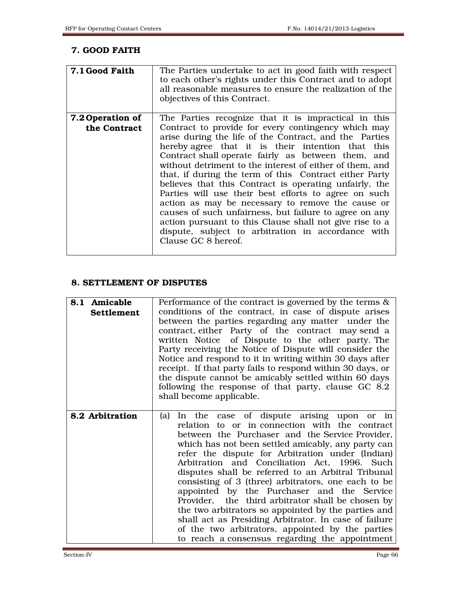## 7. GOOD FAITH

| 7.1 Good Faith                   | The Parties undertake to act in good faith with respect<br>to each other's rights under this Contract and to adopt<br>all reasonable measures to ensure the realization of the<br>objectives of this Contract.                                                                                                                                                                                                                                                                                                                                                                                                                                                                                                                                                                  |
|----------------------------------|---------------------------------------------------------------------------------------------------------------------------------------------------------------------------------------------------------------------------------------------------------------------------------------------------------------------------------------------------------------------------------------------------------------------------------------------------------------------------------------------------------------------------------------------------------------------------------------------------------------------------------------------------------------------------------------------------------------------------------------------------------------------------------|
| 7.2 Operation of<br>the Contract | The Parties recognize that it is impractical in this<br>Contract to provide for every contingency which may<br>arise during the life of the Contract, and the Parties<br>hereby agree that it is their intention that this<br>Contract shall operate fairly as between them, and<br>without detriment to the interest of either of them, and<br>that, if during the term of this Contract either Party<br>believes that this Contract is operating unfairly, the<br>Parties will use their best efforts to agree on such<br>action as may be necessary to remove the cause or<br>causes of such unfairness, but failure to agree on any<br>action pursuant to this Clause shall not give rise to a<br>dispute, subject to arbitration in accordance with<br>Clause GC 8 hereof. |

## 8. SETTLEMENT OF DISPUTES

| 8.1 Amicable<br><b>Settlement</b> | Performance of the contract is governed by the terms $\&$<br>conditions of the contract, in case of dispute arises<br>between the parties regarding any matter under the<br>contract, either Party of the contract may send a<br>written Notice of Dispute to the other party. The<br>Party receiving the Notice of Dispute will consider the<br>Notice and respond to it in writing within 30 days after<br>receipt. If that party fails to respond within 30 days, or<br>the dispute cannot be amicably settled within 60 days<br>following the response of that party, clause GC 8.2<br>shall become applicable.                                                                                                                                   |
|-----------------------------------|-------------------------------------------------------------------------------------------------------------------------------------------------------------------------------------------------------------------------------------------------------------------------------------------------------------------------------------------------------------------------------------------------------------------------------------------------------------------------------------------------------------------------------------------------------------------------------------------------------------------------------------------------------------------------------------------------------------------------------------------------------|
| 8.2 Arbitration                   | In the case of dispute arising upon or in<br>(a)<br>relation to or in connection with the contract<br>between the Purchaser and the Service Provider,<br>which has not been settled amicably, any party can<br>refer the dispute for Arbitration under (Indian)<br>Arbitration and Conciliation Act, 1996. Such<br>disputes shall be referred to an Arbitral Tribunal<br>consisting of 3 (three) arbitrators, one each to be<br>appointed by the Purchaser and the Service<br>Provider, the third arbitrator shall be chosen by<br>the two arbitrators so appointed by the parties and<br>shall act as Presiding Arbitrator. In case of failure<br>of the two arbitrators, appointed by the parties<br>to reach a consensus regarding the appointment |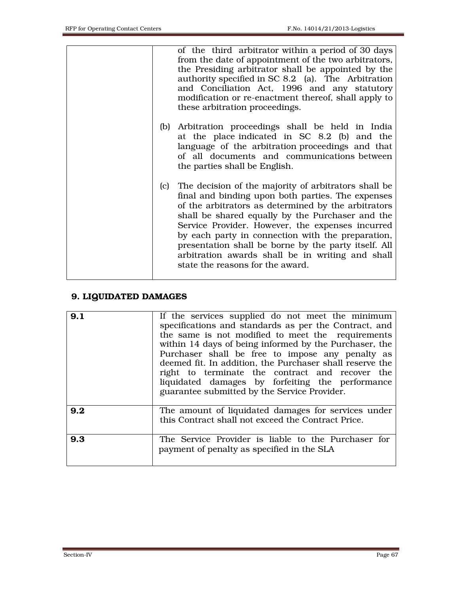|  |     | of the third arbitrator within a period of 30 days<br>from the date of appointment of the two arbitrators,<br>the Presiding arbitrator shall be appointed by the<br>authority specified in SC 8.2 (a). The Arbitration<br>and Conciliation Act, 1996 and any statutory<br>modification or re-enactment thereof, shall apply to<br>these arbitration proceedings.                                                                                                                  |
|--|-----|-----------------------------------------------------------------------------------------------------------------------------------------------------------------------------------------------------------------------------------------------------------------------------------------------------------------------------------------------------------------------------------------------------------------------------------------------------------------------------------|
|  | (b) | Arbitration proceedings shall be held in India<br>at the place indicated in SC 8.2 (b) and the<br>language of the arbitration proceedings and that<br>of all documents and communications between<br>the parties shall be English.                                                                                                                                                                                                                                                |
|  |     | (c) The decision of the majority of arbitrators shall be<br>final and binding upon both parties. The expenses<br>of the arbitrators as determined by the arbitrators<br>shall be shared equally by the Purchaser and the<br>Service Provider. However, the expenses incurred<br>by each party in connection with the preparation,<br>presentation shall be borne by the party itself. All<br>arbitration awards shall be in writing and shall<br>state the reasons for the award. |

## 9. LIQUIDATED DAMAGES

| 9.1 | If the services supplied do not meet the minimum<br>specifications and standards as per the Contract, and<br>the same is not modified to meet the requirements<br>within 14 days of being informed by the Purchaser, the<br>Purchaser shall be free to impose any penalty as<br>deemed fit. In addition, the Purchaser shall reserve the<br>right to terminate the contract and recover the<br>liquidated damages by forfeiting the performance<br>guarantee submitted by the Service Provider. |
|-----|-------------------------------------------------------------------------------------------------------------------------------------------------------------------------------------------------------------------------------------------------------------------------------------------------------------------------------------------------------------------------------------------------------------------------------------------------------------------------------------------------|
| 9.2 | The amount of liquidated damages for services under<br>this Contract shall not exceed the Contract Price.                                                                                                                                                                                                                                                                                                                                                                                       |
| 9.3 | The Service Provider is liable to the Purchaser for<br>payment of penalty as specified in the SLA                                                                                                                                                                                                                                                                                                                                                                                               |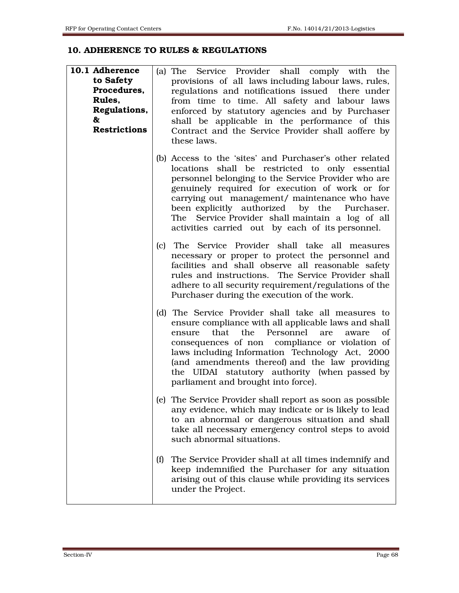## 10. ADHERENCE TO RULES & REGULATIONS

| 10.1 Adherence<br>to Safety<br>Procedures,<br>Rules,<br>Regulations,<br>&<br><b>Restrictions</b> |     | (a) The Service Provider shall comply with the<br>provisions of all laws including labour laws, rules,<br>regulations and notifications issued there under<br>from time to time. All safety and labour laws<br>enforced by statutory agencies and by Purchaser<br>shall be applicable in the performance of this<br>Contract and the Service Provider shall aoffere by<br>these laws.                                         |
|--------------------------------------------------------------------------------------------------|-----|-------------------------------------------------------------------------------------------------------------------------------------------------------------------------------------------------------------------------------------------------------------------------------------------------------------------------------------------------------------------------------------------------------------------------------|
|                                                                                                  |     | (b) Access to the 'sites' and Purchaser's other related<br>locations shall be restricted to only essential<br>personnel belonging to the Service Provider who are<br>genuinely required for execution of work or for<br>carrying out management/ maintenance who have<br>been explicitly authorized by the Purchaser.<br>The Service Provider shall maintain a log of all<br>activities carried out by each of its personnel. |
|                                                                                                  |     | (c) The Service Provider shall take all measures<br>necessary or proper to protect the personnel and<br>facilities and shall observe all reasonable safety<br>rules and instructions. The Service Provider shall<br>adhere to all security requirement/regulations of the<br>Purchaser during the execution of the work.                                                                                                      |
|                                                                                                  |     | (d) The Service Provider shall take all measures to<br>ensure compliance with all applicable laws and shall<br>that the Personnel are<br>ensure<br>of<br>aware<br>consequences of non compliance or violation of<br>laws including Information Technology Act, 2000<br>(and amendments thereof) and the law providing<br>the UIDAI statutory authority (when passed by<br>parliament and brought into force).                 |
|                                                                                                  |     | (e) The Service Provider shall report as soon as possible<br>any evidence, which may indicate or is likely to lead<br>to an abnormal or dangerous situation and shall<br>take all necessary emergency control steps to avoid<br>such abnormal situations.                                                                                                                                                                     |
|                                                                                                  | (f) | The Service Provider shall at all times indemnify and<br>keep indemnified the Purchaser for any situation<br>arising out of this clause while providing its services<br>under the Project.                                                                                                                                                                                                                                    |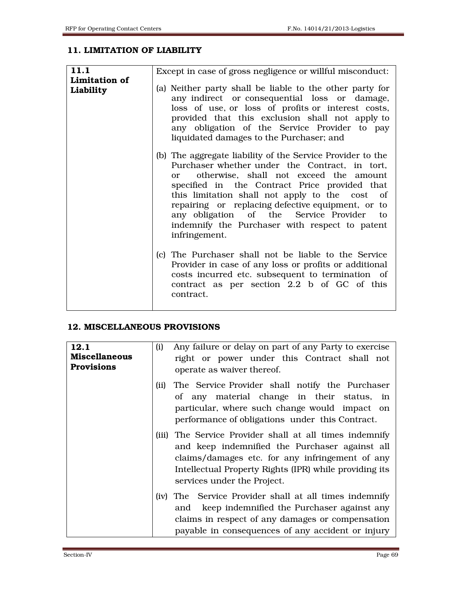## 11. LIMITATION OF LIABILITY

| 11.1                       | Except in case of gross negligence or willful misconduct:                                                                                                                                                                                                                                                                                                                                                                               |
|----------------------------|-----------------------------------------------------------------------------------------------------------------------------------------------------------------------------------------------------------------------------------------------------------------------------------------------------------------------------------------------------------------------------------------------------------------------------------------|
| Limitation of<br>Liability | (a) Neither party shall be liable to the other party for<br>any indirect or consequential loss or damage,<br>loss of use, or loss of profits or interest costs,<br>provided that this exclusion shall not apply to<br>any obligation of the Service Provider to pay<br>liquidated damages to the Purchaser; and                                                                                                                         |
|                            | (b) The aggregate liability of the Service Provider to the<br>Purchaser whether under the Contract, in tort,<br>otherwise, shall not exceed the amount<br>or or<br>specified in the Contract Price provided that<br>this limitation shall not apply to the cost of<br>repairing or replacing defective equipment, or to<br>any obligation of the Service Provider to<br>indemnify the Purchaser with respect to patent<br>infringement. |
|                            | (c) The Purchaser shall not be liable to the Service<br>Provider in case of any loss or profits or additional<br>costs incurred etc. subsequent to termination of<br>contract as per section 2.2 b of GC of this<br>contract.                                                                                                                                                                                                           |

#### 12. MISCELLANEOUS PROVISIONS

| 12.1<br><b>Miscellaneous</b><br><b>Provisions</b> | (i)  | Any failure or delay on part of any Party to exercise<br>right or power under this Contract shall not<br>operate as waiver thereof.                                                                                                                   |
|---------------------------------------------------|------|-------------------------------------------------------------------------------------------------------------------------------------------------------------------------------------------------------------------------------------------------------|
|                                                   | (ii) | The Service Provider shall notify the Purchaser<br>of any material change in their status, in<br>particular, where such change would impact on<br>performance of obligations under this Contract.                                                     |
|                                                   |      | (iii) The Service Provider shall at all times indemnify<br>and keep indemnified the Purchaser against all<br>claims/damages etc. for any infringement of any<br>Intellectual Property Rights (IPR) while providing its<br>services under the Project. |
|                                                   |      | (iv) The Service Provider shall at all times indemnify<br>keep indemnified the Purchaser against any<br>and<br>claims in respect of any damages or compensation<br>payable in consequences of any accident or injury                                  |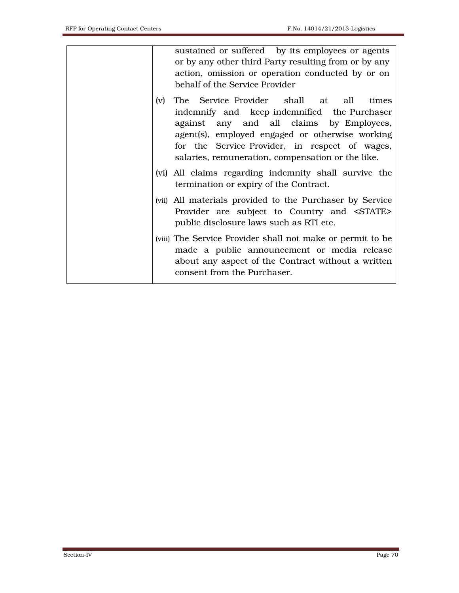sustained or suffered by its employees or agents or by any other third Party resulting from or by any action, omission or operation conducted by or on behalf of the Service Provider (v) The Service Provider shall at all times indemnify and keep indemnified the Purchaser against any and all claims by Employees, agent(s), employed engaged or otherwise working for the Service Provider, in respect of wages, salaries, remuneration, compensation or the like. (vi) All claims regarding indemnity shall survive the termination or expiry of the Contract. (vii) All materials provided to the Purchaser by Service Provider are subject to Country and <STATE> public disclosure laws such as RTI etc. (viii) The Service Provider shall not make or permit to be made a public announcement or media release about any aspect of the Contract without a written consent from the Purchaser.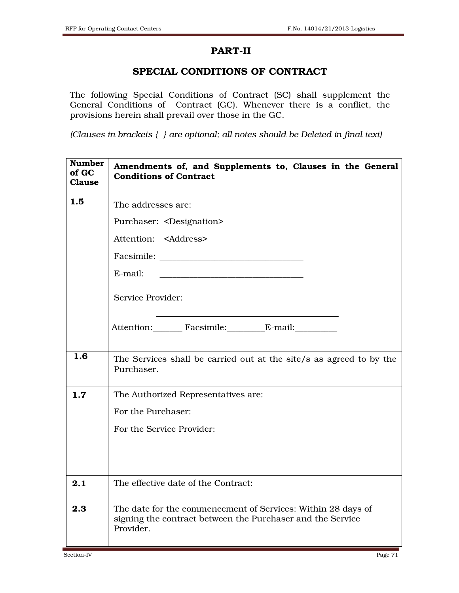## PART-II

## SPECIAL CONDITIONS OF CONTRACT

The following Special Conditions of Contract (SC) shall supplement the General Conditions of Contract (GC). Whenever there is a conflict, the provisions herein shall prevail over those in the GC.

*(Clauses in brackets { } are optional; all notes should be Deleted in final text)* 

| <b>Number</b><br>of GC<br><b>Clause</b> | Amendments of, and Supplements to, Clauses in the General<br><b>Conditions of Contract</b>                                                 |
|-----------------------------------------|--------------------------------------------------------------------------------------------------------------------------------------------|
| 1.5                                     | The addresses are:                                                                                                                         |
|                                         | Purchaser: <designation></designation>                                                                                                     |
|                                         | Attention: <address></address>                                                                                                             |
|                                         |                                                                                                                                            |
|                                         | E-mail:<br>the control of the control of the control of the control of the control of                                                      |
|                                         | Service Provider:                                                                                                                          |
|                                         | Attention: Facsimile: E-mail:                                                                                                              |
| 1.6                                     | The Services shall be carried out at the site/s as agreed to by the<br>Purchaser.                                                          |
| 1.7                                     | The Authorized Representatives are:                                                                                                        |
|                                         | For the Purchaser:<br><u> 1980 - Jan Barbara Barbara, prima popular popular popular popular popular popular popular popular popular po</u> |
|                                         | For the Service Provider:                                                                                                                  |
|                                         |                                                                                                                                            |
| 2.1                                     | The effective date of the Contract:                                                                                                        |
| 2.3                                     | The date for the commencement of Services: Within 28 days of<br>signing the contract between the Purchaser and the Service<br>Provider.    |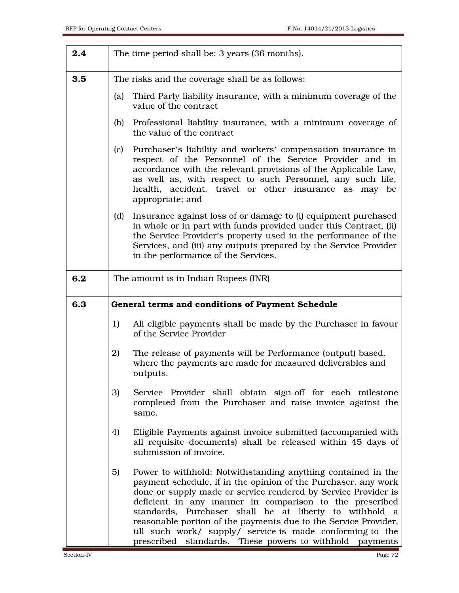| 2.4 |     | The time period shall be: 3 years (36 months).                                                                                                                                                                                                                                                                                       |
|-----|-----|--------------------------------------------------------------------------------------------------------------------------------------------------------------------------------------------------------------------------------------------------------------------------------------------------------------------------------------|
| 3.5 |     | The risks and the coverage shall be as follows:                                                                                                                                                                                                                                                                                      |
|     | (a) | Third Party liability insurance, with a minimum coverage of the<br>value of the contract                                                                                                                                                                                                                                             |
|     | (b) | Professional liability insurance, with a minimum coverage of<br>the value of the contract                                                                                                                                                                                                                                            |
|     | (c) | Purchaser's liability and workers' compensation insurance in<br>respect of the Personnel of the Service Provider and in<br>accordance with the relevant provisions of the Applicable Law,<br>as well as, with respect to such Personnel, any such life,<br>health, accident, travel or other insurance as may be<br>appropriate; and |
|     | (d) | Insurance against loss of or damage to (i) equipment purchased<br>in whole or in part with funds provided under this Contract, (ii)<br>the Service Provider's property used in the performance of the<br>Services, and (iii) any outputs prepared by the Service Provider<br>in the performance of the Services.                     |
| 6.2 |     | The amount is in Indian Rupees (INR)                                                                                                                                                                                                                                                                                                 |
|     |     |                                                                                                                                                                                                                                                                                                                                      |
| 6.3 |     | General terms and conditions of Payment Schedule                                                                                                                                                                                                                                                                                     |
|     | 1)  | All eligible payments shall be made by the Purchaser in favour<br>of the Service Provider                                                                                                                                                                                                                                            |
|     | 2)  | The release of payments will be Performance (output) based,<br>where the payments are made for measured deliverables and<br>outputs.                                                                                                                                                                                                 |
|     | 3)  | Service Provider shall obtain sign-off for each milestone<br>completed from the Purchaser and raise invoice against the<br>same.                                                                                                                                                                                                     |
|     | 4)  | Eligible Payments against invoice submitted (accompanied with<br>all requisite documents) shall be released within 45 days of<br>submission of invoice.                                                                                                                                                                              |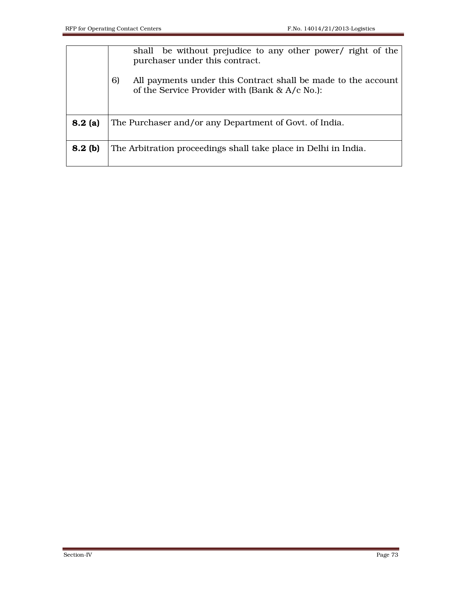|         | shall be without prejudice to any other power/ right of the<br>purchaser under this contract.<br>6)<br>All payments under this Contract shall be made to the account<br>of the Service Provider with (Bank & A/c No.): |  |  |  |
|---------|------------------------------------------------------------------------------------------------------------------------------------------------------------------------------------------------------------------------|--|--|--|
| 8.2(a)  | The Purchaser and/or any Department of Govt. of India.                                                                                                                                                                 |  |  |  |
| 8.2~(b) | The Arbitration proceedings shall take place in Delhi in India.                                                                                                                                                        |  |  |  |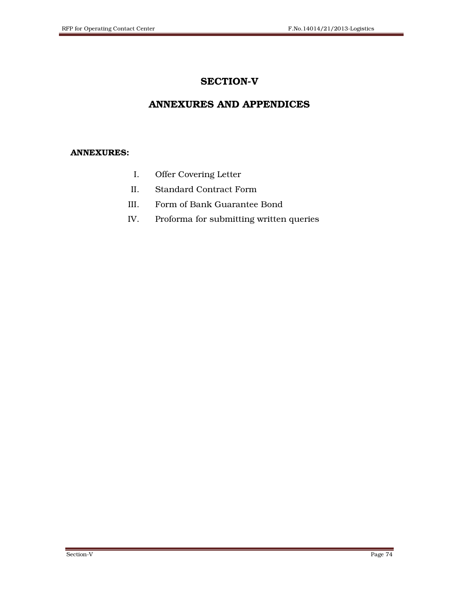# SECTION-V

# ANNEXURES AND APPENDICES

### ANNEXURES:

- I. Offer Covering Letter
- II. Standard Contract Form
- III. Form of Bank Guarantee Bond
- IV. Proforma for submitting written queries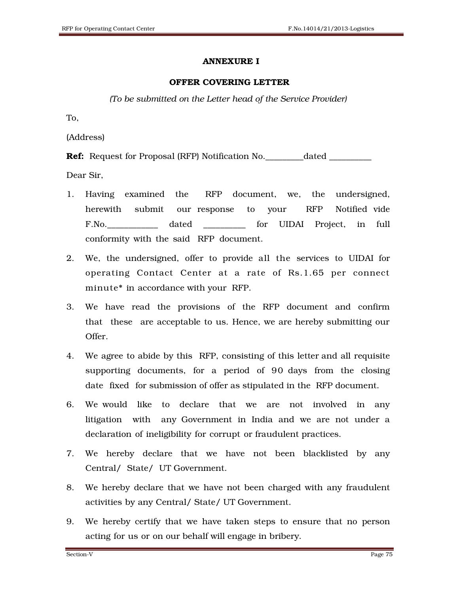### ANNEXURE I

### OFFER COVERING LETTER

*(To be submitted on the Letter head of the Service Provider)* 

To,

(Address)

**Ref:** Request for Proposal (RFP) Notification No. \_\_\_\_\_\_\_\_\_dated \_\_\_\_\_\_\_\_\_\_\_\_\_\_\_

Dear Sir,

- 1. Having examined the RFP document, we, the undersigned, herewith submit our response to your RFP Notified vide F.No.\_\_\_\_\_\_\_\_\_\_\_\_ dated \_\_\_\_\_\_\_\_\_\_ for UIDAI Project, in full conformity with the said RFP document.
- 2. We, the undersigned, offer to provide all the services to UIDAI for operating Contact Center at a rate of Rs.1.65 per connect minute\* in accordance with your RFP.
- 3. We have read the provisions of the RFP document and confirm that these are acceptable to us. Hence, we are hereby submitting our Offer.
- 4. We agree to abide by this RFP, consisting of this letter and all requisite supporting documents, for a period of 90 days from the closing date fixed for submission of offer as stipulated in the RFP document.
- 6. We would like to declare that we are not involved in any litigation with any Government in India and we are not under a declaration of ineligibility for corrupt or fraudulent practices.
- 7. We hereby declare that we have not been blacklisted by any Central/ State/ UT Government.
- 8. We hereby declare that we have not been charged with any fraudulent activities by any Central/ State/ UT Government.
- 9. We hereby certify that we have taken steps to ensure that no person acting for us or on our behalf will engage in bribery.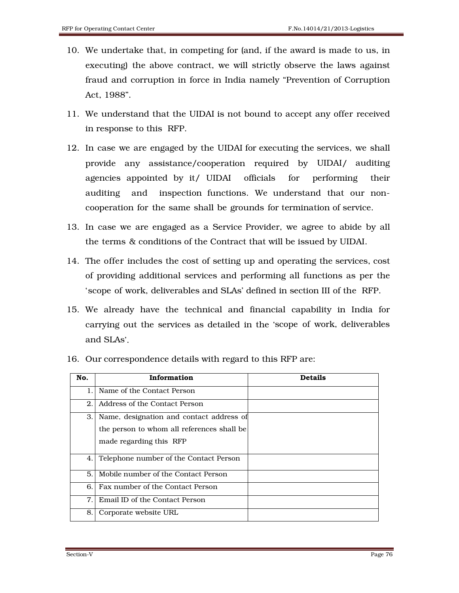- 10. We undertake that, in competing for (and, if the award is made to us, in executing) the above contract, we will strictly observe the laws against fraud and corruption in force in India namely "Prevention of Corruption Act, 1988".
- 11. We understand that the UIDAI is not bound to accept any offer received in response to this RFP.
- 12. In case we are engaged by the UIDAI for executing the services, we shall provide any assistance/cooperation required by UIDAI/ auditing agencies appointed by it/ UIDAI officials for performing their auditing and inspection functions. We understand that our noncooperation for the same shall be grounds for termination of service.
- 13. In case we are engaged as a Service Provider, we agree to abide by all the terms & conditions of the Contract that will be issued by UIDAI.
- 14. The offer includes the cost of setting up and operating the services, cost of providing additional services and performing all functions as per the 'scope of work, deliverables and SLAs' defined in section III of the RFP.
- 15. We already have the technical and financial capability in India for carrying out the services as detailed in the 'scope of work, deliverables and SLAs'.

| No.            | Information                                | <b>Details</b> |
|----------------|--------------------------------------------|----------------|
| $\mathbf{1}$ . | Name of the Contact Person                 |                |
| 2.             | Address of the Contact Person              |                |
| 3. I           | Name, designation and contact address of   |                |
|                | the person to whom all references shall be |                |
|                | made regarding this RFP                    |                |
| 4.             | Telephone number of the Contact Person     |                |
| 5.             | Mobile number of the Contact Person        |                |
| 6.             | Fax number of the Contact Person           |                |
| 7.             | Email ID of the Contact Person             |                |
| 8.             | Corporate website URL                      |                |

16. Our correspondence details with regard to this RFP are: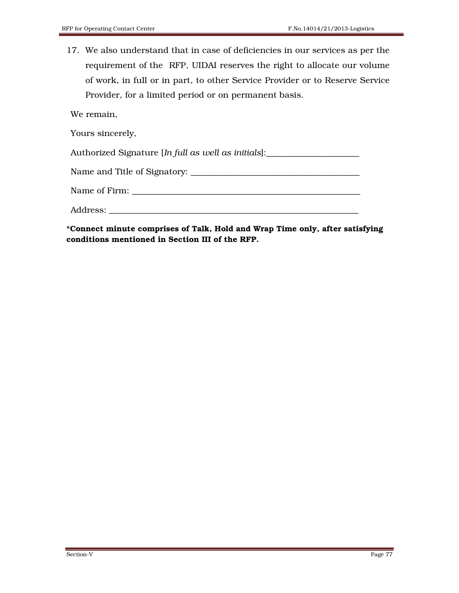17. We also understand that in case of deficiencies in our services as per the requirement of the RFP, UIDAI reserves the right to allocate our volume of work, in full or in part, to other Service Provider or to Reserve Service Provider, for a limited period or on permanent basis.

We remain,

Yours sincerely,

Authorized Signature [*In full as well as initials*]:\_\_\_\_\_\_\_\_\_\_\_\_\_\_\_\_\_\_\_\_\_\_

Name and Title of Signatory: \_\_\_\_\_\_\_\_\_\_\_\_\_\_\_\_\_\_\_\_\_\_\_\_\_\_\_\_\_\_\_\_\_\_\_\_\_\_\_\_

Name of Firm:

Address: \_\_\_\_\_\_\_\_\_\_\_\_\_\_\_\_\_\_\_\_\_\_\_\_\_\_\_\_\_\_\_\_\_\_\_\_\_\_\_\_\_\_\_\_\_\_\_\_\_\_\_\_\_\_\_\_\_\_\_

\*Connect minute comprises of Talk, Hold and Wrap Time only, after satisfying conditions mentioned in Section III of the RFP.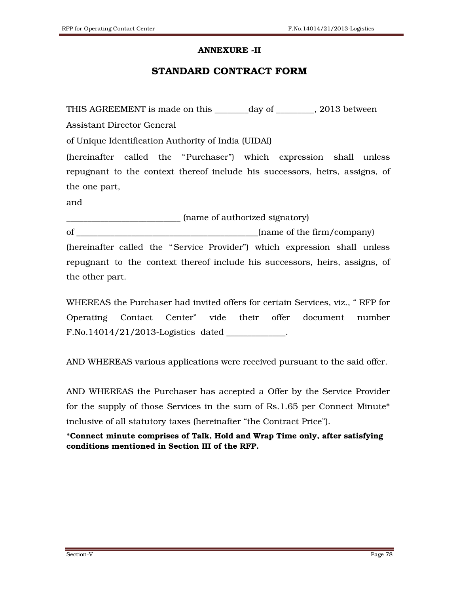#### ANNEXURE -II

### STANDARD CONTRACT FORM

THIS AGREEMENT is made on this \_\_\_\_\_\_\_\_day of \_\_\_\_\_\_\_\_\_, 2013 between

Assistant Director General

of Unique Identification Authority of India (UIDAI)

(hereinafter called the "Purchaser") which expression shall unless repugnant to the context thereof include his successors, heirs, assigns, of the one part,

and

\_\_\_\_\_\_\_\_\_\_\_\_\_\_\_\_\_\_\_\_\_\_\_\_\_\_\_ (name of authorized signatory)

of \_\_\_\_\_\_\_\_\_\_\_\_\_\_\_\_\_\_\_\_\_\_\_\_\_\_\_\_\_\_\_\_\_\_\_\_\_\_\_\_\_\_\_(name of the firm/company) (hereinafter called the "Service Provider") which expression shall unless repugnant to the context thereof include his successors, heirs, assigns, of the other part.

WHEREAS the Purchaser had invited offers for certain Services, viz., " RFP for Operating Contact Center" vide their offer document number F.No.14014/21/2013-Logistics dated \_\_\_\_\_\_\_\_\_\_\_\_\_\_.

AND WHEREAS various applications were received pursuant to the said offer.

AND WHEREAS the Purchaser has accepted a Offer by the Service Provider for the supply of those Services in the sum of Rs.1.65 per Connect Minute\* inclusive of all statutory taxes (hereinafter "the Contract Price").

\*Connect minute comprises of Talk, Hold and Wrap Time only, after satisfying conditions mentioned in Section III of the RFP.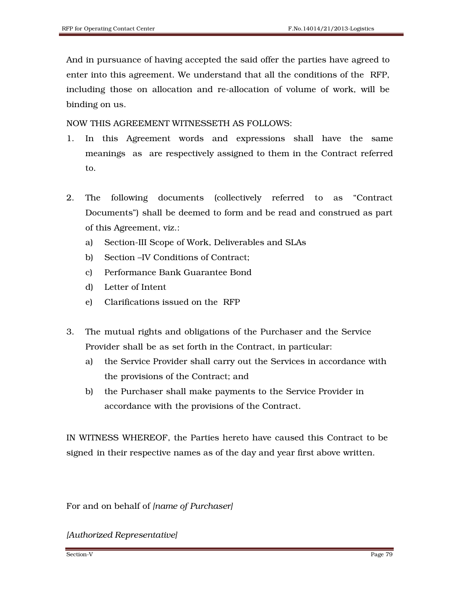And in pursuance of having accepted the said offer the parties have agreed to enter into this agreement. We understand that all the conditions of the RFP, including those on allocation and re-allocation of volume of work, will be binding on us.

NOW THIS AGREEMENT WITNESSETH AS FOLLOWS:

- 1. In this Agreement words and expressions shall have the same meanings as are respectively assigned to them in the Contract referred to.
- 2. The following documents (collectively referred to as "Contract Documents") shall be deemed to form and be read and construed as part of this Agreement, viz.:
	- a) Section-III Scope of Work, Deliverables and SLAs
	- b) Section –IV Conditions of Contract;
	- c) Performance Bank Guarantee Bond
	- d) Letter of Intent
	- e) Clarifications issued on the RFP
- 3. The mutual rights and obligations of the Purchaser and the Service Provider shall be as set forth in the Contract, in particular:
	- a) the Service Provider shall carry out the Services in accordance with the provisions of the Contract; and
	- b) the Purchaser shall make payments to the Service Provider in accordance with the provisions of the Contract.

IN WITNESS WHEREOF, the Parties hereto have caused this Contract to be signed in their respective names as of the day and year first above written.

For and on behalf of *[name of Purchaser]*

*[Authorized Representative]*

Section-V Page 79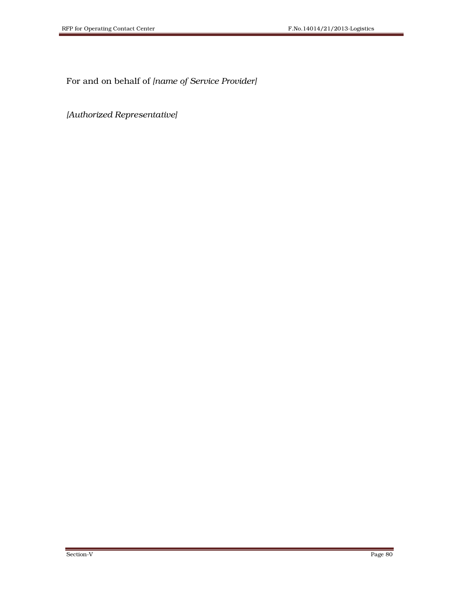For and on behalf of *[name of Service Provider]*

*[Authorized Representative]*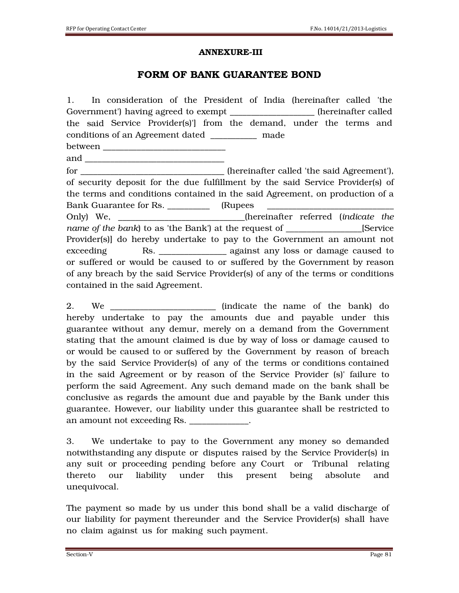#### ANNEXURE-III

## FORM OF BANK GUARANTEE BOND

1. In consideration of the President of India (hereinafter called 'the Government') having agreed to exempt The settlement of the exempt the settlement of the settlement of the settlement of the settlement of the settlement of the settlement of the settlement of the settlement of the settleme the said Service Provider(s)'] from the demand, under the terms and conditions of an Agreement dated \_\_\_\_\_\_\_\_\_\_\_ made between \_\_\_\_\_\_\_\_\_\_\_\_\_\_\_\_\_\_\_\_\_\_\_\_\_\_\_\_\_ and  $\Box$ for \_\_\_\_\_\_\_\_\_\_\_\_\_\_\_\_\_\_\_\_\_\_\_\_\_\_\_\_\_\_\_\_\_\_ (hereinafter called 'the said Agreement'), of security deposit for the due fulfillment by the said Service Provider(s) of the terms and conditions contained in the said Agreement, on production of a Bank Guarantee for Rs. \_\_\_\_\_\_\_\_\_\_ (Rupees \_\_\_\_\_\_\_\_\_\_\_\_\_\_\_\_\_\_\_\_\_\_\_\_\_\_\_\_\_\_ Only) We, \_\_\_\_\_\_\_\_\_\_\_\_\_\_\_\_\_\_\_\_\_\_\_\_\_\_\_\_\_\_(hereinafter referred (*indicate the name of the bank*) to as 'the Bank') at the request of \_\_\_\_\_\_\_\_\_\_\_\_\_\_\_\_\_\_[Service Provider(s)] do hereby undertake to pay to the Government an amount not exceeding Rs. Res. Res. Res. Regainst any loss or damage caused to or suffered or would be caused to or suffered by the Government by reason of any breach by the said Service Provider(s) of any of the terms or conditions contained in the said Agreement.

2. We \_\_\_\_\_\_\_\_\_\_\_\_\_\_\_\_\_\_\_\_\_\_\_\_\_ (indicate the name of the bank) do hereby undertake to pay the amounts due and payable under this guarantee without any demur, merely on a demand from the Government stating that the amount claimed is due by way of loss or damage caused to or would be caused to or suffered by the Government by reason of breach by the said Service Provider(s) of any of the terms or conditions contained in the said Agreement or by reason of the Service Provider (s)' failure to perform the said Agreement. Any such demand made on the bank shall be conclusive as regards the amount due and payable by the Bank under this guarantee. However, our liability under this guarantee shall be restricted to an amount not exceeding Rs. \_\_\_\_\_\_\_\_\_\_\_\_\_\_.

3. We undertake to pay to the Government any money so demanded notwithstanding any dispute or disputes raised by the Service Provider(s) in any suit or proceeding pending before any Court or Tribunal relating thereto our liability under this present being absolute and unequivocal.

The payment so made by us under this bond shall be a valid discharge of our liability for payment thereunder and the Service Provider(s) shall have no claim against us for making such payment.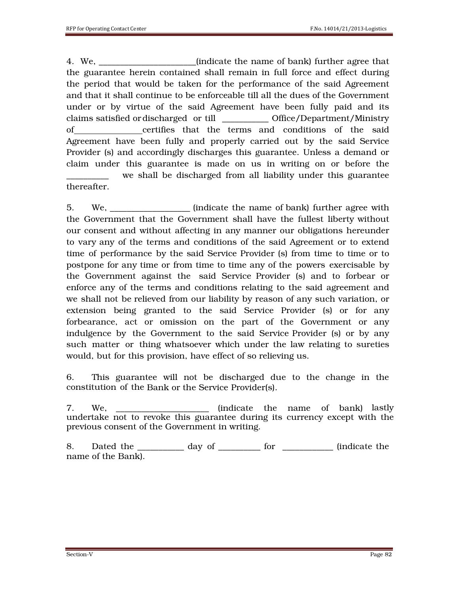4. We, \_\_\_\_\_\_\_\_\_\_\_\_\_\_\_\_\_\_\_\_\_\_\_(indicate the name of bank) further agree that the guarantee herein contained shall remain in full force and effect during the period that would be taken for the performance of the said Agreement and that it shall continue to be enforceable till all the dues of the Government under or by virtue of the said Agreement have been fully paid and its claims satisfied or discharged or till \_\_\_\_\_\_\_\_\_\_\_ Office/Department/Ministry of certifies that the terms and conditions of the said Agreement have been fully and properly carried out by the said Service Provider (s) and accordingly discharges this guarantee. Unless a demand or claim under this guarantee is made on us in writing on or before the we shall be discharged from all liability under this guarantee thereafter.

5. We, \_\_\_\_\_\_\_\_\_\_\_\_\_\_\_\_\_\_\_ (indicate the name of bank) further agree with the Government that the Government shall have the fullest liberty without our consent and without affecting in any manner our obligations hereunder to vary any of the terms and conditions of the said Agreement or to extend time of performance by the said Service Provider (s) from time to time or to postpone for any time or from time to time any of the powers exercisable by the Government against the said Service Provider (s) and to forbear or enforce any of the terms and conditions relating to the said agreement and we shall not be relieved from our liability by reason of any such variation, or extension being granted to the said Service Provider (s) or for any forbearance, act or omission on the part of the Government or any indulgence by the Government to the said Service Provider (s) or by any such matter or thing whatsoever which under the law relating to sureties would, but for this provision, have effect of so relieving us.

6. This guarantee will not be discharged due to the change in the constitution of the Bank or the Service Provider(s).

7. We, we see the name of bank) lastly undertake not to revoke this guarantee during its currency except with the previous consent of the Government in writing.

8. Dated the \_\_\_\_\_\_\_\_\_\_\_\_ day of \_\_\_\_\_\_\_\_\_\_ for \_\_\_\_\_\_\_\_\_\_\_\_\_ (indicate the name of the Bank).